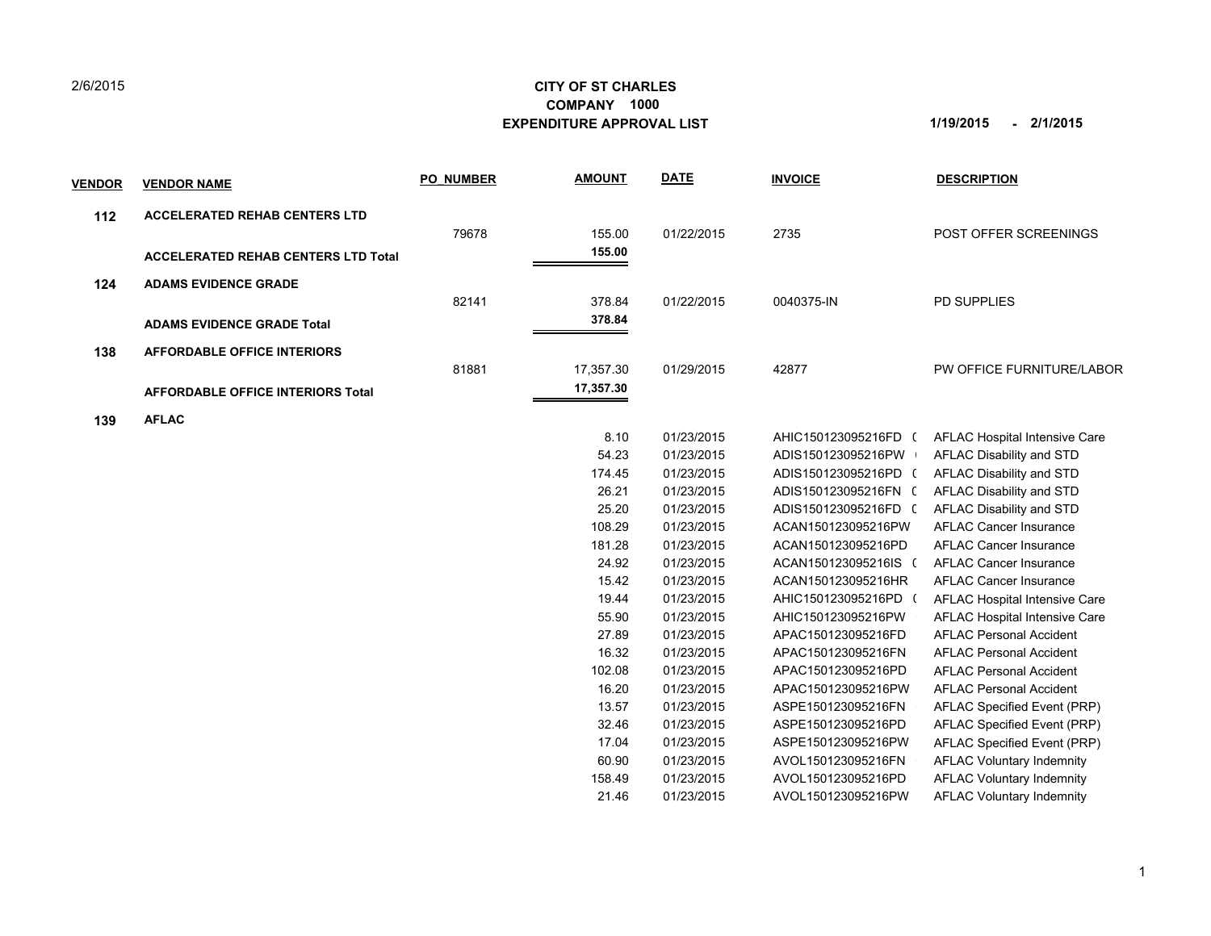## **CITY OF ST CHARLES EXPENDITURE APPROVAL LIST 1/19/2015 - 2/1/2015 COMPANY 1000**

| <u>VENDOR</u> | <b>VENDOR NAME</b>                         | <b>PO NUMBER</b> | <b>AMOUNT</b> | <b>DATE</b> | <b>INVOICE</b>       | <b>DESCRIPTION</b>               |
|---------------|--------------------------------------------|------------------|---------------|-------------|----------------------|----------------------------------|
| 112           | <b>ACCELERATED REHAB CENTERS LTD</b>       |                  |               |             |                      |                                  |
|               |                                            | 79678            | 155.00        | 01/22/2015  | 2735                 | POST OFFER SCREENINGS            |
|               | <b>ACCELERATED REHAB CENTERS LTD Total</b> |                  | 155.00        |             |                      |                                  |
| 124           | <b>ADAMS EVIDENCE GRADE</b>                |                  |               |             |                      |                                  |
|               |                                            | 82141            | 378.84        | 01/22/2015  | 0040375-IN           | <b>PD SUPPLIES</b>               |
|               |                                            |                  | 378.84        |             |                      |                                  |
|               | <b>ADAMS EVIDENCE GRADE Total</b>          |                  |               |             |                      |                                  |
| 138           | <b>AFFORDABLE OFFICE INTERIORS</b>         |                  |               |             |                      |                                  |
|               |                                            | 81881            | 17,357.30     | 01/29/2015  | 42877                | PW OFFICE FURNITURE/LABOR        |
|               | <b>AFFORDABLE OFFICE INTERIORS Total</b>   |                  | 17,357.30     |             |                      |                                  |
| 139           | <b>AFLAC</b>                               |                  |               |             |                      |                                  |
|               |                                            |                  | 8.10          | 01/23/2015  | AHIC150123095216FD ( | AFLAC Hospital Intensive Care    |
|               |                                            |                  | 54.23         | 01/23/2015  | ADIS150123095216PW   | AFLAC Disability and STD         |
|               |                                            |                  | 174.45        | 01/23/2015  | ADIS150123095216PD ( | AFLAC Disability and STD         |
|               |                                            |                  | 26.21         | 01/23/2015  | ADIS150123095216FN ( | AFLAC Disability and STD         |
|               |                                            |                  | 25.20         | 01/23/2015  | ADIS150123095216FD ( | AFLAC Disability and STD         |
|               |                                            |                  | 108.29        | 01/23/2015  | ACAN150123095216PW   | <b>AFLAC Cancer Insurance</b>    |
|               |                                            |                  | 181.28        | 01/23/2015  | ACAN150123095216PD   | <b>AFLAC Cancer Insurance</b>    |
|               |                                            |                  | 24.92         | 01/23/2015  | ACAN150123095216IS ( | <b>AFLAC Cancer Insurance</b>    |
|               |                                            |                  | 15.42         | 01/23/2015  | ACAN150123095216HR   | <b>AFLAC Cancer Insurance</b>    |
|               |                                            |                  | 19.44         | 01/23/2015  | AHIC150123095216PD   | AFLAC Hospital Intensive Care    |
|               |                                            |                  | 55.90         | 01/23/2015  | AHIC150123095216PW   | AFLAC Hospital Intensive Care    |
|               |                                            |                  | 27.89         | 01/23/2015  | APAC150123095216FD   | <b>AFLAC Personal Accident</b>   |
|               |                                            |                  | 16.32         | 01/23/2015  | APAC150123095216FN   | <b>AFLAC Personal Accident</b>   |
|               |                                            |                  | 102.08        | 01/23/2015  | APAC150123095216PD   | <b>AFLAC Personal Accident</b>   |
|               |                                            |                  | 16.20         | 01/23/2015  | APAC150123095216PW   | <b>AFLAC Personal Accident</b>   |
|               |                                            |                  | 13.57         | 01/23/2015  | ASPE150123095216FN   | AFLAC Specified Event (PRP)      |
|               |                                            |                  | 32.46         | 01/23/2015  | ASPE150123095216PD   | AFLAC Specified Event (PRP)      |
|               |                                            |                  | 17.04         | 01/23/2015  | ASPE150123095216PW   | AFLAC Specified Event (PRP)      |
|               |                                            |                  | 60.90         | 01/23/2015  | AVOL150123095216FN   | <b>AFLAC Voluntary Indemnity</b> |
|               |                                            |                  | 158.49        | 01/23/2015  | AVOL150123095216PD   | <b>AFLAC Voluntary Indemnity</b> |
|               |                                            |                  | 21.46         | 01/23/2015  | AVOL150123095216PW   | <b>AFLAC Voluntary Indemnity</b> |
|               |                                            |                  |               |             |                      |                                  |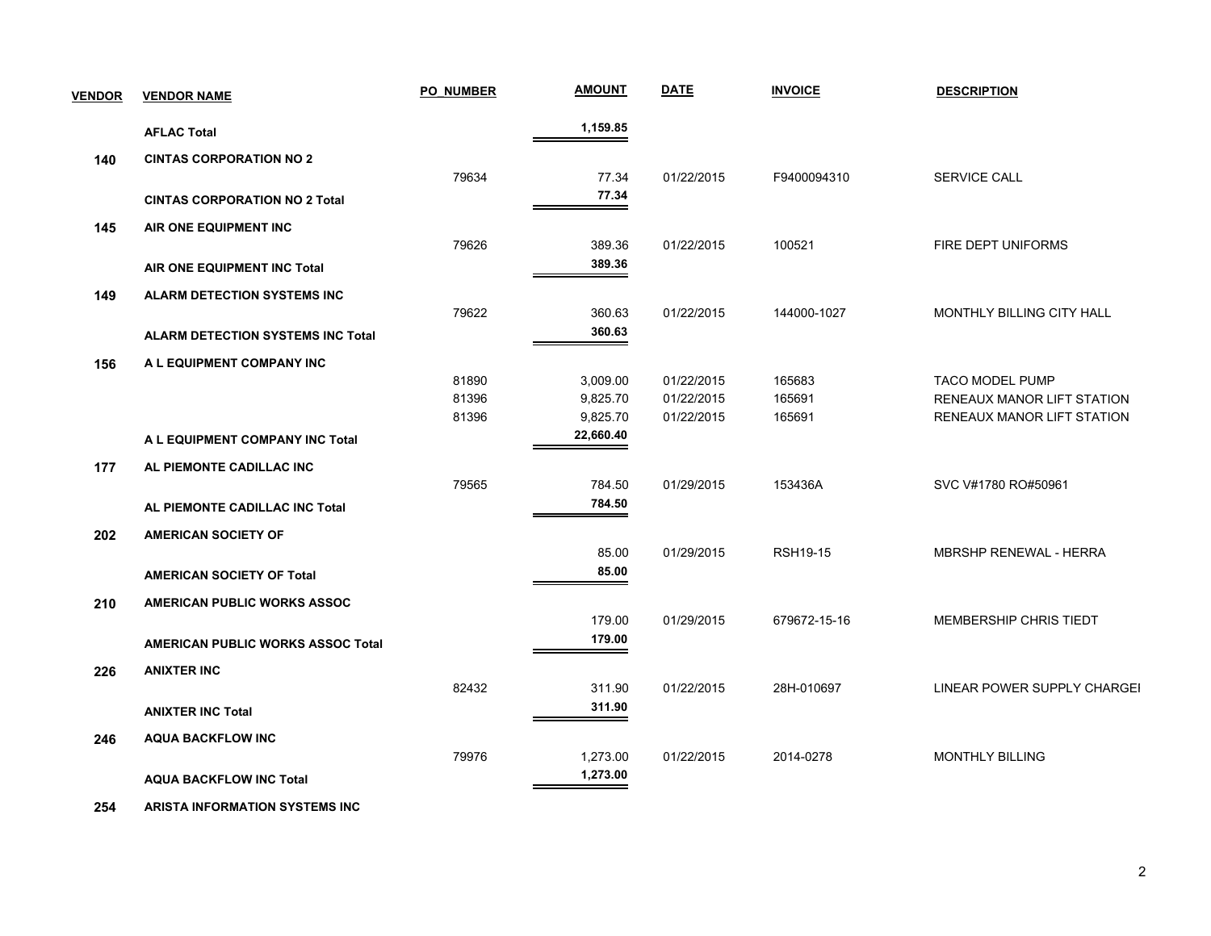| <b>VENDOR</b> | <b>VENDOR NAME</b>                       | <b>PO NUMBER</b> | <b>AMOUNT</b> | <b>DATE</b> | <b>INVOICE</b>  | <b>DESCRIPTION</b>            |
|---------------|------------------------------------------|------------------|---------------|-------------|-----------------|-------------------------------|
|               | <b>AFLAC Total</b>                       |                  | 1,159.85      |             |                 |                               |
| 140           | <b>CINTAS CORPORATION NO 2</b>           |                  |               |             |                 |                               |
|               |                                          | 79634            | 77.34         | 01/22/2015  | F9400094310     | <b>SERVICE CALL</b>           |
|               | <b>CINTAS CORPORATION NO 2 Total</b>     |                  | 77.34         |             |                 |                               |
| 145           | AIR ONE EQUIPMENT INC                    |                  |               |             |                 |                               |
|               |                                          | 79626            | 389.36        | 01/22/2015  | 100521          | FIRE DEPT UNIFORMS            |
|               | AIR ONE EQUIPMENT INC Total              |                  | 389.36        |             |                 |                               |
| 149           | <b>ALARM DETECTION SYSTEMS INC</b>       |                  |               |             |                 |                               |
|               |                                          | 79622            | 360.63        | 01/22/2015  | 144000-1027     | MONTHLY BILLING CITY HALL     |
|               | <b>ALARM DETECTION SYSTEMS INC Total</b> |                  | 360.63        |             |                 |                               |
| 156           | A L EQUIPMENT COMPANY INC                |                  |               |             |                 |                               |
|               |                                          | 81890            | 3,009.00      | 01/22/2015  | 165683          | <b>TACO MODEL PUMP</b>        |
|               |                                          | 81396            | 9,825.70      | 01/22/2015  | 165691          | RENEAUX MANOR LIFT STATION    |
|               |                                          | 81396            | 9,825.70      | 01/22/2015  | 165691          | RENEAUX MANOR LIFT STATION    |
|               | A L EQUIPMENT COMPANY INC Total          |                  | 22,660.40     |             |                 |                               |
| 177           | AL PIEMONTE CADILLAC INC                 |                  |               |             |                 |                               |
|               |                                          | 79565            | 784.50        | 01/29/2015  | 153436A         | SVC V#1780 RO#50961           |
|               | AL PIEMONTE CADILLAC INC Total           |                  | 784.50        |             |                 |                               |
| 202           | <b>AMERICAN SOCIETY OF</b>               |                  |               |             |                 |                               |
|               |                                          |                  | 85.00         | 01/29/2015  | <b>RSH19-15</b> | <b>MBRSHP RENEWAL - HERRA</b> |
|               | <b>AMERICAN SOCIETY OF Total</b>         |                  | 85.00         |             |                 |                               |
| 210           | AMERICAN PUBLIC WORKS ASSOC              |                  |               |             |                 |                               |
|               |                                          |                  | 179.00        | 01/29/2015  | 679672-15-16    | MEMBERSHIP CHRIS TIEDT        |
|               | <b>AMERICAN PUBLIC WORKS ASSOC Total</b> |                  | 179.00        |             |                 |                               |
| 226           | <b>ANIXTER INC</b>                       |                  |               |             |                 |                               |
|               |                                          | 82432            | 311.90        | 01/22/2015  | 28H-010697      | LINEAR POWER SUPPLY CHARGEI   |
|               | <b>ANIXTER INC Total</b>                 |                  | 311.90        |             |                 |                               |
| 246           | <b>AQUA BACKFLOW INC</b>                 |                  |               |             |                 |                               |
|               |                                          | 79976            | 1,273.00      | 01/22/2015  | 2014-0278       | <b>MONTHLY BILLING</b>        |
|               | <b>AQUA BACKFLOW INC Total</b>           |                  | 1,273.00      |             |                 |                               |

 **254 ARISTA INFORMATION SYSTEMS INC**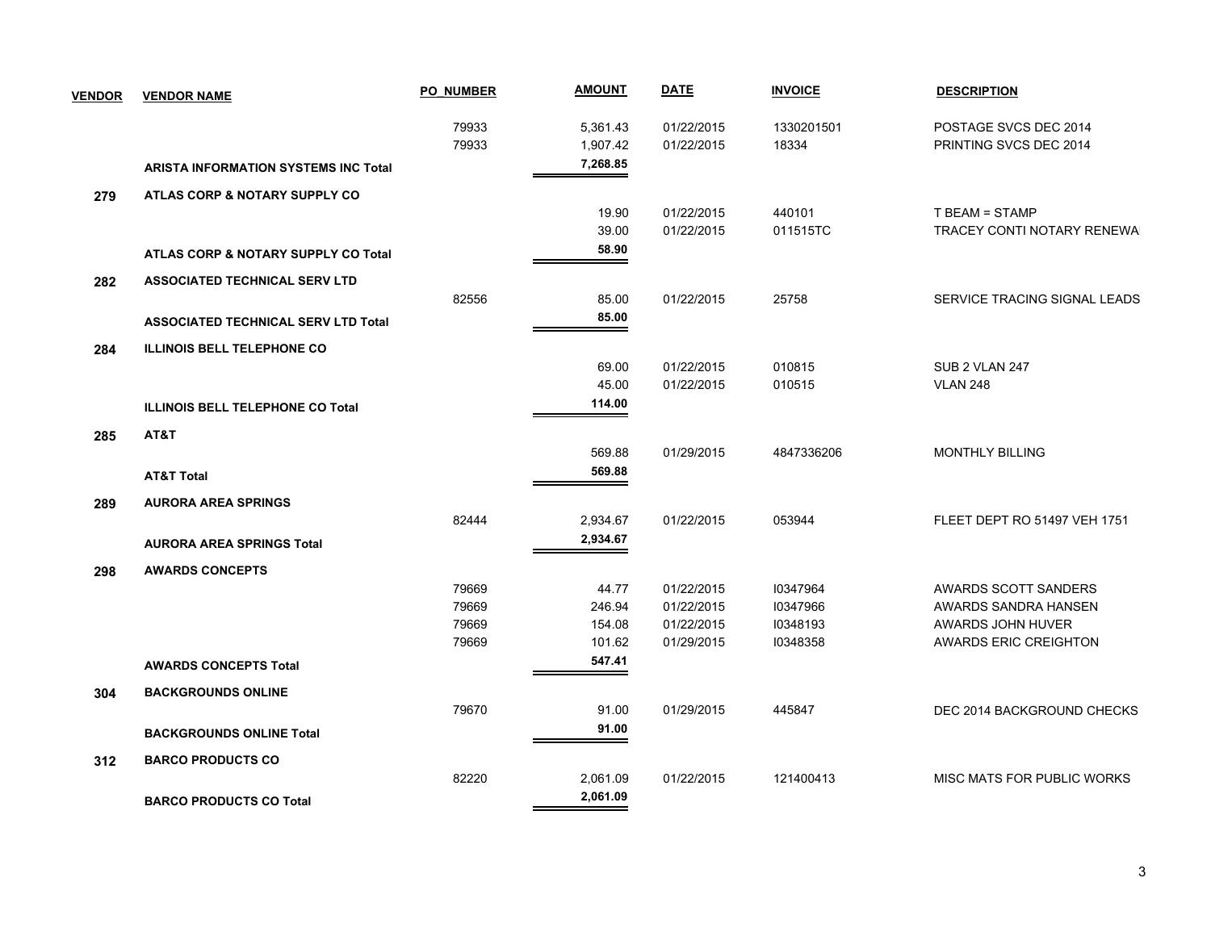| <b>VENDOR</b> | <b>VENDOR NAME</b>                          | <b>PO NUMBER</b> | <b>AMOUNT</b> | <b>DATE</b> | <b>INVOICE</b> | <b>DESCRIPTION</b>           |
|---------------|---------------------------------------------|------------------|---------------|-------------|----------------|------------------------------|
|               |                                             | 79933            | 5,361.43      | 01/22/2015  | 1330201501     | POSTAGE SVCS DEC 2014        |
|               |                                             | 79933            | 1,907.42      | 01/22/2015  | 18334          | PRINTING SVCS DEC 2014       |
|               | <b>ARISTA INFORMATION SYSTEMS INC Total</b> |                  | 7,268.85      |             |                |                              |
| 279           | ATLAS CORP & NOTARY SUPPLY CO               |                  |               |             |                |                              |
|               |                                             |                  | 19.90         | 01/22/2015  | 440101         | T BEAM = STAMP               |
|               |                                             |                  | 39.00         | 01/22/2015  | 011515TC       | TRACEY CONTI NOTARY RENEWA   |
|               | ATLAS CORP & NOTARY SUPPLY CO Total         |                  | 58.90         |             |                |                              |
| 282           | <b>ASSOCIATED TECHNICAL SERV LTD</b>        |                  |               |             |                |                              |
|               |                                             | 82556            | 85.00         | 01/22/2015  | 25758          | SERVICE TRACING SIGNAL LEADS |
|               | <b>ASSOCIATED TECHNICAL SERV LTD Total</b>  |                  | 85.00         |             |                |                              |
| 284           | <b>ILLINOIS BELL TELEPHONE CO</b>           |                  |               |             |                |                              |
|               |                                             |                  | 69.00         | 01/22/2015  | 010815         | SUB 2 VLAN 247               |
|               |                                             |                  | 45.00         | 01/22/2015  | 010515         | <b>VLAN 248</b>              |
|               | <b>ILLINOIS BELL TELEPHONE CO Total</b>     |                  | 114.00        |             |                |                              |
| 285           | AT&T                                        |                  |               |             |                |                              |
|               |                                             |                  | 569.88        | 01/29/2015  | 4847336206     | <b>MONTHLY BILLING</b>       |
|               | <b>AT&amp;T Total</b>                       |                  | 569.88        |             |                |                              |
| 289           | <b>AURORA AREA SPRINGS</b>                  |                  |               |             |                |                              |
|               |                                             | 82444            | 2,934.67      | 01/22/2015  | 053944         | FLEET DEPT RO 51497 VEH 1751 |
|               | <b>AURORA AREA SPRINGS Total</b>            |                  | 2,934.67      |             |                |                              |
| 298           | <b>AWARDS CONCEPTS</b>                      |                  |               |             |                |                              |
|               |                                             | 79669            | 44.77         | 01/22/2015  | 10347964       | AWARDS SCOTT SANDERS         |
|               |                                             | 79669            | 246.94        | 01/22/2015  | 10347966       | AWARDS SANDRA HANSEN         |
|               |                                             | 79669            | 154.08        | 01/22/2015  | 10348193       | AWARDS JOHN HUVER            |
|               |                                             | 79669            | 101.62        | 01/29/2015  | 10348358       | <b>AWARDS ERIC CREIGHTON</b> |
|               | <b>AWARDS CONCEPTS Total</b>                |                  | 547.41        |             |                |                              |
| 304           | <b>BACKGROUNDS ONLINE</b>                   |                  |               |             |                |                              |
|               |                                             | 79670            | 91.00         | 01/29/2015  | 445847         | DEC 2014 BACKGROUND CHECKS   |
|               | <b>BACKGROUNDS ONLINE Total</b>             |                  | 91.00         |             |                |                              |
| 312           | <b>BARCO PRODUCTS CO</b>                    |                  |               |             |                |                              |
|               |                                             | 82220            | 2,061.09      | 01/22/2015  | 121400413      | MISC MATS FOR PUBLIC WORKS   |
|               | <b>BARCO PRODUCTS CO Total</b>              |                  | 2,061.09      |             |                |                              |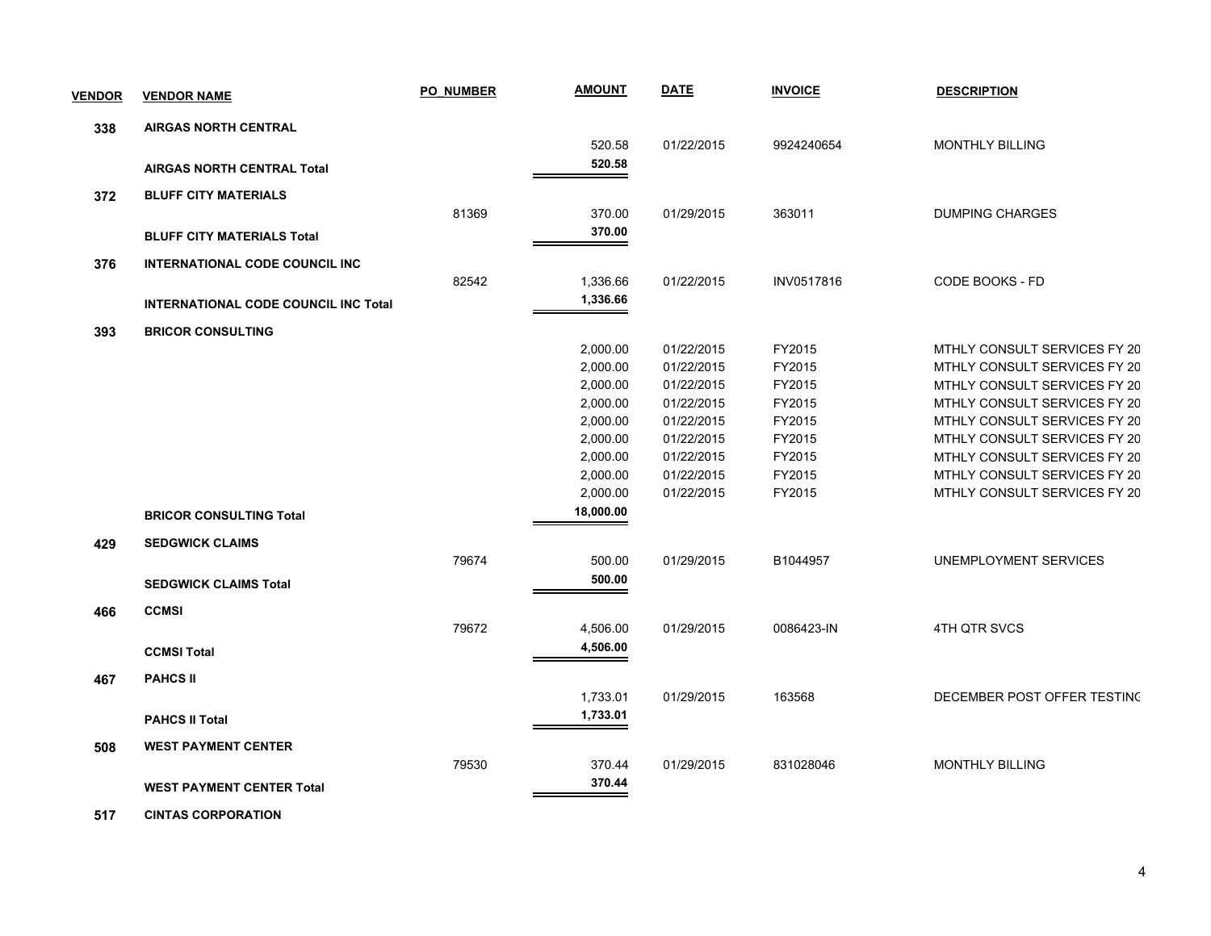| <b>VENDOR</b> | <b>VENDOR NAME</b>                          | <b>PO NUMBER</b> | <b>AMOUNT</b>        | <b>DATE</b>              | <b>INVOICE</b>   | <b>DESCRIPTION</b>                                           |
|---------------|---------------------------------------------|------------------|----------------------|--------------------------|------------------|--------------------------------------------------------------|
| 338           | <b>AIRGAS NORTH CENTRAL</b>                 |                  |                      |                          |                  |                                                              |
|               |                                             |                  | 520.58               | 01/22/2015               | 9924240654       | <b>MONTHLY BILLING</b>                                       |
|               | <b>AIRGAS NORTH CENTRAL Total</b>           |                  | 520.58               |                          |                  |                                                              |
| 372           | <b>BLUFF CITY MATERIALS</b>                 |                  |                      |                          |                  |                                                              |
|               |                                             | 81369            | 370.00               | 01/29/2015               | 363011           | <b>DUMPING CHARGES</b>                                       |
|               | <b>BLUFF CITY MATERIALS Total</b>           |                  | 370.00               |                          |                  |                                                              |
| 376           | <b>INTERNATIONAL CODE COUNCIL INC</b>       |                  |                      |                          |                  |                                                              |
|               |                                             | 82542            | 1,336.66             | 01/22/2015               | INV0517816       | CODE BOOKS - FD                                              |
|               | <b>INTERNATIONAL CODE COUNCIL INC Total</b> |                  | 1,336.66             |                          |                  |                                                              |
|               |                                             |                  |                      |                          |                  |                                                              |
| 393           | <b>BRICOR CONSULTING</b>                    |                  |                      |                          |                  |                                                              |
|               |                                             |                  | 2,000.00<br>2,000.00 | 01/22/2015<br>01/22/2015 | FY2015<br>FY2015 | MTHLY CONSULT SERVICES FY 20<br>MTHLY CONSULT SERVICES FY 20 |
|               |                                             |                  | 2,000.00             | 01/22/2015               | FY2015           | MTHLY CONSULT SERVICES FY 20                                 |
|               |                                             |                  | 2,000.00             | 01/22/2015               | FY2015           | MTHLY CONSULT SERVICES FY 20                                 |
|               |                                             |                  | 2,000.00             | 01/22/2015               | FY2015           | MTHLY CONSULT SERVICES FY 20                                 |
|               |                                             |                  | 2,000.00             | 01/22/2015               | FY2015           | MTHLY CONSULT SERVICES FY 20                                 |
|               |                                             |                  | 2,000.00             | 01/22/2015               | FY2015           | MTHLY CONSULT SERVICES FY 20                                 |
|               |                                             |                  | 2,000.00             | 01/22/2015               | FY2015           | MTHLY CONSULT SERVICES FY 20                                 |
|               |                                             |                  | 2,000.00             | 01/22/2015               | FY2015           | MTHLY CONSULT SERVICES FY 20                                 |
|               | <b>BRICOR CONSULTING Total</b>              |                  | 18,000.00            |                          |                  |                                                              |
| 429           | <b>SEDGWICK CLAIMS</b>                      |                  |                      |                          |                  |                                                              |
|               |                                             | 79674            | 500.00               | 01/29/2015               | B1044957         | UNEMPLOYMENT SERVICES                                        |
|               | <b>SEDGWICK CLAIMS Total</b>                |                  | 500.00               |                          |                  |                                                              |
|               |                                             |                  |                      |                          |                  |                                                              |
| 466           | <b>CCMSI</b>                                |                  |                      |                          |                  |                                                              |
|               |                                             | 79672            | 4,506.00             | 01/29/2015               | 0086423-IN       | 4TH QTR SVCS                                                 |
|               | <b>CCMSI Total</b>                          |                  | 4,506.00             |                          |                  |                                                              |
| 467           | <b>PAHCS II</b>                             |                  |                      |                          |                  |                                                              |
|               |                                             |                  | 1,733.01             | 01/29/2015               | 163568           | DECEMBER POST OFFER TESTING                                  |
|               | <b>PAHCS II Total</b>                       |                  | 1,733.01             |                          |                  |                                                              |
| 508           | <b>WEST PAYMENT CENTER</b>                  |                  |                      |                          |                  |                                                              |
|               |                                             | 79530            | 370.44               | 01/29/2015               | 831028046        | <b>MONTHLY BILLING</b>                                       |
|               | <b>WEST PAYMENT CENTER Total</b>            |                  | 370.44               |                          |                  |                                                              |
|               |                                             |                  |                      |                          |                  |                                                              |

 **517 CINTAS CORPORATION**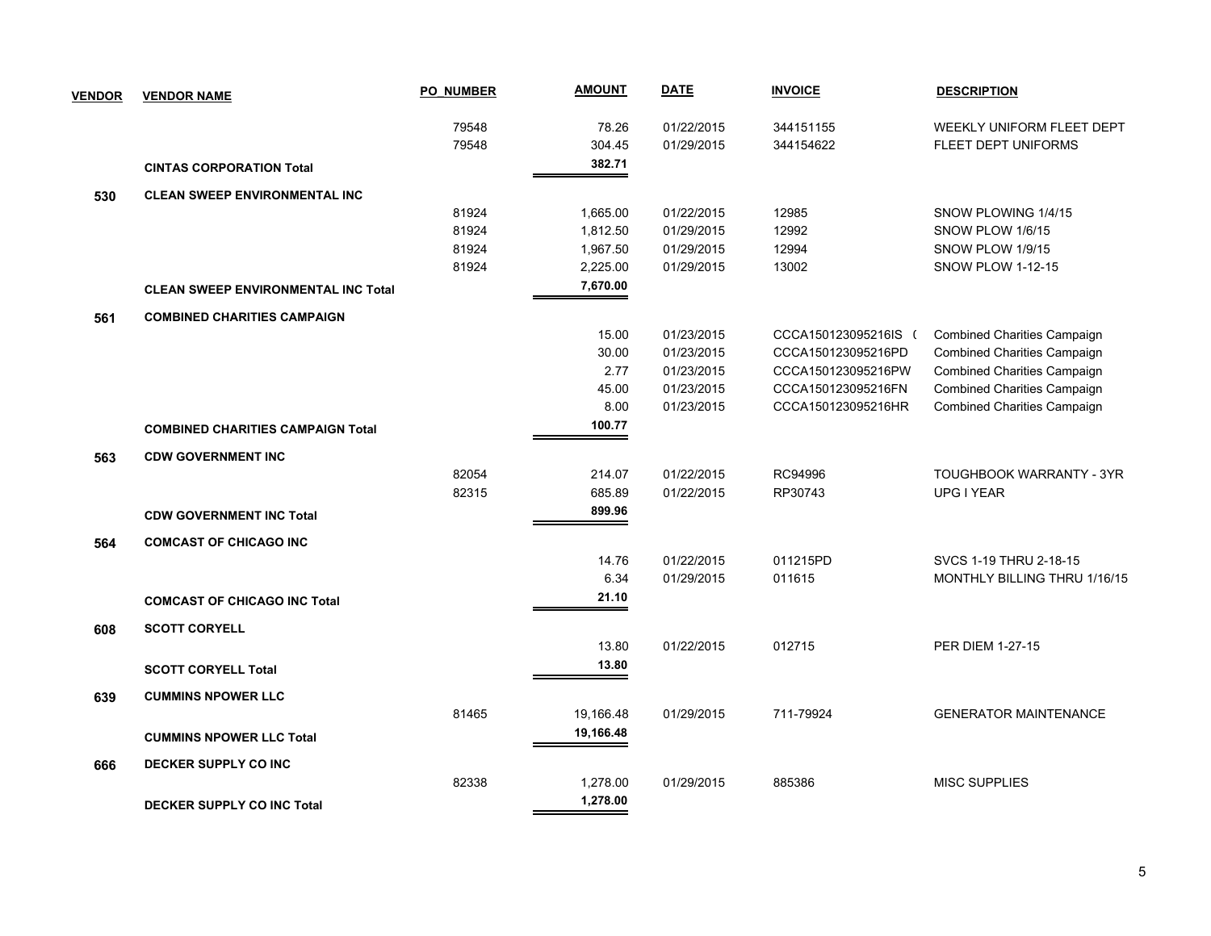| <b>VENDOR</b> | <b>VENDOR NAME</b>                         | <b>PO NUMBER</b> | <b>AMOUNT</b> | <b>DATE</b> | <b>INVOICE</b>       | <b>DESCRIPTION</b>                 |
|---------------|--------------------------------------------|------------------|---------------|-------------|----------------------|------------------------------------|
|               |                                            | 79548            | 78.26         | 01/22/2015  | 344151155            | <b>WEEKLY UNIFORM FLEET DEPT</b>   |
|               |                                            | 79548            | 304.45        | 01/29/2015  | 344154622            | FLEET DEPT UNIFORMS                |
|               | <b>CINTAS CORPORATION Total</b>            |                  | 382.71        |             |                      |                                    |
| 530           | <b>CLEAN SWEEP ENVIRONMENTAL INC.</b>      |                  |               |             |                      |                                    |
|               |                                            | 81924            | 1,665.00      | 01/22/2015  | 12985                | SNOW PLOWING 1/4/15                |
|               |                                            | 81924            | 1,812.50      | 01/29/2015  | 12992                | SNOW PLOW 1/6/15                   |
|               |                                            | 81924            | 1,967.50      | 01/29/2015  | 12994                | SNOW PLOW 1/9/15                   |
|               |                                            | 81924            | 2,225.00      | 01/29/2015  | 13002                | <b>SNOW PLOW 1-12-15</b>           |
|               | <b>CLEAN SWEEP ENVIRONMENTAL INC Total</b> |                  | 7,670.00      |             |                      |                                    |
| 561           | <b>COMBINED CHARITIES CAMPAIGN</b>         |                  |               |             |                      |                                    |
|               |                                            |                  | 15.00         | 01/23/2015  | CCCA150123095216IS ( | <b>Combined Charities Campaign</b> |
|               |                                            |                  | 30.00         | 01/23/2015  | CCCA150123095216PD   | Combined Charities Campaign        |
|               |                                            |                  | 2.77          | 01/23/2015  | CCCA150123095216PW   | Combined Charities Campaign        |
|               |                                            |                  | 45.00         | 01/23/2015  | CCCA150123095216FN   | <b>Combined Charities Campaign</b> |
|               |                                            |                  | 8.00          | 01/23/2015  | CCCA150123095216HR   | Combined Charities Campaign        |
|               | <b>COMBINED CHARITIES CAMPAIGN Total</b>   |                  | 100.77        |             |                      |                                    |
| 563           | <b>CDW GOVERNMENT INC</b>                  |                  |               |             |                      |                                    |
|               |                                            | 82054            | 214.07        | 01/22/2015  | RC94996              | TOUGHBOOK WARRANTY - 3YR           |
|               |                                            | 82315            | 685.89        | 01/22/2015  | RP30743              | UPG I YEAR                         |
|               | <b>CDW GOVERNMENT INC Total</b>            |                  | 899.96        |             |                      |                                    |
| 564           | <b>COMCAST OF CHICAGO INC</b>              |                  |               |             |                      |                                    |
|               |                                            |                  | 14.76         | 01/22/2015  | 011215PD             | SVCS 1-19 THRU 2-18-15             |
|               |                                            |                  | 6.34          | 01/29/2015  | 011615               | MONTHLY BILLING THRU 1/16/15       |
|               | <b>COMCAST OF CHICAGO INC Total</b>        |                  | 21.10         |             |                      |                                    |
| 608           | <b>SCOTT CORYELL</b>                       |                  |               |             |                      |                                    |
|               |                                            |                  | 13.80         | 01/22/2015  | 012715               | PER DIEM 1-27-15                   |
|               | <b>SCOTT CORYELL Total</b>                 |                  | 13.80         |             |                      |                                    |
| 639           | <b>CUMMINS NPOWER LLC</b>                  |                  |               |             |                      |                                    |
|               |                                            | 81465            | 19,166.48     | 01/29/2015  | 711-79924            | <b>GENERATOR MAINTENANCE</b>       |
|               | <b>CUMMINS NPOWER LLC Total</b>            |                  | 19,166.48     |             |                      |                                    |
|               |                                            |                  |               |             |                      |                                    |
| 666           | <b>DECKER SUPPLY CO INC</b>                | 82338            |               | 01/29/2015  | 885386               | <b>MISC SUPPLIES</b>               |
|               |                                            |                  | 1,278.00      |             |                      |                                    |
|               | <b>DECKER SUPPLY CO INC Total</b>          |                  | 1,278.00      |             |                      |                                    |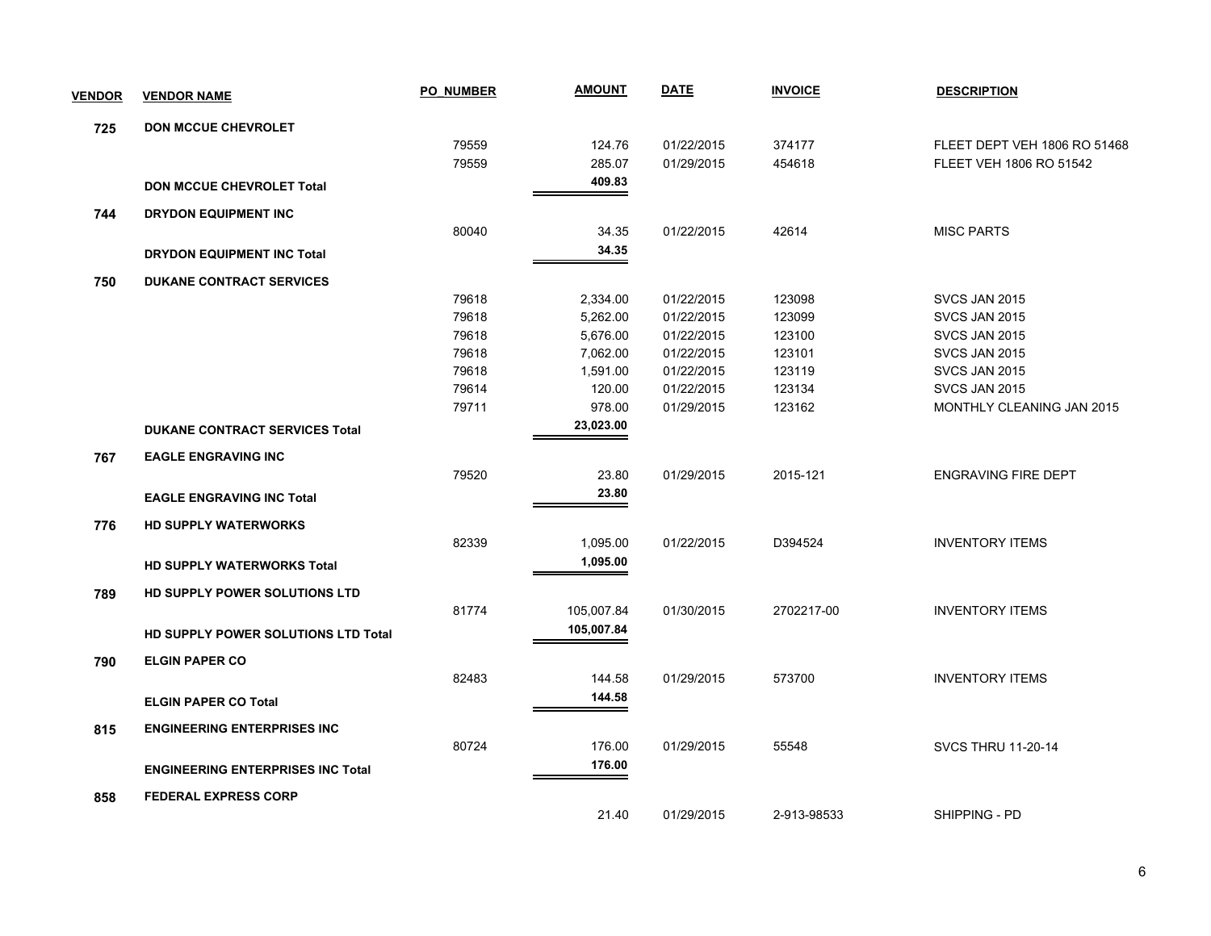| <b>VENDOR</b> | <b>VENDOR NAME</b>                         | <b>PO NUMBER</b> | <u>AMOUNT</u> | <b>DATE</b> | <b>INVOICE</b> | <b>DESCRIPTION</b>           |
|---------------|--------------------------------------------|------------------|---------------|-------------|----------------|------------------------------|
| 725           | <b>DON MCCUE CHEVROLET</b>                 |                  |               |             |                |                              |
|               |                                            | 79559            | 124.76        | 01/22/2015  | 374177         | FLEET DEPT VEH 1806 RO 51468 |
|               |                                            | 79559            | 285.07        | 01/29/2015  | 454618         | FLEET VEH 1806 RO 51542      |
|               | <b>DON MCCUE CHEVROLET Total</b>           |                  | 409.83        |             |                |                              |
| 744           | <b>DRYDON EQUIPMENT INC</b>                |                  |               |             |                |                              |
|               |                                            | 80040            | 34.35         | 01/22/2015  | 42614          | <b>MISC PARTS</b>            |
|               | <b>DRYDON EQUIPMENT INC Total</b>          |                  | 34.35         |             |                |                              |
| 750           | <b>DUKANE CONTRACT SERVICES</b>            |                  |               |             |                |                              |
|               |                                            | 79618            | 2,334.00      | 01/22/2015  | 123098         | SVCS JAN 2015                |
|               |                                            | 79618            | 5,262.00      | 01/22/2015  | 123099         | SVCS JAN 2015                |
|               |                                            | 79618            | 5,676.00      | 01/22/2015  | 123100         | SVCS JAN 2015                |
|               |                                            | 79618            | 7,062.00      | 01/22/2015  | 123101         | SVCS JAN 2015                |
|               |                                            | 79618            | 1,591.00      | 01/22/2015  | 123119         | SVCS JAN 2015                |
|               |                                            | 79614            | 120.00        | 01/22/2015  | 123134         | SVCS JAN 2015                |
|               |                                            | 79711            | 978.00        | 01/29/2015  | 123162         | MONTHLY CLEANING JAN 2015    |
|               | <b>DUKANE CONTRACT SERVICES Total</b>      |                  | 23,023.00     |             |                |                              |
| 767           | <b>EAGLE ENGRAVING INC</b>                 |                  |               |             |                |                              |
|               |                                            | 79520            | 23.80         | 01/29/2015  | 2015-121       | <b>ENGRAVING FIRE DEPT</b>   |
|               | <b>EAGLE ENGRAVING INC Total</b>           |                  | 23.80         |             |                |                              |
| 776           | <b>HD SUPPLY WATERWORKS</b>                |                  |               |             |                |                              |
|               |                                            | 82339            | 1,095.00      | 01/22/2015  | D394524        | <b>INVENTORY ITEMS</b>       |
|               | <b>HD SUPPLY WATERWORKS Total</b>          |                  | 1,095.00      |             |                |                              |
| 789           | HD SUPPLY POWER SOLUTIONS LTD              |                  |               |             |                |                              |
|               |                                            | 81774            | 105,007.84    | 01/30/2015  | 2702217-00     | <b>INVENTORY ITEMS</b>       |
|               | <b>HD SUPPLY POWER SOLUTIONS LTD Total</b> |                  | 105,007.84    |             |                |                              |
| 790           | <b>ELGIN PAPER CO</b>                      |                  |               |             |                |                              |
|               |                                            | 82483            | 144.58        | 01/29/2015  | 573700         | <b>INVENTORY ITEMS</b>       |
|               | <b>ELGIN PAPER CO Total</b>                |                  | 144.58        |             |                |                              |
| 815           | <b>ENGINEERING ENTERPRISES INC</b>         |                  |               |             |                |                              |
|               |                                            | 80724            | 176.00        | 01/29/2015  | 55548          | <b>SVCS THRU 11-20-14</b>    |
|               | <b>ENGINEERING ENTERPRISES INC Total</b>   |                  | 176.00        |             |                |                              |
| 858           | <b>FEDERAL EXPRESS CORP</b>                |                  |               |             |                |                              |
|               |                                            |                  | 21.40         | 01/29/2015  | 2-913-98533    | SHIPPING - PD                |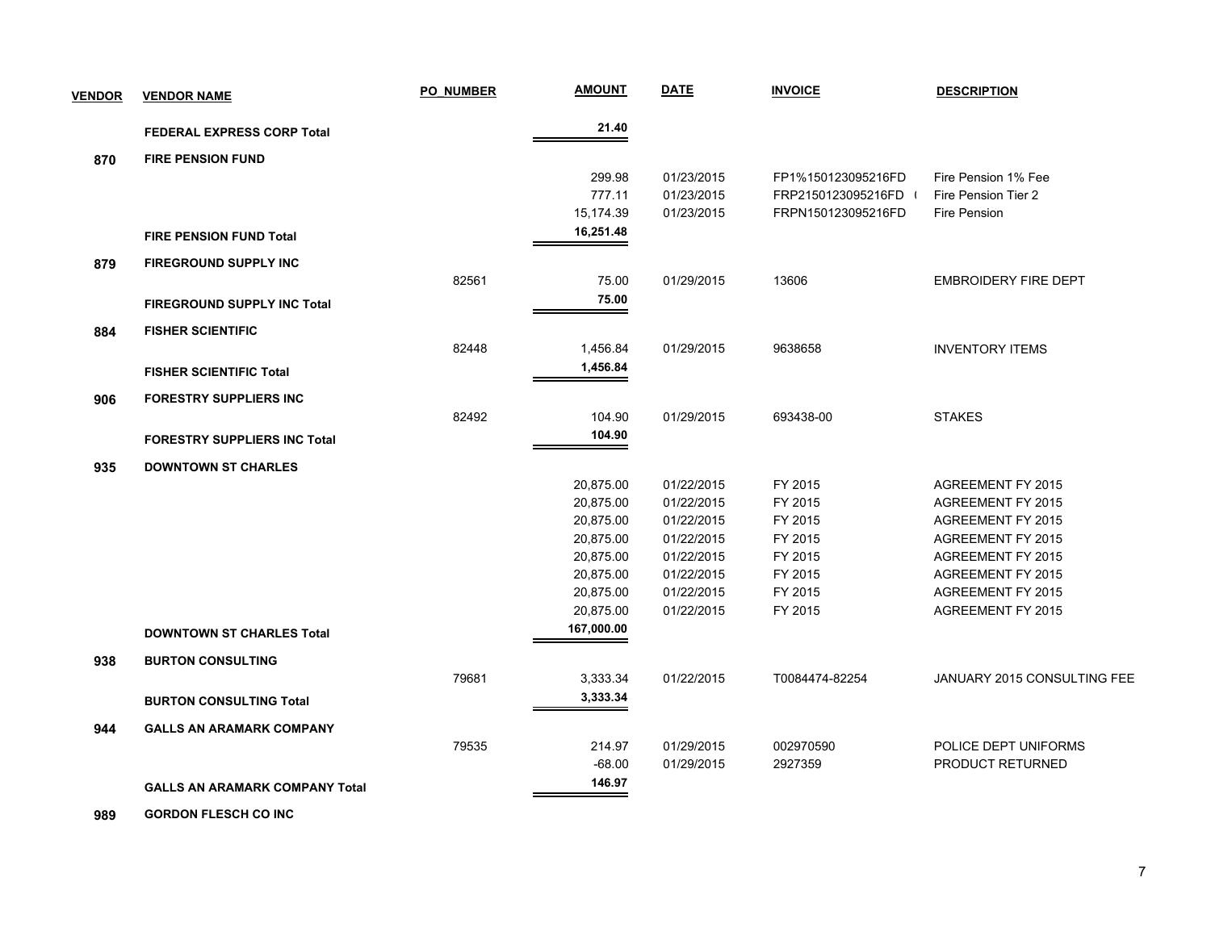| <b>VENDOR</b> | <b>VENDOR NAME</b>                    | <b>PO NUMBER</b> | <b>AMOUNT</b>           | <b>DATE</b> | <b>INVOICE</b>     | <b>DESCRIPTION</b>          |
|---------------|---------------------------------------|------------------|-------------------------|-------------|--------------------|-----------------------------|
|               | <b>FEDERAL EXPRESS CORP Total</b>     |                  | 21.40                   |             |                    |                             |
| 870           | <b>FIRE PENSION FUND</b>              |                  |                         |             |                    |                             |
|               |                                       |                  | 299.98                  | 01/23/2015  | FP1%150123095216FD | Fire Pension 1% Fee         |
|               |                                       |                  | 777.11                  | 01/23/2015  | FRP2150123095216FD | Fire Pension Tier 2         |
|               |                                       |                  | 15,174.39               | 01/23/2015  | FRPN150123095216FD | Fire Pension                |
|               | <b>FIRE PENSION FUND Total</b>        |                  | 16,251.48               |             |                    |                             |
| 879           | <b>FIREGROUND SUPPLY INC</b>          |                  |                         |             |                    |                             |
|               |                                       | 82561            | 75.00                   | 01/29/2015  | 13606              | <b>EMBROIDERY FIRE DEPT</b> |
|               | <b>FIREGROUND SUPPLY INC Total</b>    |                  | 75.00                   |             |                    |                             |
| 884           | <b>FISHER SCIENTIFIC</b>              |                  |                         |             |                    |                             |
|               |                                       | 82448            | 1,456.84                | 01/29/2015  | 9638658            | <b>INVENTORY ITEMS</b>      |
|               | <b>FISHER SCIENTIFIC Total</b>        |                  | 1,456.84                |             |                    |                             |
|               |                                       |                  |                         |             |                    |                             |
| 906           | <b>FORESTRY SUPPLIERS INC</b>         |                  |                         |             |                    |                             |
|               |                                       | 82492            | 104.90                  | 01/29/2015  | 693438-00          | <b>STAKES</b>               |
|               | <b>FORESTRY SUPPLIERS INC Total</b>   |                  | 104.90                  |             |                    |                             |
| 935           | <b>DOWNTOWN ST CHARLES</b>            |                  |                         |             |                    |                             |
|               |                                       |                  | 20,875.00               | 01/22/2015  | FY 2015            | AGREEMENT FY 2015           |
|               |                                       |                  | 20,875.00               | 01/22/2015  | FY 2015            | AGREEMENT FY 2015           |
|               |                                       |                  | 20,875.00               | 01/22/2015  | FY 2015            | <b>AGREEMENT FY 2015</b>    |
|               |                                       |                  | 20,875.00               | 01/22/2015  | FY 2015            | AGREEMENT FY 2015           |
|               |                                       |                  | 20,875.00               | 01/22/2015  | FY 2015            | AGREEMENT FY 2015           |
|               |                                       |                  | 20,875.00               | 01/22/2015  | FY 2015            | AGREEMENT FY 2015           |
|               |                                       |                  | 20,875.00               | 01/22/2015  | FY 2015            | AGREEMENT FY 2015           |
|               |                                       |                  | 20,875.00<br>167,000.00 | 01/22/2015  | FY 2015            | AGREEMENT FY 2015           |
|               | <b>DOWNTOWN ST CHARLES Total</b>      |                  |                         |             |                    |                             |
| 938           | <b>BURTON CONSULTING</b>              |                  |                         |             |                    |                             |
|               |                                       | 79681            | 3,333.34                | 01/22/2015  | T0084474-82254     | JANUARY 2015 CONSULTING FEE |
|               | <b>BURTON CONSULTING Total</b>        |                  | 3,333.34                |             |                    |                             |
| 944           | <b>GALLS AN ARAMARK COMPANY</b>       |                  |                         |             |                    |                             |
|               |                                       | 79535            | 214.97                  | 01/29/2015  | 002970590          | POLICE DEPT UNIFORMS        |
|               |                                       |                  | $-68.00$                | 01/29/2015  | 2927359            | PRODUCT RETURNED            |
|               | <b>GALLS AN ARAMARK COMPANY Total</b> |                  | 146.97                  |             |                    |                             |
|               |                                       |                  |                         |             |                    |                             |

 **989 GORDON FLESCH CO INC**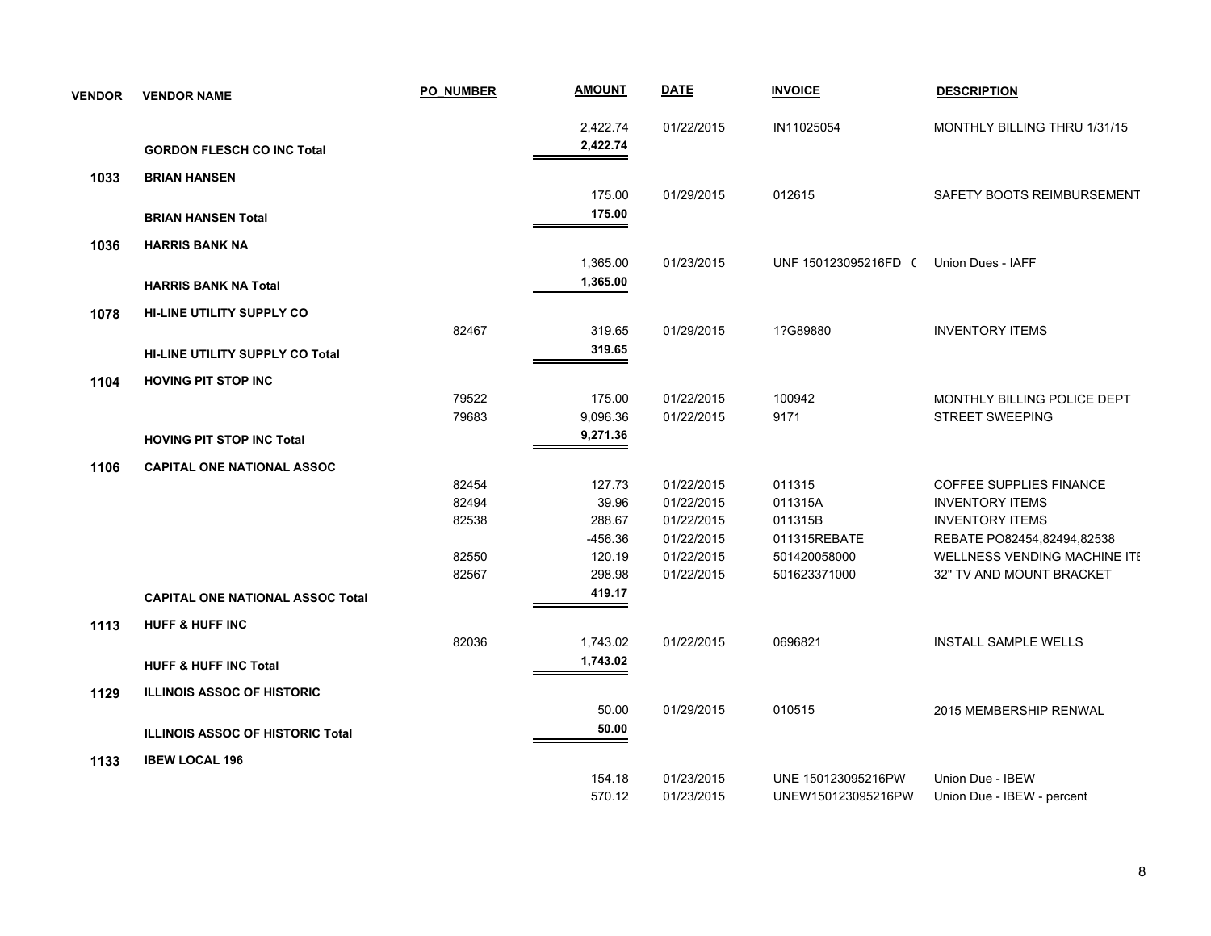| <b>VENDOR</b> | <b>VENDOR NAME</b>                      | <b>PO NUMBER</b> | <b>AMOUNT</b> | <b>DATE</b> | <b>INVOICE</b>                         | <b>DESCRIPTION</b>                  |
|---------------|-----------------------------------------|------------------|---------------|-------------|----------------------------------------|-------------------------------------|
|               |                                         |                  | 2,422.74      | 01/22/2015  | IN11025054                             | MONTHLY BILLING THRU 1/31/15        |
|               | <b>GORDON FLESCH CO INC Total</b>       |                  | 2,422.74      |             |                                        |                                     |
| 1033          | <b>BRIAN HANSEN</b>                     |                  |               |             |                                        |                                     |
|               |                                         |                  | 175.00        | 01/29/2015  | 012615                                 | SAFETY BOOTS REIMBURSEMENT          |
|               | <b>BRIAN HANSEN Total</b>               |                  | 175.00        |             |                                        |                                     |
| 1036          | <b>HARRIS BANK NA</b>                   |                  |               |             |                                        |                                     |
|               |                                         |                  | 1,365.00      | 01/23/2015  | UNF 150123095216FD ( Union Dues - IAFF |                                     |
|               | <b>HARRIS BANK NA Total</b>             |                  | 1,365.00      |             |                                        |                                     |
| 1078          | <b>HI-LINE UTILITY SUPPLY CO</b>        |                  |               |             |                                        |                                     |
|               |                                         | 82467            | 319.65        | 01/29/2015  | 1?G89880                               | <b>INVENTORY ITEMS</b>              |
|               | <b>HI-LINE UTILITY SUPPLY CO Total</b>  |                  | 319.65        |             |                                        |                                     |
| 1104          | <b>HOVING PIT STOP INC</b>              |                  |               |             |                                        |                                     |
|               |                                         | 79522            | 175.00        | 01/22/2015  | 100942                                 | MONTHLY BILLING POLICE DEPT         |
|               |                                         | 79683            | 9,096.36      | 01/22/2015  | 9171                                   | <b>STREET SWEEPING</b>              |
|               | <b>HOVING PIT STOP INC Total</b>        |                  | 9,271.36      |             |                                        |                                     |
| 1106          | <b>CAPITAL ONE NATIONAL ASSOC</b>       |                  |               |             |                                        |                                     |
|               |                                         | 82454            | 127.73        | 01/22/2015  | 011315                                 | <b>COFFEE SUPPLIES FINANCE</b>      |
|               |                                         | 82494            | 39.96         | 01/22/2015  | 011315A                                | <b>INVENTORY ITEMS</b>              |
|               |                                         | 82538            | 288.67        | 01/22/2015  | 011315B                                | <b>INVENTORY ITEMS</b>              |
|               |                                         |                  | -456.36       | 01/22/2015  | 011315REBATE                           | REBATE PO82454,82494,82538          |
|               |                                         | 82550            | 120.19        | 01/22/2015  | 501420058000                           | <b>WELLNESS VENDING MACHINE ITE</b> |
|               |                                         | 82567            | 298.98        | 01/22/2015  | 501623371000                           | 32" TV AND MOUNT BRACKET            |
|               | <b>CAPITAL ONE NATIONAL ASSOC Total</b> |                  | 419.17        |             |                                        |                                     |
| 1113          | <b>HUFF &amp; HUFF INC</b>              |                  |               |             |                                        |                                     |
|               |                                         | 82036            | 1,743.02      | 01/22/2015  | 0696821                                | <b>INSTALL SAMPLE WELLS</b>         |
|               | <b>HUFF &amp; HUFF INC Total</b>        |                  | 1,743.02      |             |                                        |                                     |
| 1129          | <b>ILLINOIS ASSOC OF HISTORIC</b>       |                  |               |             |                                        |                                     |
|               |                                         |                  | 50.00         | 01/29/2015  | 010515                                 | 2015 MEMBERSHIP RENWAL              |
|               | <b>ILLINOIS ASSOC OF HISTORIC Total</b> |                  | 50.00         |             |                                        |                                     |
| 1133          | <b>IBEW LOCAL 196</b>                   |                  |               |             |                                        |                                     |
|               |                                         |                  | 154.18        | 01/23/2015  | UNE 150123095216PW                     | Union Due - IBEW                    |
|               |                                         |                  | 570.12        | 01/23/2015  | UNEW150123095216PW                     | Union Due - IBEW - percent          |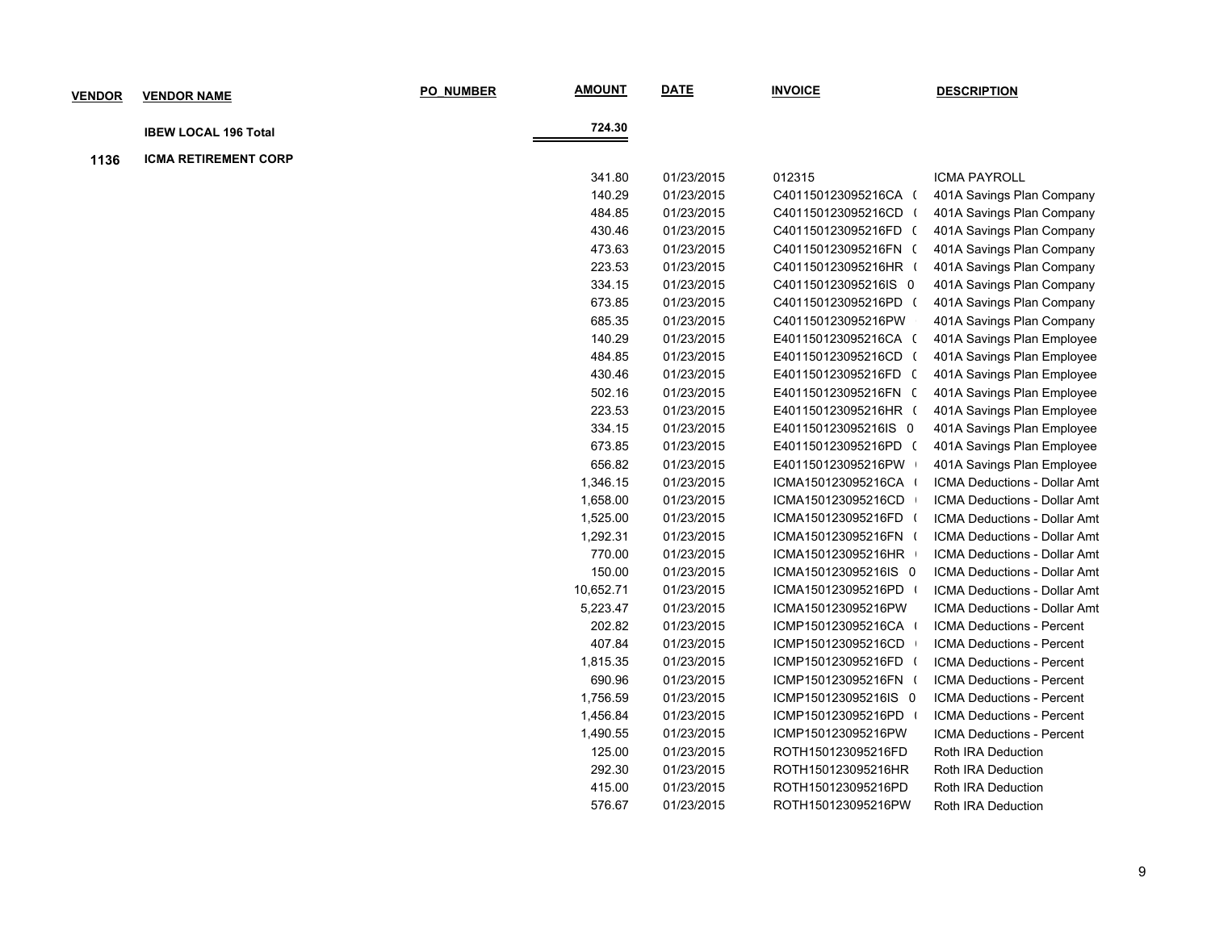| <b>VENDOR</b> | <b>VENDOR NAME</b>          | <b>PO NUMBER</b> | <b>AMOUNT</b> | <b>DATE</b> | <b>INVOICE</b>       | <b>DESCRIPTION</b>           |
|---------------|-----------------------------|------------------|---------------|-------------|----------------------|------------------------------|
|               |                             |                  | 724.30        |             |                      |                              |
|               | <b>IBEW LOCAL 196 Total</b> |                  |               |             |                      |                              |
| 1136          | <b>ICMA RETIREMENT CORP</b> |                  |               |             |                      |                              |
|               |                             |                  | 341.80        | 01/23/2015  | 012315               | <b>ICMA PAYROLL</b>          |
|               |                             |                  | 140.29        | 01/23/2015  | C401150123095216CA ( | 401A Savings Plan Company    |
|               |                             |                  | 484.85        | 01/23/2015  | C401150123095216CD ( | 401A Savings Plan Company    |
|               |                             |                  | 430.46        | 01/23/2015  | C401150123095216FD ( | 401A Savings Plan Company    |
|               |                             |                  | 473.63        | 01/23/2015  | C401150123095216FN ( | 401A Savings Plan Company    |
|               |                             |                  | 223.53        | 01/23/2015  | C401150123095216HR ( | 401A Savings Plan Company    |
|               |                             |                  | 334.15        | 01/23/2015  | C401150123095216IS 0 | 401A Savings Plan Company    |
|               |                             |                  | 673.85        | 01/23/2015  | C401150123095216PD ( | 401A Savings Plan Company    |
|               |                             |                  | 685.35        | 01/23/2015  | C401150123095216PW   | 401A Savings Plan Company    |
|               |                             |                  | 140.29        | 01/23/2015  | E401150123095216CA ( | 401A Savings Plan Employee   |
|               |                             |                  | 484.85        | 01/23/2015  | E401150123095216CD ( | 401A Savings Plan Employee   |
|               |                             |                  | 430.46        | 01/23/2015  | E401150123095216FD ( | 401A Savings Plan Employee   |
|               |                             |                  | 502.16        | 01/23/2015  | E401150123095216FN ( | 401A Savings Plan Employee   |
|               |                             |                  | 223.53        | 01/23/2015  | E401150123095216HR ( | 401A Savings Plan Employee   |
|               |                             |                  | 334.15        | 01/23/2015  | E401150123095216IS 0 | 401A Savings Plan Employee   |
|               |                             |                  | 673.85        | 01/23/2015  | E401150123095216PD ( | 401A Savings Plan Employee   |
|               |                             |                  | 656.82        | 01/23/2015  | E401150123095216PW   | 401A Savings Plan Employee   |
|               |                             |                  | 1,346.15      | 01/23/2015  | ICMA150123095216CA   | ICMA Deductions - Dollar Amt |
|               |                             |                  | 1,658.00      | 01/23/2015  | ICMA150123095216CD   | ICMA Deductions - Dollar Amt |
|               |                             |                  | 1,525.00      | 01/23/2015  | ICMA150123095216FD   | ICMA Deductions - Dollar Amt |
|               |                             |                  | 1,292.31      | 01/23/2015  | ICMA150123095216FN ( | ICMA Deductions - Dollar Amt |
|               |                             |                  | 770.00        | 01/23/2015  | ICMA150123095216HR   | ICMA Deductions - Dollar Amt |
|               |                             |                  | 150.00        | 01/23/2015  | ICMA150123095216IS 0 | ICMA Deductions - Dollar Amt |
|               |                             |                  | 10,652.71     | 01/23/2015  | ICMA150123095216PD   | ICMA Deductions - Dollar Amt |
|               |                             |                  | 5,223.47      | 01/23/2015  | ICMA150123095216PW   | ICMA Deductions - Dollar Amt |
|               |                             |                  | 202.82        | 01/23/2015  | ICMP150123095216CA   | ICMA Deductions - Percent    |
|               |                             |                  | 407.84        | 01/23/2015  | ICMP150123095216CD   | ICMA Deductions - Percent    |
|               |                             |                  | 1,815.35      | 01/23/2015  | ICMP150123095216FD   | ICMA Deductions - Percent    |
|               |                             |                  | 690.96        | 01/23/2015  | ICMP150123095216FN ( | ICMA Deductions - Percent    |
|               |                             |                  | 1,756.59      | 01/23/2015  | ICMP150123095216IS 0 | ICMA Deductions - Percent    |
|               |                             |                  | 1,456.84      | 01/23/2015  | ICMP150123095216PD   | ICMA Deductions - Percent    |
|               |                             |                  | 1,490.55      | 01/23/2015  | ICMP150123095216PW   | ICMA Deductions - Percent    |
|               |                             |                  | 125.00        | 01/23/2015  | ROTH150123095216FD   | Roth IRA Deduction           |
|               |                             |                  | 292.30        | 01/23/2015  | ROTH150123095216HR   | Roth IRA Deduction           |
|               |                             |                  | 415.00        | 01/23/2015  | ROTH150123095216PD   | Roth IRA Deduction           |
|               |                             |                  | 576.67        | 01/23/2015  | ROTH150123095216PW   | Roth IRA Deduction           |
|               |                             |                  |               |             |                      |                              |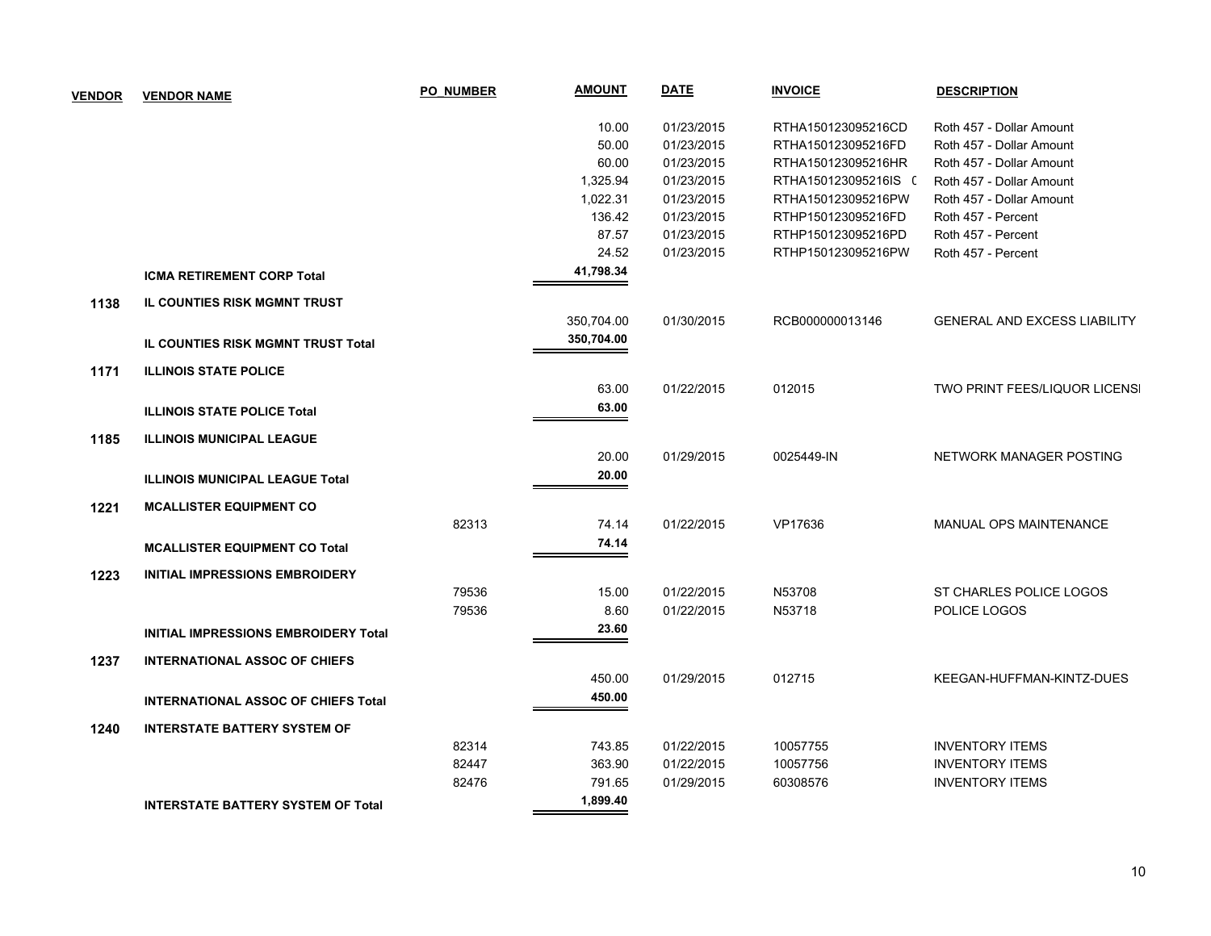| <b>VENDOR</b> | <b>VENDOR NAME</b>                          | <b>PO NUMBER</b> | <b>AMOUNT</b> | <b>DATE</b> | <b>INVOICE</b>       | <b>DESCRIPTION</b>                   |
|---------------|---------------------------------------------|------------------|---------------|-------------|----------------------|--------------------------------------|
|               |                                             |                  | 10.00         | 01/23/2015  | RTHA150123095216CD   | Roth 457 - Dollar Amount             |
|               |                                             |                  | 50.00         | 01/23/2015  | RTHA150123095216FD   | Roth 457 - Dollar Amount             |
|               |                                             |                  | 60.00         | 01/23/2015  | RTHA150123095216HR   | Roth 457 - Dollar Amount             |
|               |                                             |                  | 1,325.94      | 01/23/2015  | RTHA150123095216IS ( | Roth 457 - Dollar Amount             |
|               |                                             |                  | 1,022.31      | 01/23/2015  | RTHA150123095216PW   | Roth 457 - Dollar Amount             |
|               |                                             |                  | 136.42        | 01/23/2015  | RTHP150123095216FD   | Roth 457 - Percent                   |
|               |                                             |                  | 87.57         | 01/23/2015  | RTHP150123095216PD   | Roth 457 - Percent                   |
|               |                                             |                  | 24.52         | 01/23/2015  | RTHP150123095216PW   | Roth 457 - Percent                   |
|               | <b>ICMA RETIREMENT CORP Total</b>           |                  | 41,798.34     |             |                      |                                      |
| 1138          | <b>IL COUNTIES RISK MGMNT TRUST</b>         |                  |               |             |                      |                                      |
|               |                                             |                  | 350,704.00    | 01/30/2015  | RCB000000013146      | <b>GENERAL AND EXCESS LIABILITY</b>  |
|               | IL COUNTIES RISK MGMNT TRUST Total          |                  | 350,704.00    |             |                      |                                      |
| 1171          | <b>ILLINOIS STATE POLICE</b>                |                  |               |             |                      |                                      |
|               |                                             |                  | 63.00         | 01/22/2015  | 012015               | <b>TWO PRINT FEES/LIQUOR LICENS!</b> |
|               | <b>ILLINOIS STATE POLICE Total</b>          |                  | 63.00         |             |                      |                                      |
| 1185          | <b>ILLINOIS MUNICIPAL LEAGUE</b>            |                  |               |             |                      |                                      |
|               |                                             |                  | 20.00         | 01/29/2015  | 0025449-IN           | NETWORK MANAGER POSTING              |
|               | <b>ILLINOIS MUNICIPAL LEAGUE Total</b>      |                  | 20.00         |             |                      |                                      |
| 1221          | <b>MCALLISTER EQUIPMENT CO</b>              |                  |               |             |                      |                                      |
|               |                                             | 82313            | 74.14         | 01/22/2015  | VP17636              | MANUAL OPS MAINTENANCE               |
|               |                                             |                  | 74.14         |             |                      |                                      |
|               | <b>MCALLISTER EQUIPMENT CO Total</b>        |                  |               |             |                      |                                      |
| 1223          | <b>INITIAL IMPRESSIONS EMBROIDERY</b>       |                  |               |             |                      |                                      |
|               |                                             | 79536            | 15.00         | 01/22/2015  | N53708               | ST CHARLES POLICE LOGOS              |
|               |                                             | 79536            | 8.60          | 01/22/2015  | N53718               | POLICE LOGOS                         |
|               | <b>INITIAL IMPRESSIONS EMBROIDERY Total</b> |                  | 23.60         |             |                      |                                      |
| 1237          | <b>INTERNATIONAL ASSOC OF CHIEFS</b>        |                  |               |             |                      |                                      |
|               |                                             |                  | 450.00        | 01/29/2015  | 012715               | KEEGAN-HUFFMAN-KINTZ-DUES            |
|               | <b>INTERNATIONAL ASSOC OF CHIEFS Total</b>  |                  | 450.00        |             |                      |                                      |
| 1240          | <b>INTERSTATE BATTERY SYSTEM OF</b>         |                  |               |             |                      |                                      |
|               |                                             | 82314            | 743.85        | 01/22/2015  | 10057755             | <b>INVENTORY ITEMS</b>               |
|               |                                             | 82447            | 363.90        | 01/22/2015  | 10057756             | <b>INVENTORY ITEMS</b>               |
|               |                                             | 82476            | 791.65        | 01/29/2015  | 60308576             | <b>INVENTORY ITEMS</b>               |
|               | <b>INTERSTATE BATTERY SYSTEM OF Total</b>   |                  | 1,899.40      |             |                      |                                      |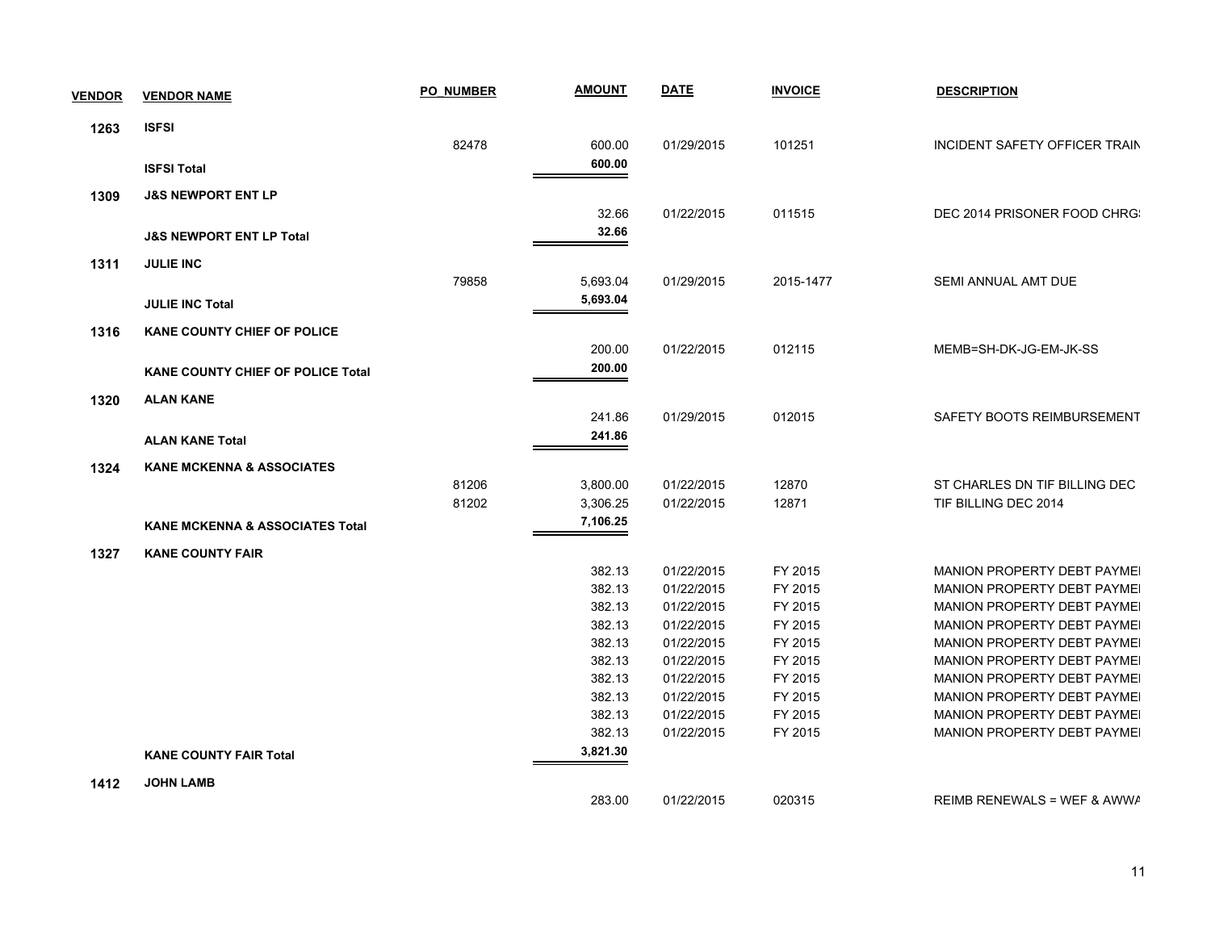| <b>VENDOR</b> | <b>VENDOR NAME</b>                         | <b>PO NUMBER</b> | <b>AMOUNT</b>        | <b>DATE</b> | <b>INVOICE</b> | <b>DESCRIPTION</b>                 |
|---------------|--------------------------------------------|------------------|----------------------|-------------|----------------|------------------------------------|
| 1263          | <b>ISFSI</b>                               |                  |                      |             |                |                                    |
|               |                                            | 82478            | 600.00               | 01/29/2015  | 101251         | INCIDENT SAFETY OFFICER TRAIN      |
|               | <b>ISFSI Total</b>                         |                  | 600.00               |             |                |                                    |
| 1309          | <b>J&amp;S NEWPORT ENT LP</b>              |                  |                      |             |                |                                    |
|               |                                            |                  | 32.66                | 01/22/2015  | 011515         | DEC 2014 PRISONER FOOD CHRG:       |
|               | <b>J&amp;S NEWPORT ENT LP Total</b>        |                  | 32.66                |             |                |                                    |
|               |                                            |                  |                      |             |                |                                    |
| 1311          | <b>JULIE INC</b>                           | 79858            | 5,693.04             | 01/29/2015  | 2015-1477      | <b>SEMI ANNUAL AMT DUE</b>         |
|               |                                            |                  | 5,693.04             |             |                |                                    |
|               | <b>JULIE INC Total</b>                     |                  |                      |             |                |                                    |
| 1316          | <b>KANE COUNTY CHIEF OF POLICE</b>         |                  |                      |             |                |                                    |
|               |                                            |                  | 200.00               | 01/22/2015  | 012115         | MEMB=SH-DK-JG-EM-JK-SS             |
|               | <b>KANE COUNTY CHIEF OF POLICE Total</b>   |                  | 200.00               |             |                |                                    |
| 1320          | <b>ALAN KANE</b>                           |                  |                      |             |                |                                    |
|               |                                            |                  | 241.86               | 01/29/2015  | 012015         | SAFETY BOOTS REIMBURSEMENT         |
|               | <b>ALAN KANE Total</b>                     |                  | 241.86               |             |                |                                    |
|               |                                            |                  |                      |             |                |                                    |
| 1324          | <b>KANE MCKENNA &amp; ASSOCIATES</b>       |                  |                      |             |                |                                    |
|               |                                            | 81206            | 3,800.00             | 01/22/2015  | 12870<br>12871 | ST CHARLES DN TIF BILLING DEC      |
|               |                                            | 81202            | 3,306.25<br>7,106.25 | 01/22/2015  |                | TIF BILLING DEC 2014               |
|               | <b>KANE MCKENNA &amp; ASSOCIATES Total</b> |                  |                      |             |                |                                    |
| 1327          | <b>KANE COUNTY FAIR</b>                    |                  |                      |             |                |                                    |
|               |                                            |                  | 382.13               | 01/22/2015  | FY 2015        | <b>MANION PROPERTY DEBT PAYMEL</b> |
|               |                                            |                  | 382.13               | 01/22/2015  | FY 2015        | MANION PROPERTY DEBT PAYMEI        |
|               |                                            |                  | 382.13               | 01/22/2015  | FY 2015        | MANION PROPERTY DEBT PAYMEI        |
|               |                                            |                  | 382.13               | 01/22/2015  | FY 2015        | MANION PROPERTY DEBT PAYMEI        |
|               |                                            |                  | 382.13               | 01/22/2015  | FY 2015        | MANION PROPERTY DEBT PAYMEI        |
|               |                                            |                  | 382.13               | 01/22/2015  | FY 2015        | <b>MANION PROPERTY DEBT PAYMEL</b> |
|               |                                            |                  | 382.13               | 01/22/2015  | FY 2015        | <b>MANION PROPERTY DEBT PAYMEI</b> |
|               |                                            |                  | 382.13               | 01/22/2015  | FY 2015        | MANION PROPERTY DEBT PAYMEI        |
|               |                                            |                  | 382.13               | 01/22/2015  | FY 2015        | MANION PROPERTY DEBT PAYMEI        |
|               |                                            |                  | 382.13               | 01/22/2015  | FY 2015        | MANION PROPERTY DEBT PAYMEI        |
|               | <b>KANE COUNTY FAIR Total</b>              |                  | 3,821.30             |             |                |                                    |
| 1412          | <b>JOHN LAMB</b>                           |                  |                      |             |                |                                    |
|               |                                            |                  | 283.00               | 01/22/2015  | 020315         | REIMB RENEWALS = WEF & AWWA        |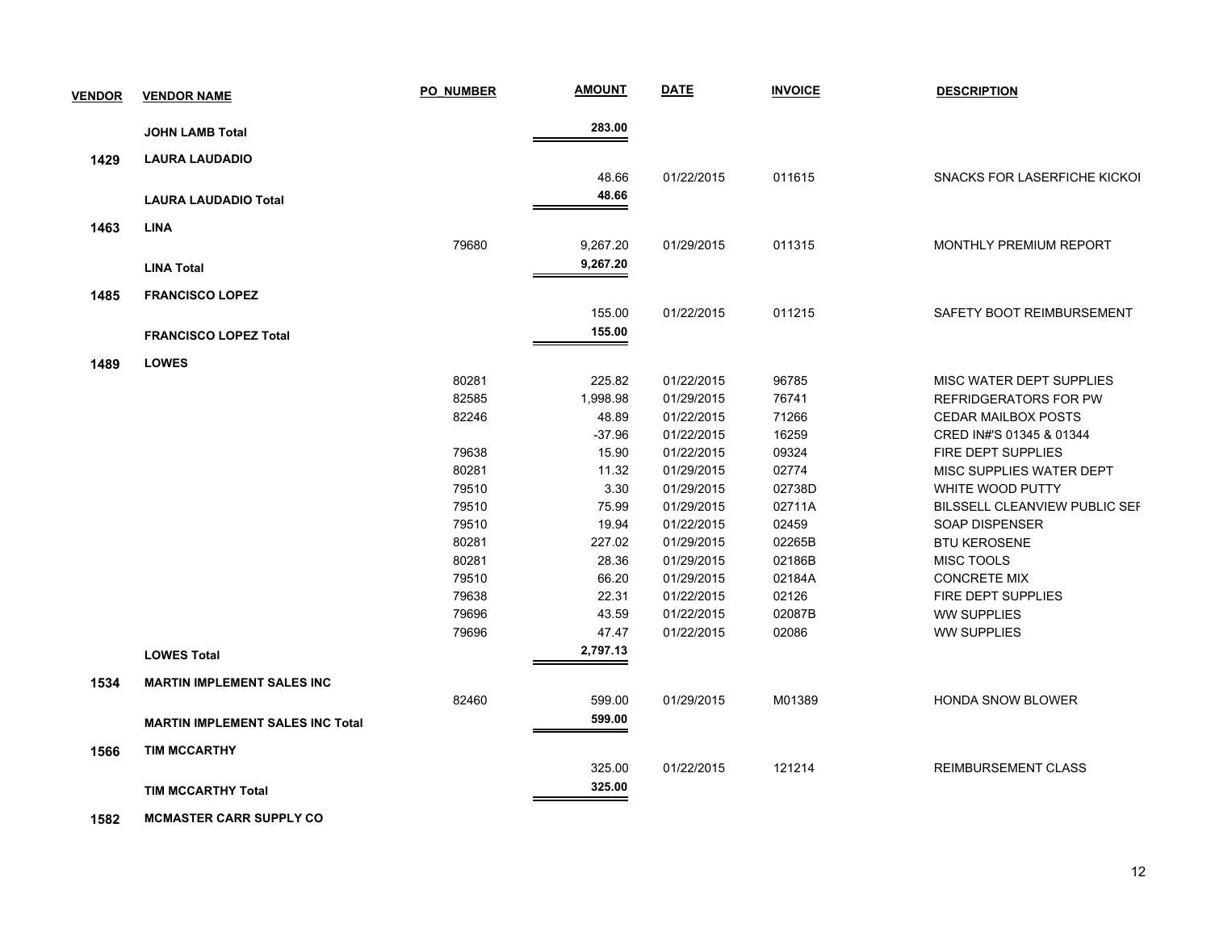| <b>VENDOR</b> | <b>VENDOR NAME</b>                      | <b>PO NUMBER</b> | <b>AMOUNT</b> | <b>DATE</b> | <b>INVOICE</b> | <b>DESCRIPTION</b>                   |
|---------------|-----------------------------------------|------------------|---------------|-------------|----------------|--------------------------------------|
|               |                                         |                  | 283.00        |             |                |                                      |
|               | <b>JOHN LAMB Total</b>                  |                  |               |             |                |                                      |
| 1429          | <b>LAURA LAUDADIO</b>                   |                  |               |             |                |                                      |
|               |                                         |                  | 48.66         | 01/22/2015  | 011615         | SNACKS FOR LASERFICHE KICKOI         |
|               | <b>LAURA LAUDADIO Total</b>             |                  | 48.66         |             |                |                                      |
| 1463          | <b>LINA</b>                             |                  |               |             |                |                                      |
|               |                                         | 79680            | 9,267.20      | 01/29/2015  | 011315         | MONTHLY PREMIUM REPORT               |
|               | <b>LINA Total</b>                       |                  | 9,267.20      |             |                |                                      |
| 1485          | <b>FRANCISCO LOPEZ</b>                  |                  |               |             |                |                                      |
|               |                                         |                  | 155.00        | 01/22/2015  | 011215         | SAFETY BOOT REIMBURSEMENT            |
|               | <b>FRANCISCO LOPEZ Total</b>            |                  | 155.00        |             |                |                                      |
| 1489          | <b>LOWES</b>                            |                  |               |             |                |                                      |
|               |                                         | 80281            | 225.82        | 01/22/2015  | 96785          | MISC WATER DEPT SUPPLIES             |
|               |                                         | 82585            | 1,998.98      | 01/29/2015  | 76741          | <b>REFRIDGERATORS FOR PW</b>         |
|               |                                         | 82246            | 48.89         | 01/22/2015  | 71266          | <b>CEDAR MAILBOX POSTS</b>           |
|               |                                         |                  | $-37.96$      | 01/22/2015  | 16259          | CRED IN#'S 01345 & 01344             |
|               |                                         | 79638            | 15.90         | 01/22/2015  | 09324          | FIRE DEPT SUPPLIES                   |
|               |                                         | 80281            | 11.32         | 01/29/2015  | 02774          | MISC SUPPLIES WATER DEPT             |
|               |                                         | 79510            | 3.30          | 01/29/2015  | 02738D         | WHITE WOOD PUTTY                     |
|               |                                         | 79510            | 75.99         | 01/29/2015  | 02711A         | <b>BILSSELL CLEANVIEW PUBLIC SEF</b> |
|               |                                         | 79510            | 19.94         | 01/22/2015  | 02459          | <b>SOAP DISPENSER</b>                |
|               |                                         | 80281            | 227.02        | 01/29/2015  | 02265B         | <b>BTU KEROSENE</b>                  |
|               |                                         | 80281            | 28.36         | 01/29/2015  | 02186B         | <b>MISC TOOLS</b>                    |
|               |                                         | 79510            | 66.20         | 01/29/2015  | 02184A         | <b>CONCRETE MIX</b>                  |
|               |                                         | 79638            | 22.31         | 01/22/2015  | 02126          | FIRE DEPT SUPPLIES                   |
|               |                                         | 79696            | 43.59         | 01/22/2015  | 02087B         | <b>WW SUPPLIES</b>                   |
|               |                                         | 79696            | 47.47         | 01/22/2015  | 02086          | <b>WW SUPPLIES</b>                   |
|               | <b>LOWES Total</b>                      |                  | 2,797.13      |             |                |                                      |
| 1534          | <b>MARTIN IMPLEMENT SALES INC</b>       |                  |               |             |                |                                      |
|               |                                         | 82460            | 599.00        | 01/29/2015  | M01389         | <b>HONDA SNOW BLOWER</b>             |
|               | <b>MARTIN IMPLEMENT SALES INC Total</b> |                  | 599.00        |             |                |                                      |
| 1566          | <b>TIM MCCARTHY</b>                     |                  |               |             |                |                                      |
|               |                                         |                  | 325.00        | 01/22/2015  | 121214         | <b>REIMBURSEMENT CLASS</b>           |
|               | <b>TIM MCCARTHY Total</b>               |                  | 325.00        |             |                |                                      |
|               |                                         |                  |               |             |                |                                      |

 **1582 MCMASTER CARR SUPPLY CO**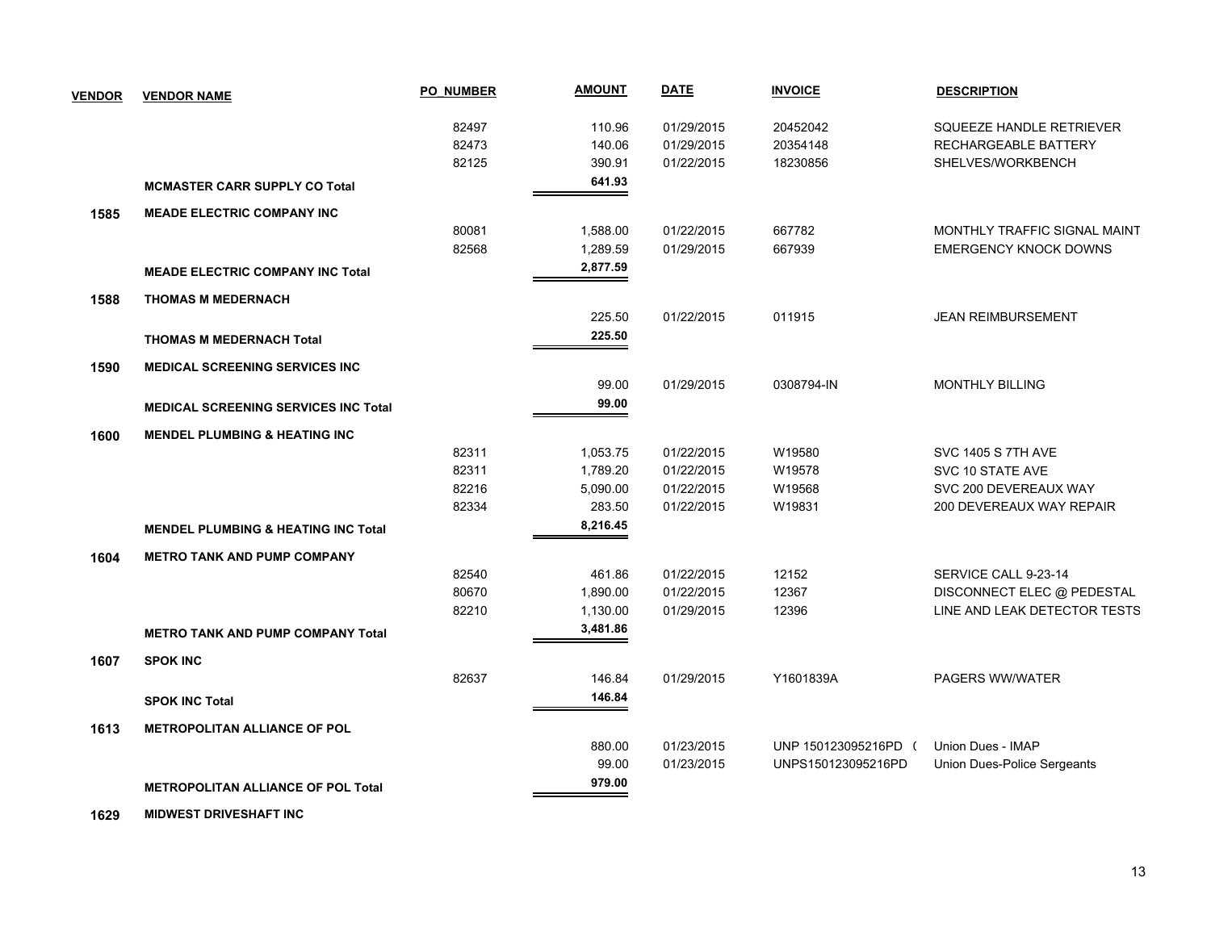| <b>VENDOR</b> | <b>VENDOR NAME</b>                             | <b>PO NUMBER</b> | <b>AMOUNT</b> | <b>DATE</b> | <b>INVOICE</b>       | <b>DESCRIPTION</b>           |
|---------------|------------------------------------------------|------------------|---------------|-------------|----------------------|------------------------------|
|               |                                                | 82497            | 110.96        | 01/29/2015  | 20452042             | SQUEEZE HANDLE RETRIEVER     |
|               |                                                | 82473            | 140.06        | 01/29/2015  | 20354148             | RECHARGEABLE BATTERY         |
|               |                                                | 82125            | 390.91        | 01/22/2015  | 18230856             | SHELVES/WORKBENCH            |
|               | <b>MCMASTER CARR SUPPLY CO Total</b>           |                  | 641.93        |             |                      |                              |
| 1585          | <b>MEADE ELECTRIC COMPANY INC</b>              |                  |               |             |                      |                              |
|               |                                                | 80081            | 1,588.00      | 01/22/2015  | 667782               | MONTHLY TRAFFIC SIGNAL MAINT |
|               |                                                | 82568            | 1,289.59      | 01/29/2015  | 667939               | <b>EMERGENCY KNOCK DOWNS</b> |
|               | <b>MEADE ELECTRIC COMPANY INC Total</b>        |                  | 2,877.59      |             |                      |                              |
| 1588          | <b>THOMAS M MEDERNACH</b>                      |                  |               |             |                      |                              |
|               |                                                |                  | 225.50        | 01/22/2015  | 011915               | <b>JEAN REIMBURSEMENT</b>    |
|               | <b>THOMAS M MEDERNACH Total</b>                |                  | 225.50        |             |                      |                              |
| 1590          | <b>MEDICAL SCREENING SERVICES INC</b>          |                  |               |             |                      |                              |
|               |                                                |                  | 99.00         | 01/29/2015  | 0308794-IN           | <b>MONTHLY BILLING</b>       |
|               | <b>MEDICAL SCREENING SERVICES INC Total</b>    |                  | 99.00         |             |                      |                              |
| 1600          | <b>MENDEL PLUMBING &amp; HEATING INC.</b>      |                  |               |             |                      |                              |
|               |                                                | 82311            | 1,053.75      | 01/22/2015  | W19580               | <b>SVC 1405 S 7TH AVE</b>    |
|               |                                                | 82311            | 1,789.20      | 01/22/2015  | W19578               | SVC 10 STATE AVE             |
|               |                                                | 82216            | 5,090.00      | 01/22/2015  | W19568               | SVC 200 DEVEREAUX WAY        |
|               |                                                | 82334            | 283.50        | 01/22/2015  | W19831               | 200 DEVEREAUX WAY REPAIR     |
|               | <b>MENDEL PLUMBING &amp; HEATING INC Total</b> |                  | 8,216.45      |             |                      |                              |
| 1604          | <b>METRO TANK AND PUMP COMPANY</b>             |                  |               |             |                      |                              |
|               |                                                | 82540            | 461.86        | 01/22/2015  | 12152                | SERVICE CALL 9-23-14         |
|               |                                                | 80670            | 1,890.00      | 01/22/2015  | 12367                | DISCONNECT ELEC @ PEDESTAL   |
|               |                                                | 82210            | 1,130.00      | 01/29/2015  | 12396                | LINE AND LEAK DETECTOR TESTS |
|               | <b>METRO TANK AND PUMP COMPANY Total</b>       |                  | 3,481.86      |             |                      |                              |
| 1607          | <b>SPOK INC</b>                                |                  |               |             |                      |                              |
|               |                                                | 82637            | 146.84        | 01/29/2015  | Y1601839A            | PAGERS WW/WATER              |
|               | <b>SPOK INC Total</b>                          |                  | 146.84        |             |                      |                              |
| 1613          | <b>METROPOLITAN ALLIANCE OF POL</b>            |                  |               |             |                      |                              |
|               |                                                |                  | 880.00        | 01/23/2015  | UNP 150123095216PD ( | Union Dues - IMAP            |
|               |                                                |                  | 99.00         | 01/23/2015  | UNPS150123095216PD   | Union Dues-Police Sergeants  |
|               | <b>METROPOLITAN ALLIANCE OF POL Total</b>      |                  | 979.00        |             |                      |                              |
|               |                                                |                  |               |             |                      |                              |

 **1629 MIDWEST DRIVESHAFT INC**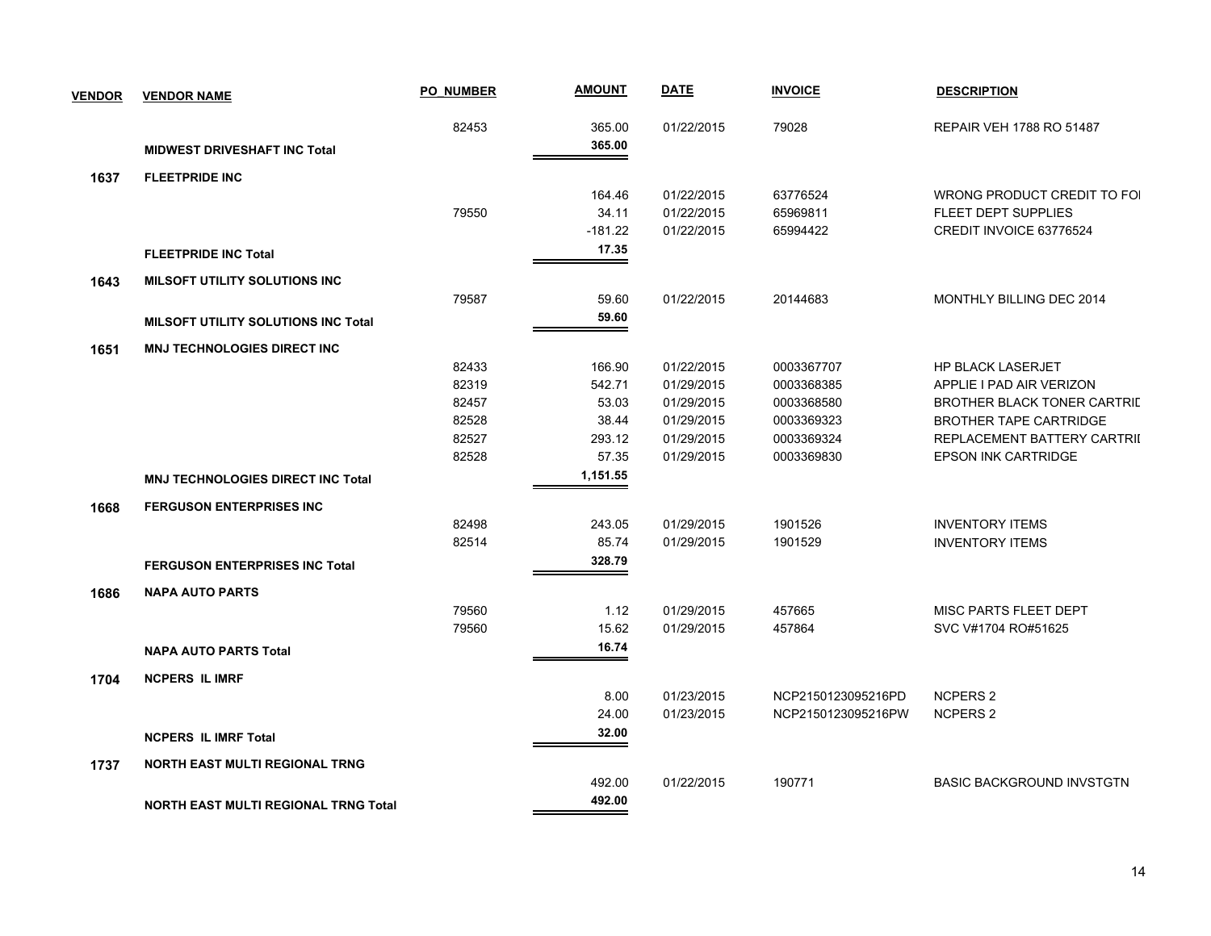| <b>VENDOR</b> | <b>VENDOR NAME</b>                          | <b>PO NUMBER</b> | <b>AMOUNT</b> | <b>DATE</b> | <b>INVOICE</b>     | <b>DESCRIPTION</b>               |
|---------------|---------------------------------------------|------------------|---------------|-------------|--------------------|----------------------------------|
|               |                                             | 82453            | 365.00        | 01/22/2015  | 79028              | REPAIR VEH 1788 RO 51487         |
|               | <b>MIDWEST DRIVESHAFT INC Total</b>         |                  | 365.00        |             |                    |                                  |
| 1637          | <b>FLEETPRIDE INC</b>                       |                  |               |             |                    |                                  |
|               |                                             |                  | 164.46        | 01/22/2015  | 63776524           | WRONG PRODUCT CREDIT TO FOI      |
|               |                                             | 79550            | 34.11         | 01/22/2015  | 65969811           | FLEET DEPT SUPPLIES              |
|               |                                             |                  | $-181.22$     | 01/22/2015  | 65994422           | CREDIT INVOICE 63776524          |
|               | <b>FLEETPRIDE INC Total</b>                 |                  | 17.35         |             |                    |                                  |
| 1643          | <b>MILSOFT UTILITY SOLUTIONS INC</b>        |                  |               |             |                    |                                  |
|               |                                             | 79587            | 59.60         | 01/22/2015  | 20144683           | MONTHLY BILLING DEC 2014         |
|               | <b>MILSOFT UTILITY SOLUTIONS INC Total</b>  |                  | 59.60         |             |                    |                                  |
| 1651          | <b>MNJ TECHNOLOGIES DIRECT INC</b>          |                  |               |             |                    |                                  |
|               |                                             | 82433            | 166.90        | 01/22/2015  | 0003367707         | <b>HP BLACK LASERJET</b>         |
|               |                                             | 82319            | 542.71        | 01/29/2015  | 0003368385         | APPLIE I PAD AIR VERIZON         |
|               |                                             | 82457            | 53.03         | 01/29/2015  | 0003368580         | BROTHER BLACK TONER CARTRIL      |
|               |                                             | 82528            | 38.44         | 01/29/2015  | 0003369323         | <b>BROTHER TAPE CARTRIDGE</b>    |
|               |                                             | 82527            | 293.12        | 01/29/2015  | 0003369324         | REPLACEMENT BATTERY CARTRII      |
|               |                                             | 82528            | 57.35         | 01/29/2015  | 0003369830         | <b>EPSON INK CARTRIDGE</b>       |
|               | <b>MNJ TECHNOLOGIES DIRECT INC Total</b>    |                  | 1,151.55      |             |                    |                                  |
| 1668          | <b>FERGUSON ENTERPRISES INC</b>             |                  |               |             |                    |                                  |
|               |                                             | 82498            | 243.05        | 01/29/2015  | 1901526            | <b>INVENTORY ITEMS</b>           |
|               |                                             | 82514            | 85.74         | 01/29/2015  | 1901529            | <b>INVENTORY ITEMS</b>           |
|               | <b>FERGUSON ENTERPRISES INC Total</b>       |                  | 328.79        |             |                    |                                  |
| 1686          | <b>NAPA AUTO PARTS</b>                      |                  |               |             |                    |                                  |
|               |                                             | 79560            | 1.12          | 01/29/2015  | 457665             | MISC PARTS FLEET DEPT            |
|               |                                             | 79560            | 15.62         | 01/29/2015  | 457864             | SVC V#1704 RO#51625              |
|               | <b>NAPA AUTO PARTS Total</b>                |                  | 16.74         |             |                    |                                  |
| 1704          | <b>NCPERS IL IMRF</b>                       |                  |               |             |                    |                                  |
|               |                                             |                  | 8.00          | 01/23/2015  | NCP2150123095216PD | <b>NCPERS 2</b>                  |
|               |                                             |                  | 24.00         | 01/23/2015  | NCP2150123095216PW | <b>NCPERS 2</b>                  |
|               | <b>NCPERS IL IMRF Total</b>                 |                  | 32.00         |             |                    |                                  |
| 1737          | <b>NORTH EAST MULTI REGIONAL TRNG</b>       |                  |               |             |                    |                                  |
|               |                                             |                  | 492.00        | 01/22/2015  | 190771             | <b>BASIC BACKGROUND INVSTGTN</b> |
|               | <b>NORTH EAST MULTI REGIONAL TRNG Total</b> |                  | 492.00        |             |                    |                                  |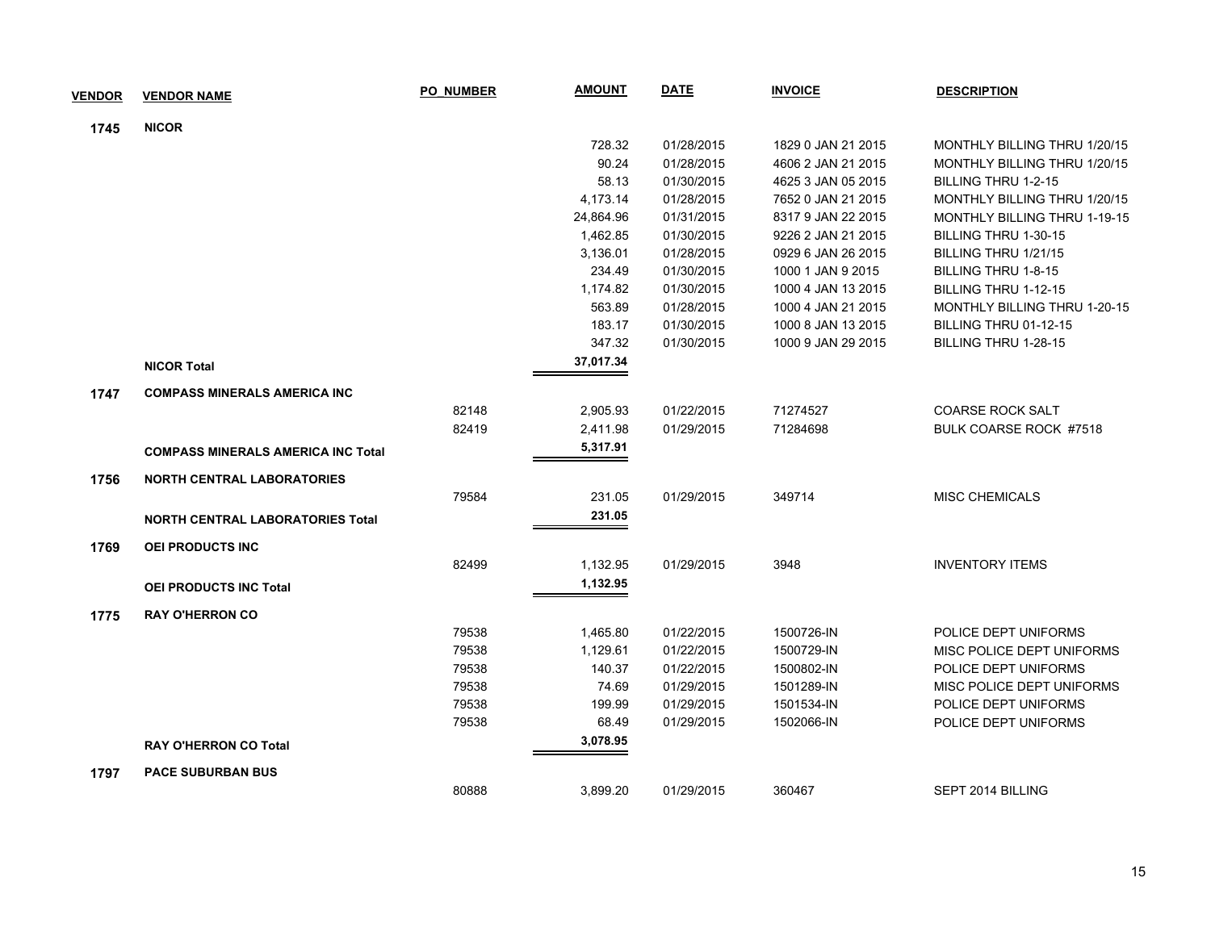| <b>VENDOR</b> | <b>VENDOR NAME</b>                        | <b>PO NUMBER</b> | <b>AMOUNT</b> | <b>DATE</b> | <b>INVOICE</b>     | <b>DESCRIPTION</b>                  |
|---------------|-------------------------------------------|------------------|---------------|-------------|--------------------|-------------------------------------|
| 1745          | <b>NICOR</b>                              |                  |               |             |                    |                                     |
|               |                                           |                  | 728.32        | 01/28/2015  | 1829 0 JAN 21 2015 | MONTHLY BILLING THRU 1/20/15        |
|               |                                           |                  | 90.24         | 01/28/2015  | 4606 2 JAN 21 2015 | <b>MONTHLY BILLING THRU 1/20/15</b> |
|               |                                           |                  | 58.13         | 01/30/2015  | 4625 3 JAN 05 2015 | BILLING THRU 1-2-15                 |
|               |                                           |                  | 4,173.14      | 01/28/2015  | 7652 0 JAN 21 2015 | MONTHLY BILLING THRU 1/20/15        |
|               |                                           |                  | 24,864.96     | 01/31/2015  | 8317 9 JAN 22 2015 | MONTHLY BILLING THRU 1-19-15        |
|               |                                           |                  | 1,462.85      | 01/30/2015  | 9226 2 JAN 21 2015 | BILLING THRU 1-30-15                |
|               |                                           |                  | 3,136.01      | 01/28/2015  | 0929 6 JAN 26 2015 | BILLING THRU 1/21/15                |
|               |                                           |                  | 234.49        | 01/30/2015  | 1000 1 JAN 9 2015  | <b>BILLING THRU 1-8-15</b>          |
|               |                                           |                  | 1,174.82      | 01/30/2015  | 1000 4 JAN 13 2015 | BILLING THRU 1-12-15                |
|               |                                           |                  | 563.89        | 01/28/2015  | 1000 4 JAN 21 2015 | <b>MONTHLY BILLING THRU 1-20-15</b> |
|               |                                           |                  | 183.17        | 01/30/2015  | 1000 8 JAN 13 2015 | BILLING THRU 01-12-15               |
|               |                                           |                  | 347.32        | 01/30/2015  | 1000 9 JAN 29 2015 | BILLING THRU 1-28-15                |
|               | <b>NICOR Total</b>                        |                  | 37,017.34     |             |                    |                                     |
| 1747          | <b>COMPASS MINERALS AMERICA INC</b>       |                  |               |             |                    |                                     |
|               |                                           | 82148            | 2,905.93      | 01/22/2015  | 71274527           | <b>COARSE ROCK SALT</b>             |
|               |                                           | 82419            | 2,411.98      | 01/29/2015  | 71284698           | BULK COARSE ROCK #7518              |
|               | <b>COMPASS MINERALS AMERICA INC Total</b> |                  | 5,317.91      |             |                    |                                     |
| 1756          | <b>NORTH CENTRAL LABORATORIES</b>         |                  |               |             |                    |                                     |
|               |                                           | 79584            | 231.05        | 01/29/2015  | 349714             | <b>MISC CHEMICALS</b>               |
|               | <b>NORTH CENTRAL LABORATORIES Total</b>   |                  | 231.05        |             |                    |                                     |
| 1769          | <b>OEI PRODUCTS INC</b>                   |                  |               |             |                    |                                     |
|               |                                           | 82499            | 1,132.95      | 01/29/2015  | 3948               | <b>INVENTORY ITEMS</b>              |
|               | <b>OEI PRODUCTS INC Total</b>             |                  | 1,132.95      |             |                    |                                     |
| 1775          | <b>RAY O'HERRON CO</b>                    |                  |               |             |                    |                                     |
|               |                                           | 79538            | 1,465.80      | 01/22/2015  | 1500726-IN         | POLICE DEPT UNIFORMS                |
|               |                                           | 79538            | 1,129.61      | 01/22/2015  | 1500729-IN         | MISC POLICE DEPT UNIFORMS           |
|               |                                           | 79538            | 140.37        | 01/22/2015  | 1500802-IN         | POLICE DEPT UNIFORMS                |
|               |                                           | 79538            | 74.69         | 01/29/2015  | 1501289-IN         | MISC POLICE DEPT UNIFORMS           |
|               |                                           | 79538            | 199.99        | 01/29/2015  | 1501534-IN         | POLICE DEPT UNIFORMS                |
|               |                                           | 79538            | 68.49         | 01/29/2015  | 1502066-IN         | POLICE DEPT UNIFORMS                |
|               | <b>RAY O'HERRON CO Total</b>              |                  | 3,078.95      |             |                    |                                     |
| 1797          | <b>PACE SUBURBAN BUS</b>                  |                  |               |             |                    |                                     |
|               |                                           | 80888            | 3,899.20      | 01/29/2015  | 360467             | SEPT 2014 BILLING                   |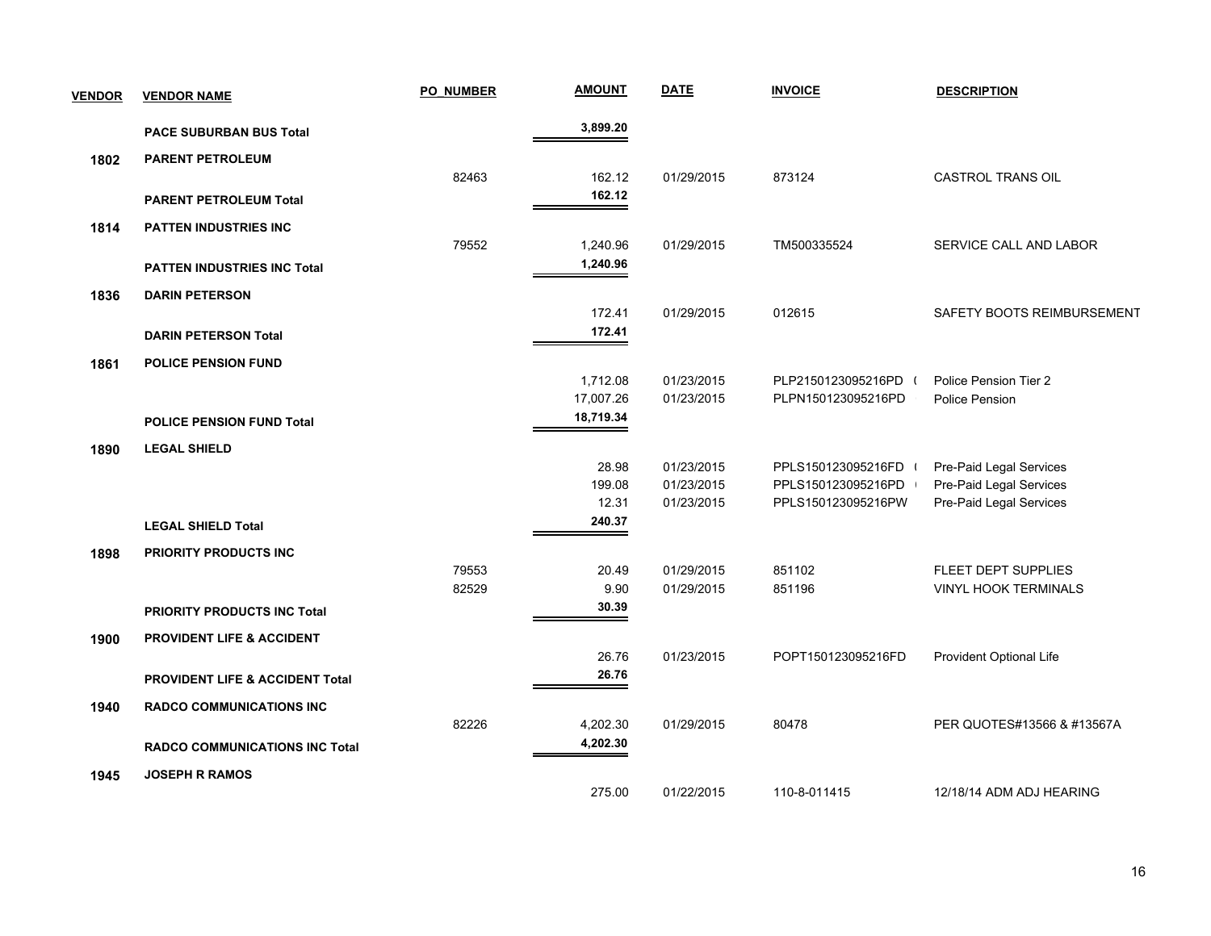| <b>VENDOR</b> | <b>VENDOR NAME</b>                         | <b>PO NUMBER</b> | <b>AMOUNT</b> | <b>DATE</b> | <b>INVOICE</b>     | <b>DESCRIPTION</b>          |
|---------------|--------------------------------------------|------------------|---------------|-------------|--------------------|-----------------------------|
|               | <b>PACE SUBURBAN BUS Total</b>             |                  | 3,899.20      |             |                    |                             |
| 1802          | <b>PARENT PETROLEUM</b>                    |                  |               |             |                    |                             |
|               |                                            | 82463            | 162.12        | 01/29/2015  | 873124             | CASTROL TRANS OIL           |
|               | <b>PARENT PETROLEUM Total</b>              |                  | 162.12        |             |                    |                             |
| 1814          | <b>PATTEN INDUSTRIES INC</b>               |                  |               |             |                    |                             |
|               |                                            | 79552            | 1,240.96      | 01/29/2015  | TM500335524        | SERVICE CALL AND LABOR      |
|               | <b>PATTEN INDUSTRIES INC Total</b>         |                  | 1,240.96      |             |                    |                             |
| 1836          | <b>DARIN PETERSON</b>                      |                  |               |             |                    |                             |
|               |                                            |                  | 172.41        | 01/29/2015  | 012615             | SAFETY BOOTS REIMBURSEMENT  |
|               | <b>DARIN PETERSON Total</b>                |                  | 172.41        |             |                    |                             |
| 1861          | <b>POLICE PENSION FUND</b>                 |                  |               |             |                    |                             |
|               |                                            |                  | 1,712.08      | 01/23/2015  | PLP2150123095216PD | Police Pension Tier 2       |
|               |                                            |                  | 17,007.26     | 01/23/2015  | PLPN150123095216PD | <b>Police Pension</b>       |
|               | <b>POLICE PENSION FUND Total</b>           |                  | 18,719.34     |             |                    |                             |
| 1890          | <b>LEGAL SHIELD</b>                        |                  |               |             |                    |                             |
|               |                                            |                  | 28.98         | 01/23/2015  | PPLS150123095216FD | Pre-Paid Legal Services     |
|               |                                            |                  | 199.08        | 01/23/2015  | PPLS150123095216PD | Pre-Paid Legal Services     |
|               |                                            |                  | 12.31         | 01/23/2015  | PPLS150123095216PW | Pre-Paid Legal Services     |
|               | <b>LEGAL SHIELD Total</b>                  |                  | 240.37        |             |                    |                             |
| 1898          | <b>PRIORITY PRODUCTS INC</b>               |                  |               |             |                    |                             |
|               |                                            | 79553            | 20.49         | 01/29/2015  | 851102             | FLEET DEPT SUPPLIES         |
|               |                                            | 82529            | 9.90          | 01/29/2015  | 851196             | <b>VINYL HOOK TERMINALS</b> |
|               | <b>PRIORITY PRODUCTS INC Total</b>         |                  | 30.39         |             |                    |                             |
| 1900          | <b>PROVIDENT LIFE &amp; ACCIDENT</b>       |                  |               |             |                    |                             |
|               |                                            |                  | 26.76         | 01/23/2015  | POPT150123095216FD | Provident Optional Life     |
|               | <b>PROVIDENT LIFE &amp; ACCIDENT Total</b> |                  | 26.76         |             |                    |                             |
| 1940          | <b>RADCO COMMUNICATIONS INC</b>            |                  |               |             |                    |                             |
|               |                                            | 82226            | 4,202.30      | 01/29/2015  | 80478              | PER QUOTES#13566 & #13567A  |
|               | <b>RADCO COMMUNICATIONS INC Total</b>      |                  | 4,202.30      |             |                    |                             |
| 1945          | <b>JOSEPH R RAMOS</b>                      |                  |               |             |                    |                             |
|               |                                            |                  | 275.00        | 01/22/2015  | 110-8-011415       | 12/18/14 ADM ADJ HEARING    |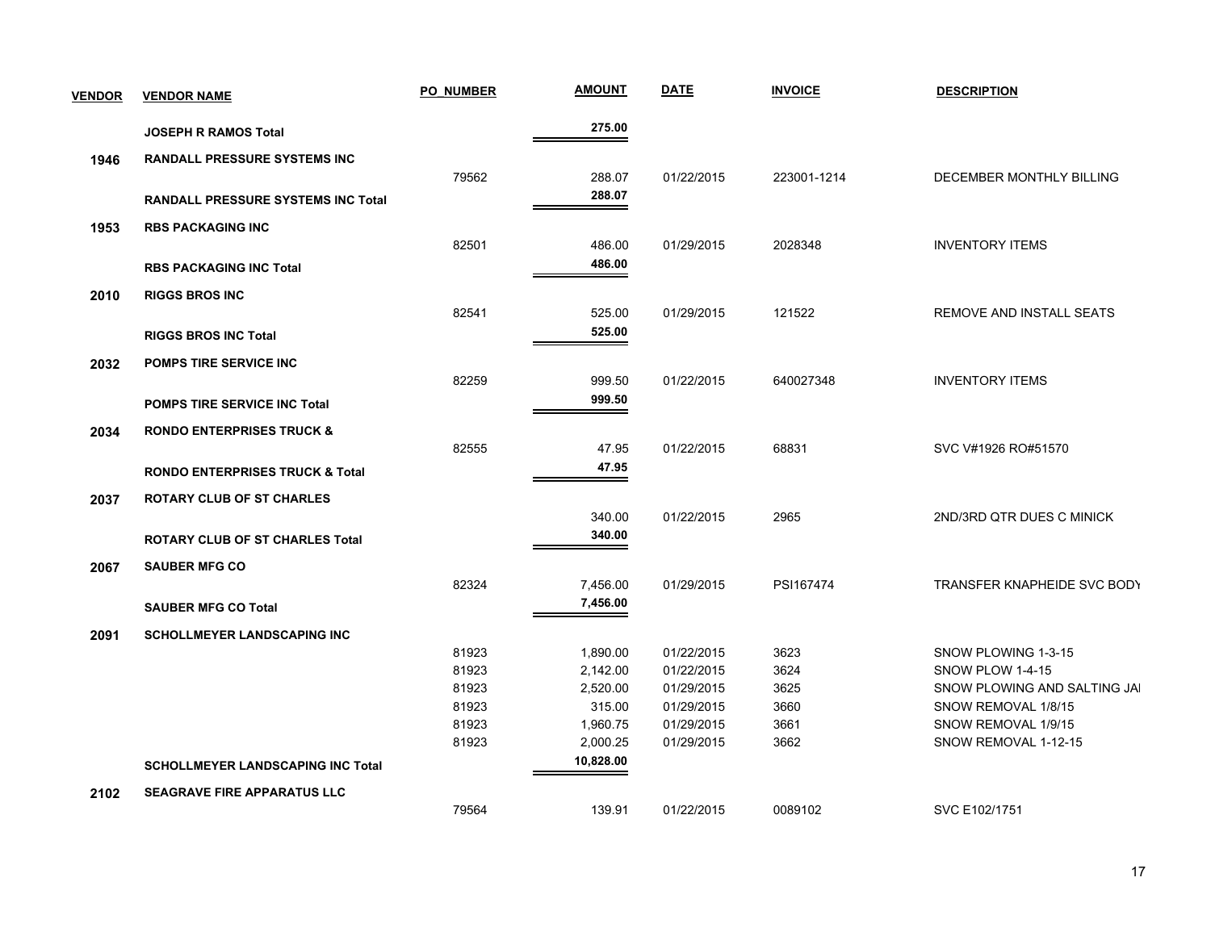| <b>VENDOR</b> | <b>VENDOR NAME</b>                         | PO NUMBER | <b>AMOUNT</b> | <b>DATE</b> | <b>INVOICE</b> | <b>DESCRIPTION</b>           |
|---------------|--------------------------------------------|-----------|---------------|-------------|----------------|------------------------------|
|               | <b>JOSEPH R RAMOS Total</b>                |           | 275.00        |             |                |                              |
| 1946          | <b>RANDALL PRESSURE SYSTEMS INC</b>        |           |               |             |                |                              |
|               |                                            | 79562     | 288.07        | 01/22/2015  | 223001-1214    | DECEMBER MONTHLY BILLING     |
|               | <b>RANDALL PRESSURE SYSTEMS INC Total</b>  |           | 288.07        |             |                |                              |
| 1953          | <b>RBS PACKAGING INC</b>                   |           |               |             |                |                              |
|               |                                            | 82501     | 486.00        | 01/29/2015  | 2028348        | <b>INVENTORY ITEMS</b>       |
|               | <b>RBS PACKAGING INC Total</b>             |           | 486.00        |             |                |                              |
|               | <b>RIGGS BROS INC</b>                      |           |               |             |                |                              |
| 2010          |                                            | 82541     | 525.00        | 01/29/2015  | 121522         | REMOVE AND INSTALL SEATS     |
|               |                                            |           | 525.00        |             |                |                              |
|               | <b>RIGGS BROS INC Total</b>                |           |               |             |                |                              |
| 2032          | <b>POMPS TIRE SERVICE INC</b>              |           |               |             |                |                              |
|               |                                            | 82259     | 999.50        | 01/22/2015  | 640027348      | <b>INVENTORY ITEMS</b>       |
|               | <b>POMPS TIRE SERVICE INC Total</b>        |           | 999.50        |             |                |                              |
| 2034          | <b>RONDO ENTERPRISES TRUCK &amp;</b>       |           |               |             |                |                              |
|               |                                            | 82555     | 47.95         | 01/22/2015  | 68831          | SVC V#1926 RO#51570          |
|               | <b>RONDO ENTERPRISES TRUCK &amp; Total</b> |           | 47.95         |             |                |                              |
| 2037          | <b>ROTARY CLUB OF ST CHARLES</b>           |           |               |             |                |                              |
|               |                                            |           | 340.00        | 01/22/2015  | 2965           | 2ND/3RD QTR DUES C MINICK    |
|               | <b>ROTARY CLUB OF ST CHARLES Total</b>     |           | 340.00        |             |                |                              |
| 2067          | <b>SAUBER MFG CO</b>                       |           |               |             |                |                              |
|               |                                            | 82324     | 7,456.00      | 01/29/2015  | PSI167474      | TRANSFER KNAPHEIDE SVC BODY  |
|               | <b>SAUBER MFG CO Total</b>                 |           | 7,456.00      |             |                |                              |
| 2091          | <b>SCHOLLMEYER LANDSCAPING INC</b>         |           |               |             |                |                              |
|               |                                            | 81923     | 1,890.00      | 01/22/2015  | 3623           | SNOW PLOWING 1-3-15          |
|               |                                            | 81923     | 2,142.00      | 01/22/2015  | 3624           | SNOW PLOW 1-4-15             |
|               |                                            | 81923     | 2,520.00      | 01/29/2015  | 3625           | SNOW PLOWING AND SALTING JAI |
|               |                                            | 81923     | 315.00        | 01/29/2015  | 3660           | SNOW REMOVAL 1/8/15          |
|               |                                            | 81923     | 1,960.75      | 01/29/2015  | 3661           | SNOW REMOVAL 1/9/15          |
|               |                                            | 81923     | 2,000.25      | 01/29/2015  | 3662           | SNOW REMOVAL 1-12-15         |
|               | <b>SCHOLLMEYER LANDSCAPING INC Total</b>   |           | 10,828.00     |             |                |                              |
| 2102          | <b>SEAGRAVE FIRE APPARATUS LLC</b>         |           |               |             |                |                              |
|               |                                            | 79564     | 139.91        | 01/22/2015  | 0089102        | SVC E102/1751                |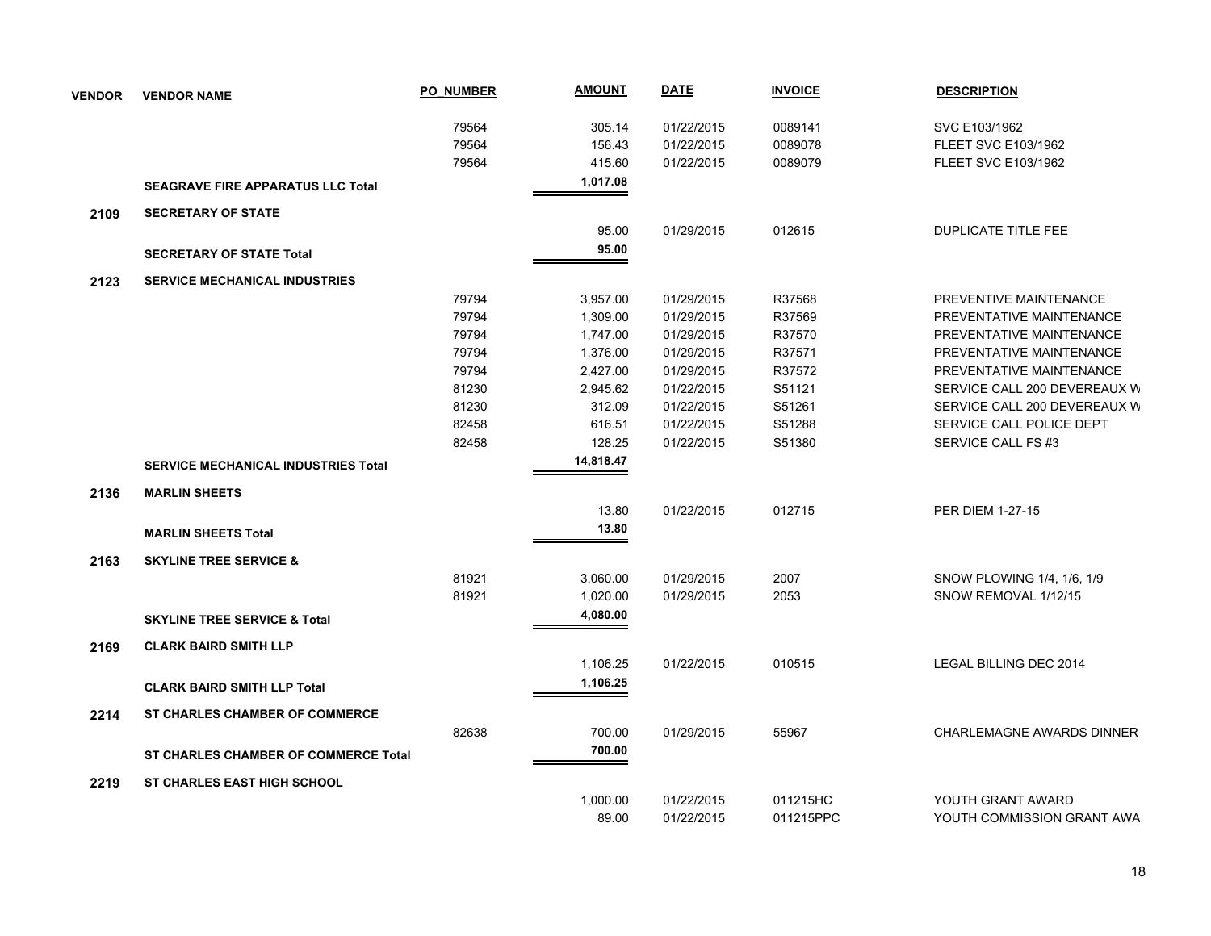| <b>VENDOR</b> | <b>VENDOR NAME</b>                          | <b>PO NUMBER</b> | <b>AMOUNT</b> | <b>DATE</b> | <b>INVOICE</b> | <b>DESCRIPTION</b>               |
|---------------|---------------------------------------------|------------------|---------------|-------------|----------------|----------------------------------|
|               |                                             | 79564            | 305.14        | 01/22/2015  | 0089141        | SVC E103/1962                    |
|               |                                             | 79564            | 156.43        | 01/22/2015  | 0089078        | <b>FLEET SVC E103/1962</b>       |
|               |                                             | 79564            | 415.60        | 01/22/2015  | 0089079        | <b>FLEET SVC E103/1962</b>       |
|               |                                             |                  | 1,017.08      |             |                |                                  |
|               | <b>SEAGRAVE FIRE APPARATUS LLC Total</b>    |                  |               |             |                |                                  |
| 2109          | <b>SECRETARY OF STATE</b>                   |                  |               |             |                |                                  |
|               |                                             |                  | 95.00         | 01/29/2015  | 012615         | <b>DUPLICATE TITLE FEE</b>       |
|               | <b>SECRETARY OF STATE Total</b>             |                  | 95.00         |             |                |                                  |
| 2123          | <b>SERVICE MECHANICAL INDUSTRIES</b>        |                  |               |             |                |                                  |
|               |                                             | 79794            | 3,957.00      | 01/29/2015  | R37568         | PREVENTIVE MAINTENANCE           |
|               |                                             | 79794            | 1,309.00      | 01/29/2015  | R37569         | PREVENTATIVE MAINTENANCE         |
|               |                                             | 79794            | 1,747.00      | 01/29/2015  | R37570         | PREVENTATIVE MAINTENANCE         |
|               |                                             | 79794            | 1,376.00      | 01/29/2015  | R37571         | PREVENTATIVE MAINTENANCE         |
|               |                                             | 79794            | 2,427.00      | 01/29/2015  | R37572         | PREVENTATIVE MAINTENANCE         |
|               |                                             | 81230            | 2,945.62      | 01/22/2015  | S51121         | SERVICE CALL 200 DEVEREAUX W     |
|               |                                             | 81230            | 312.09        | 01/22/2015  | S51261         | SERVICE CALL 200 DEVEREAUX W     |
|               |                                             | 82458            | 616.51        | 01/22/2015  | S51288         | SERVICE CALL POLICE DEPT         |
|               |                                             | 82458            | 128.25        | 01/22/2015  | S51380         | SERVICE CALL FS #3               |
|               | <b>SERVICE MECHANICAL INDUSTRIES Total</b>  |                  | 14,818.47     |             |                |                                  |
| 2136          | <b>MARLIN SHEETS</b>                        |                  |               |             |                |                                  |
|               |                                             |                  | 13.80         | 01/22/2015  | 012715         | <b>PER DIEM 1-27-15</b>          |
|               | <b>MARLIN SHEETS Total</b>                  |                  | 13.80         |             |                |                                  |
|               |                                             |                  |               |             |                |                                  |
| 2163          | <b>SKYLINE TREE SERVICE &amp;</b>           |                  |               |             |                |                                  |
|               |                                             | 81921            | 3,060.00      | 01/29/2015  | 2007           | SNOW PLOWING 1/4, 1/6, 1/9       |
|               |                                             | 81921            | 1,020.00      | 01/29/2015  | 2053           | SNOW REMOVAL 1/12/15             |
|               | <b>SKYLINE TREE SERVICE &amp; Total</b>     |                  | 4,080.00      |             |                |                                  |
| 2169          | <b>CLARK BAIRD SMITH LLP</b>                |                  |               |             |                |                                  |
|               |                                             |                  | 1,106.25      | 01/22/2015  | 010515         | LEGAL BILLING DEC 2014           |
|               | <b>CLARK BAIRD SMITH LLP Total</b>          |                  | 1,106.25      |             |                |                                  |
|               |                                             |                  |               |             |                |                                  |
| 2214          | <b>ST CHARLES CHAMBER OF COMMERCE</b>       |                  | 700.00        | 01/29/2015  | 55967          | <b>CHARLEMAGNE AWARDS DINNER</b> |
|               |                                             | 82638            |               |             |                |                                  |
|               | <b>ST CHARLES CHAMBER OF COMMERCE Total</b> |                  | 700.00        |             |                |                                  |
| 2219          | <b>ST CHARLES EAST HIGH SCHOOL</b>          |                  |               |             |                |                                  |
|               |                                             |                  | 1,000.00      | 01/22/2015  | 011215HC       | YOUTH GRANT AWARD                |
|               |                                             |                  | 89.00         | 01/22/2015  | 011215PPC      | YOUTH COMMISSION GRANT AWA       |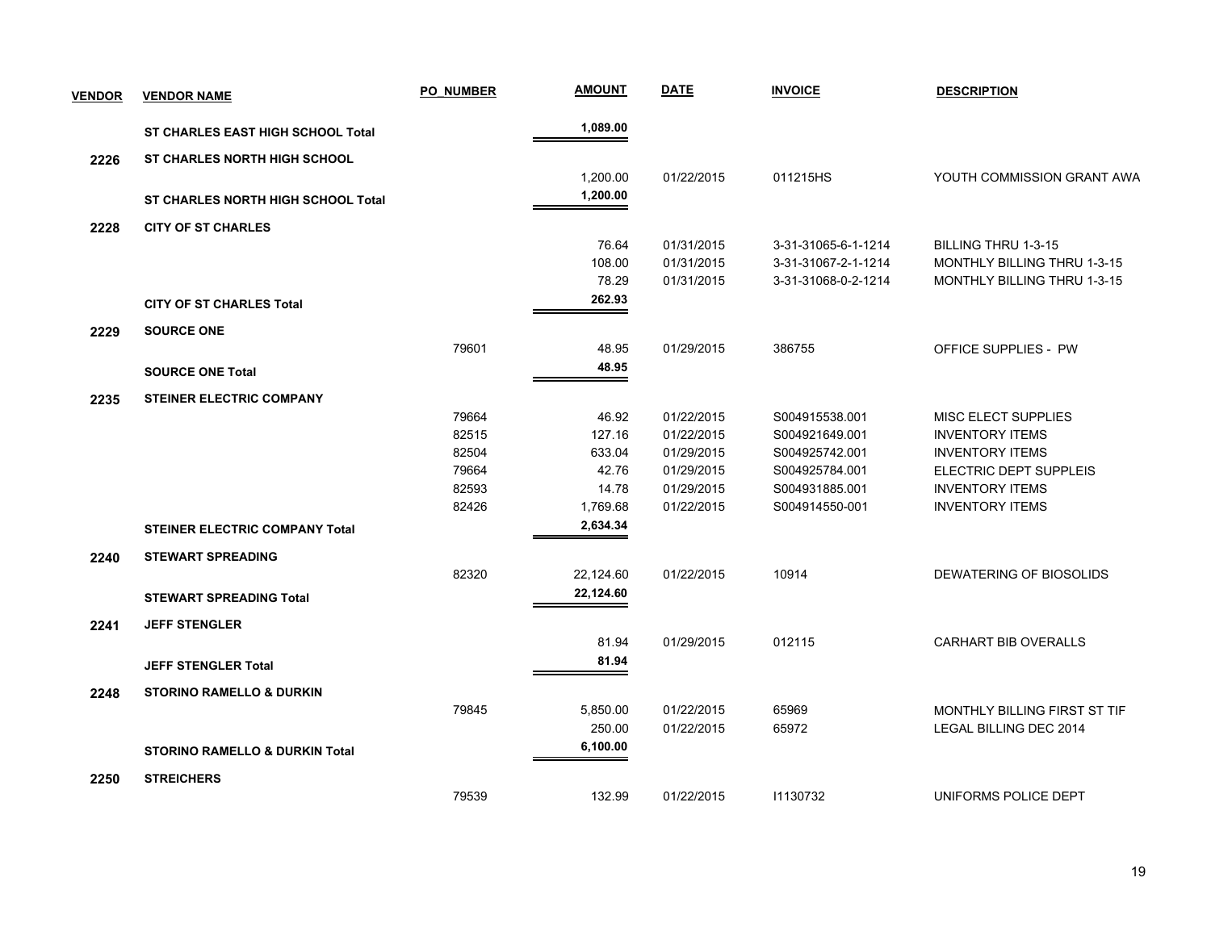| <b>VENDOR</b> | <b>VENDOR NAME</b>                        | <b>PO NUMBER</b> | <b>AMOUNT</b> | <b>DATE</b> | <b>INVOICE</b>      | <b>DESCRIPTION</b>                 |
|---------------|-------------------------------------------|------------------|---------------|-------------|---------------------|------------------------------------|
|               | <b>ST CHARLES EAST HIGH SCHOOL Total</b>  |                  | 1,089.00      |             |                     |                                    |
| 2226          | <b>ST CHARLES NORTH HIGH SCHOOL</b>       |                  |               |             |                     |                                    |
|               |                                           |                  | 1,200.00      | 01/22/2015  | 011215HS            | YOUTH COMMISSION GRANT AWA         |
|               | <b>ST CHARLES NORTH HIGH SCHOOL Total</b> |                  | 1,200.00      |             |                     |                                    |
| 2228          | <b>CITY OF ST CHARLES</b>                 |                  |               |             |                     |                                    |
|               |                                           |                  | 76.64         | 01/31/2015  | 3-31-31065-6-1-1214 | <b>BILLING THRU 1-3-15</b>         |
|               |                                           |                  | 108.00        | 01/31/2015  | 3-31-31067-2-1-1214 | MONTHLY BILLING THRU 1-3-15        |
|               |                                           |                  | 78.29         | 01/31/2015  | 3-31-31068-0-2-1214 | <b>MONTHLY BILLING THRU 1-3-15</b> |
|               | <b>CITY OF ST CHARLES Total</b>           |                  | 262.93        |             |                     |                                    |
| 2229          | <b>SOURCE ONE</b>                         |                  |               |             |                     |                                    |
|               |                                           | 79601            | 48.95         | 01/29/2015  | 386755              | <b>OFFICE SUPPLIES - PW</b>        |
|               | <b>SOURCE ONE Total</b>                   |                  | 48.95         |             |                     |                                    |
| 2235          | STEINER ELECTRIC COMPANY                  |                  |               |             |                     |                                    |
|               |                                           | 79664            | 46.92         | 01/22/2015  | S004915538.001      | <b>MISC ELECT SUPPLIES</b>         |
|               |                                           | 82515            | 127.16        | 01/22/2015  | S004921649.001      | <b>INVENTORY ITEMS</b>             |
|               |                                           | 82504            | 633.04        | 01/29/2015  | S004925742.001      | <b>INVENTORY ITEMS</b>             |
|               |                                           | 79664            | 42.76         | 01/29/2015  | S004925784.001      | ELECTRIC DEPT SUPPLEIS             |
|               |                                           | 82593            | 14.78         | 01/29/2015  | S004931885.001      | <b>INVENTORY ITEMS</b>             |
|               |                                           | 82426            | 1,769.68      | 01/22/2015  | S004914550-001      | <b>INVENTORY ITEMS</b>             |
|               | <b>STEINER ELECTRIC COMPANY Total</b>     |                  | 2,634.34      |             |                     |                                    |
| 2240          | <b>STEWART SPREADING</b>                  |                  |               |             |                     |                                    |
|               |                                           | 82320            | 22,124.60     | 01/22/2015  | 10914               | DEWATERING OF BIOSOLIDS            |
|               | <b>STEWART SPREADING Total</b>            |                  | 22,124.60     |             |                     |                                    |
| 2241          | <b>JEFF STENGLER</b>                      |                  |               |             |                     |                                    |
|               |                                           |                  | 81.94         | 01/29/2015  | 012115              | <b>CARHART BIB OVERALLS</b>        |
|               | <b>JEFF STENGLER Total</b>                |                  | 81.94         |             |                     |                                    |
| 2248          | <b>STORINO RAMELLO &amp; DURKIN</b>       |                  |               |             |                     |                                    |
|               |                                           | 79845            | 5,850.00      | 01/22/2015  | 65969               | MONTHLY BILLING FIRST ST TIF       |
|               |                                           |                  | 250.00        | 01/22/2015  | 65972               | LEGAL BILLING DEC 2014             |
|               | STORINO RAMELLO & DURKIN Total            |                  | 6,100.00      |             |                     |                                    |
| 2250          | <b>STREICHERS</b>                         |                  |               |             |                     |                                    |
|               |                                           | 79539            | 132.99        | 01/22/2015  | 11130732            | UNIFORMS POLICE DEPT               |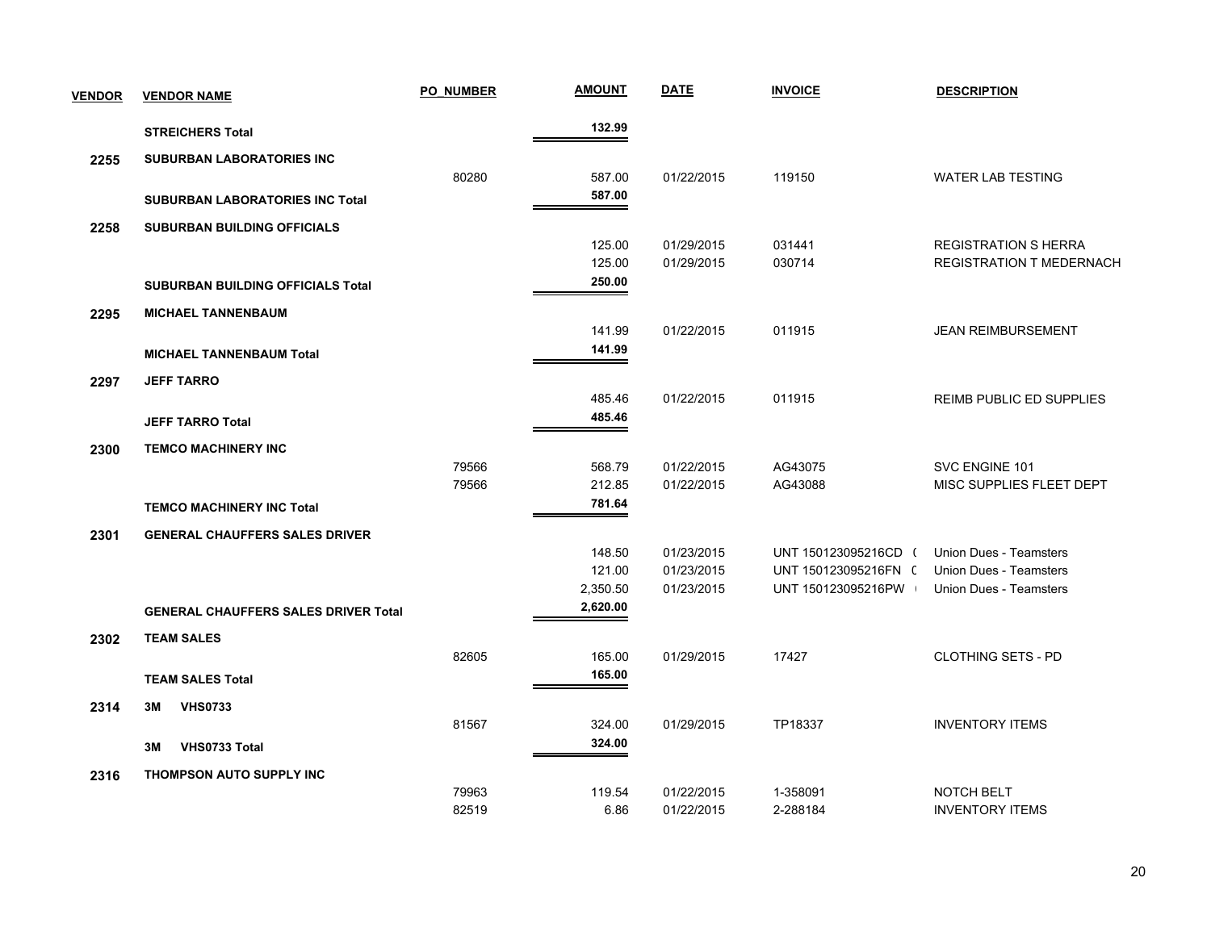| <b>VENDOR</b> | <b>VENDOR NAME</b>                          | <b>PO NUMBER</b> | <b>AMOUNT</b>        | <b>DATE</b> | <b>INVOICE</b>       | <b>DESCRIPTION</b>              |
|---------------|---------------------------------------------|------------------|----------------------|-------------|----------------------|---------------------------------|
|               | <b>STREICHERS Total</b>                     |                  | 132.99               |             |                      |                                 |
| 2255          | <b>SUBURBAN LABORATORIES INC</b>            |                  |                      |             |                      |                                 |
|               |                                             | 80280            | 587.00               | 01/22/2015  | 119150               | <b>WATER LAB TESTING</b>        |
|               | <b>SUBURBAN LABORATORIES INC Total</b>      |                  | 587.00               |             |                      |                                 |
| 2258          | <b>SUBURBAN BUILDING OFFICIALS</b>          |                  |                      |             |                      |                                 |
|               |                                             |                  | 125.00               | 01/29/2015  | 031441               | <b>REGISTRATION S HERRA</b>     |
|               |                                             |                  | 125.00               | 01/29/2015  | 030714               | <b>REGISTRATION T MEDERNACH</b> |
|               | <b>SUBURBAN BUILDING OFFICIALS Total</b>    |                  | 250.00               |             |                      |                                 |
| 2295          | <b>MICHAEL TANNENBAUM</b>                   |                  |                      |             |                      |                                 |
|               |                                             |                  | 141.99               | 01/22/2015  | 011915               | <b>JEAN REIMBURSEMENT</b>       |
|               | <b>MICHAEL TANNENBAUM Total</b>             |                  | 141.99               |             |                      |                                 |
| 2297          | <b>JEFF TARRO</b>                           |                  |                      |             |                      |                                 |
|               |                                             |                  | 485.46               | 01/22/2015  | 011915               | <b>REIMB PUBLIC ED SUPPLIES</b> |
|               | <b>JEFF TARRO Total</b>                     |                  | 485.46               |             |                      |                                 |
| 2300          | <b>TEMCO MACHINERY INC</b>                  |                  |                      |             |                      |                                 |
|               |                                             | 79566            | 568.79               | 01/22/2015  | AG43075              | SVC ENGINE 101                  |
|               |                                             | 79566            | 212.85               | 01/22/2015  | AG43088              | MISC SUPPLIES FLEET DEPT        |
|               | <b>TEMCO MACHINERY INC Total</b>            |                  | 781.64               |             |                      |                                 |
| 2301          | <b>GENERAL CHAUFFERS SALES DRIVER</b>       |                  |                      |             |                      |                                 |
|               |                                             |                  | 148.50               | 01/23/2015  | UNT 150123095216CD ( | <b>Union Dues - Teamsters</b>   |
|               |                                             |                  | 121.00               | 01/23/2015  | UNT 150123095216FN ( | <b>Union Dues - Teamsters</b>   |
|               |                                             |                  | 2,350.50<br>2,620.00 | 01/23/2015  | UNT 150123095216PW   | <b>Union Dues - Teamsters</b>   |
|               | <b>GENERAL CHAUFFERS SALES DRIVER Total</b> |                  |                      |             |                      |                                 |
| 2302          | <b>TEAM SALES</b>                           |                  |                      |             |                      |                                 |
|               |                                             | 82605            | 165.00               | 01/29/2015  | 17427                | <b>CLOTHING SETS - PD</b>       |
|               | <b>TEAM SALES Total</b>                     |                  | 165.00               |             |                      |                                 |
| 2314          | <b>VHS0733</b><br>3M                        |                  |                      |             |                      |                                 |
|               |                                             | 81567            | 324.00               | 01/29/2015  | TP18337              | <b>INVENTORY ITEMS</b>          |
|               | VHS0733 Total<br>3M                         |                  | 324.00               |             |                      |                                 |
| 2316          | THOMPSON AUTO SUPPLY INC                    |                  |                      |             |                      |                                 |
|               |                                             | 79963            | 119.54               | 01/22/2015  | 1-358091             | NOTCH BELT                      |
|               |                                             | 82519            | 6.86                 | 01/22/2015  | 2-288184             | <b>INVENTORY ITEMS</b>          |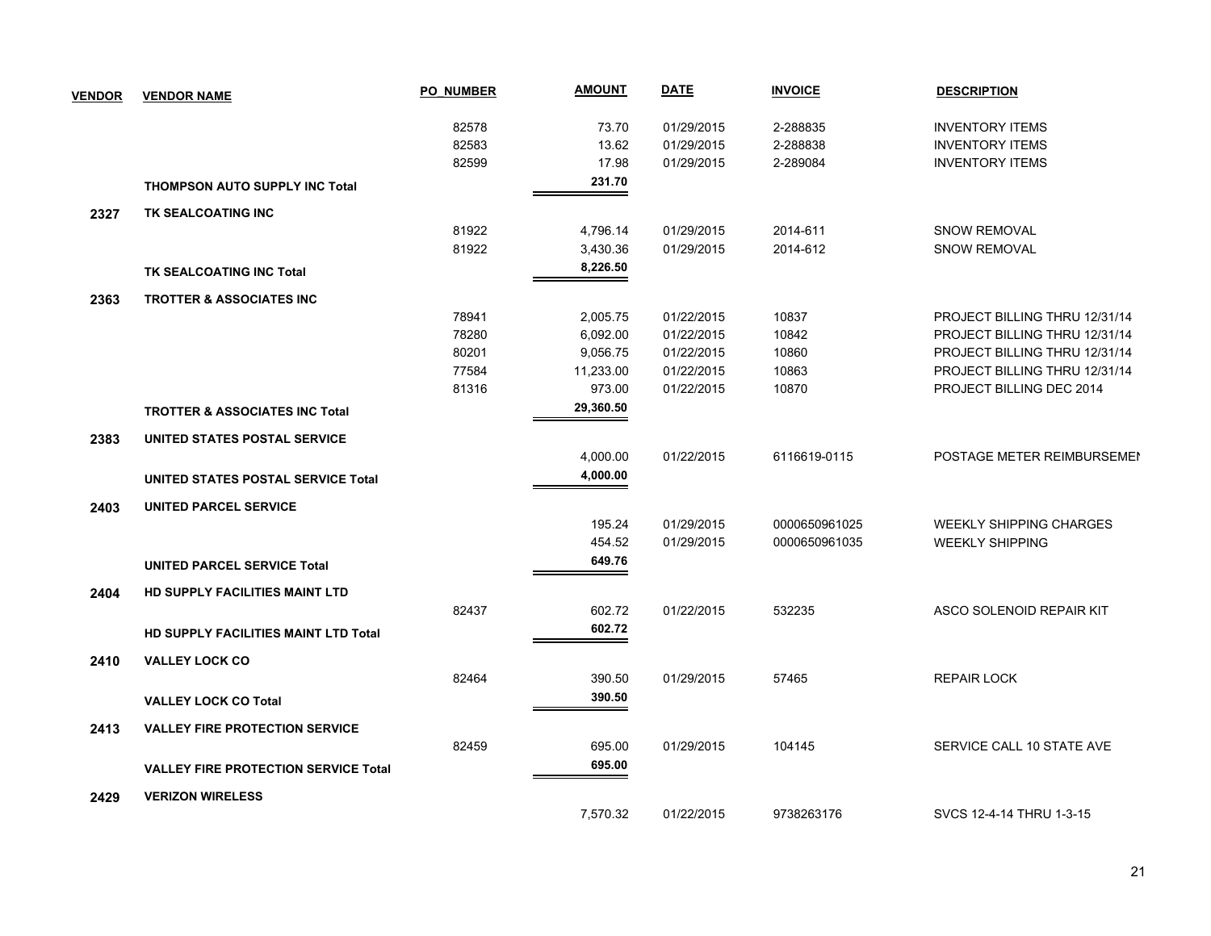| <b>VENDOR</b> | <b>VENDOR NAME</b>                          | <b>PO NUMBER</b> | <b>AMOUNT</b> | <b>DATE</b> | <b>INVOICE</b> | <b>DESCRIPTION</b>             |
|---------------|---------------------------------------------|------------------|---------------|-------------|----------------|--------------------------------|
|               |                                             | 82578            | 73.70         | 01/29/2015  | 2-288835       | <b>INVENTORY ITEMS</b>         |
|               |                                             | 82583            | 13.62         | 01/29/2015  | 2-288838       | <b>INVENTORY ITEMS</b>         |
|               |                                             | 82599            | 17.98         | 01/29/2015  | 2-289084       | <b>INVENTORY ITEMS</b>         |
|               | <b>THOMPSON AUTO SUPPLY INC Total</b>       |                  | 231.70        |             |                |                                |
| 2327          | TK SEALCOATING INC                          |                  |               |             |                |                                |
|               |                                             | 81922            | 4,796.14      | 01/29/2015  | 2014-611       | <b>SNOW REMOVAL</b>            |
|               |                                             | 81922            | 3,430.36      | 01/29/2015  | 2014-612       | <b>SNOW REMOVAL</b>            |
|               | TK SEALCOATING INC Total                    |                  | 8,226.50      |             |                |                                |
| 2363          | TROTTER & ASSOCIATES INC                    |                  |               |             |                |                                |
|               |                                             | 78941            | 2,005.75      | 01/22/2015  | 10837          | PROJECT BILLING THRU 12/31/14  |
|               |                                             | 78280            | 6,092.00      | 01/22/2015  | 10842          | PROJECT BILLING THRU 12/31/14  |
|               |                                             | 80201            | 9,056.75      | 01/22/2015  | 10860          | PROJECT BILLING THRU 12/31/14  |
|               |                                             | 77584            | 11,233.00     | 01/22/2015  | 10863          | PROJECT BILLING THRU 12/31/14  |
|               |                                             | 81316            | 973.00        | 01/22/2015  | 10870          | PROJECT BILLING DEC 2014       |
|               | <b>TROTTER &amp; ASSOCIATES INC Total</b>   |                  | 29,360.50     |             |                |                                |
| 2383          | UNITED STATES POSTAL SERVICE                |                  |               |             |                |                                |
|               |                                             |                  | 4,000.00      | 01/22/2015  | 6116619-0115   | POSTAGE METER REIMBURSEMEN     |
|               | UNITED STATES POSTAL SERVICE Total          |                  | 4,000.00      |             |                |                                |
| 2403          | <b>UNITED PARCEL SERVICE</b>                |                  |               |             |                |                                |
|               |                                             |                  | 195.24        | 01/29/2015  | 0000650961025  | <b>WEEKLY SHIPPING CHARGES</b> |
|               |                                             |                  | 454.52        | 01/29/2015  | 0000650961035  | <b>WEEKLY SHIPPING</b>         |
|               | <b>UNITED PARCEL SERVICE Total</b>          |                  | 649.76        |             |                |                                |
| 2404          | HD SUPPLY FACILITIES MAINT LTD              |                  |               |             |                |                                |
|               |                                             | 82437            | 602.72        | 01/22/2015  | 532235         | ASCO SOLENOID REPAIR KIT       |
|               | HD SUPPLY FACILITIES MAINT LTD Total        |                  | 602.72        |             |                |                                |
| 2410          | <b>VALLEY LOCK CO</b>                       |                  |               |             |                |                                |
|               |                                             | 82464            | 390.50        | 01/29/2015  | 57465          | <b>REPAIR LOCK</b>             |
|               | <b>VALLEY LOCK CO Total</b>                 |                  | 390.50        |             |                |                                |
| 2413          | <b>VALLEY FIRE PROTECTION SERVICE</b>       |                  |               |             |                |                                |
|               |                                             | 82459            | 695.00        | 01/29/2015  | 104145         | SERVICE CALL 10 STATE AVE      |
|               | <b>VALLEY FIRE PROTECTION SERVICE Total</b> |                  | 695.00        |             |                |                                |
| 2429          | <b>VERIZON WIRELESS</b>                     |                  |               |             |                |                                |
|               |                                             |                  | 7,570.32      | 01/22/2015  | 9738263176     | SVCS 12-4-14 THRU 1-3-15       |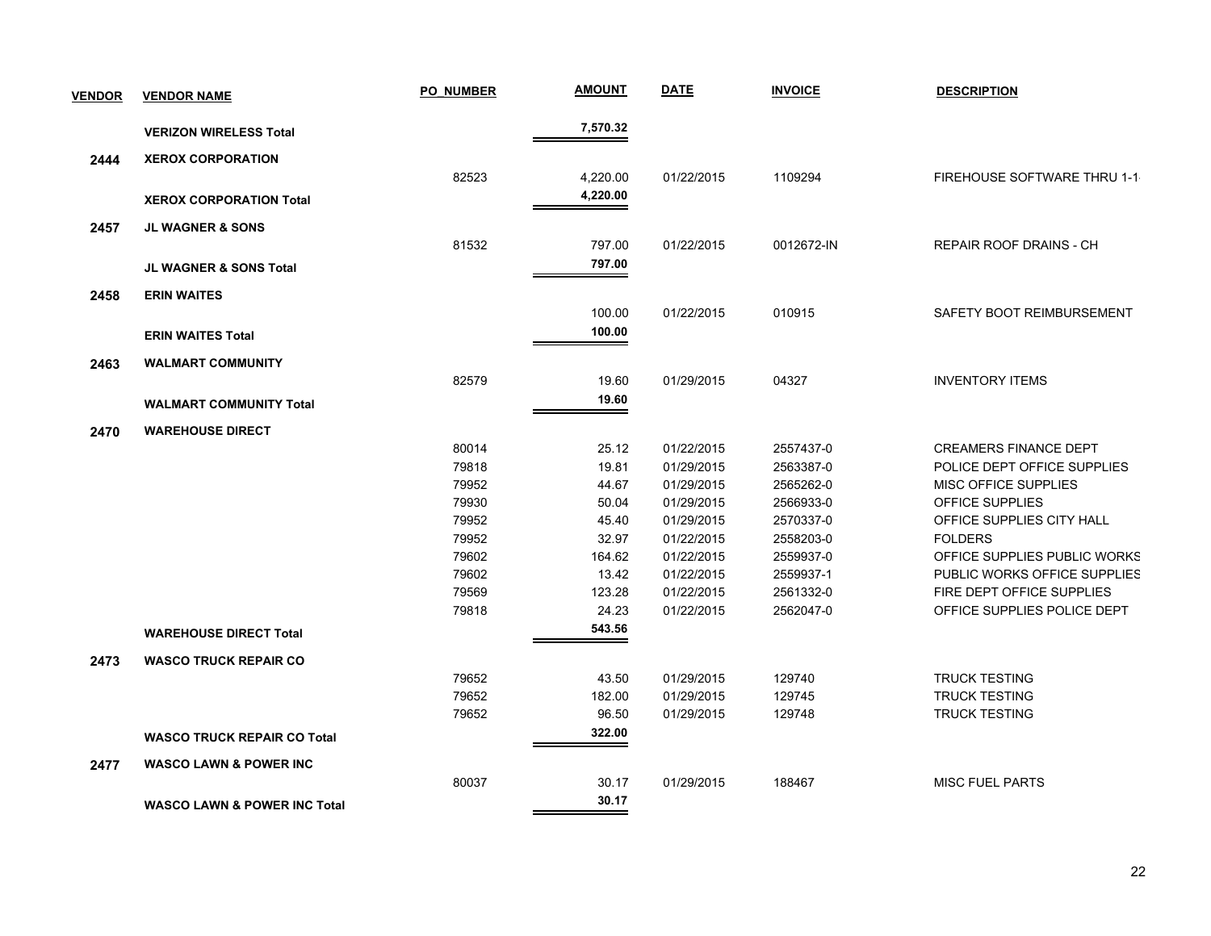| <b>VENDOR</b> | <b>VENDOR NAME</b>                      | <b>PO NUMBER</b> | <b>AMOUNT</b> | <b>DATE</b> | <b>INVOICE</b> | <b>DESCRIPTION</b>           |
|---------------|-----------------------------------------|------------------|---------------|-------------|----------------|------------------------------|
|               | <b>VERIZON WIRELESS Total</b>           |                  | 7,570.32      |             |                |                              |
| 2444          | <b>XEROX CORPORATION</b>                |                  |               |             |                |                              |
|               |                                         | 82523            | 4,220.00      | 01/22/2015  | 1109294        | FIREHOUSE SOFTWARE THRU 1-1  |
|               | <b>XEROX CORPORATION Total</b>          |                  | 4,220.00      |             |                |                              |
| 2457          | <b>JL WAGNER &amp; SONS</b>             |                  |               |             |                |                              |
|               |                                         | 81532            | 797.00        | 01/22/2015  | 0012672-IN     | REPAIR ROOF DRAINS - CH      |
|               |                                         |                  | 797.00        |             |                |                              |
|               | JL WAGNER & SONS Total                  |                  |               |             |                |                              |
| 2458          | <b>ERIN WAITES</b>                      |                  |               |             |                |                              |
|               |                                         |                  | 100.00        | 01/22/2015  | 010915         | SAFETY BOOT REIMBURSEMENT    |
|               | <b>ERIN WAITES Total</b>                |                  | 100.00        |             |                |                              |
| 2463          | <b>WALMART COMMUNITY</b>                |                  |               |             |                |                              |
|               |                                         | 82579            | 19.60         | 01/29/2015  | 04327          | <b>INVENTORY ITEMS</b>       |
|               | <b>WALMART COMMUNITY Total</b>          |                  | 19.60         |             |                |                              |
| 2470          | <b>WAREHOUSE DIRECT</b>                 |                  |               |             |                |                              |
|               |                                         | 80014            | 25.12         | 01/22/2015  | 2557437-0      | <b>CREAMERS FINANCE DEPT</b> |
|               |                                         | 79818            | 19.81         | 01/29/2015  | 2563387-0      | POLICE DEPT OFFICE SUPPLIES  |
|               |                                         | 79952            | 44.67         | 01/29/2015  | 2565262-0      | MISC OFFICE SUPPLIES         |
|               |                                         | 79930            | 50.04         | 01/29/2015  | 2566933-0      | OFFICE SUPPLIES              |
|               |                                         | 79952            | 45.40         | 01/29/2015  | 2570337-0      | OFFICE SUPPLIES CITY HALL    |
|               |                                         | 79952            | 32.97         | 01/22/2015  | 2558203-0      | <b>FOLDERS</b>               |
|               |                                         | 79602            | 164.62        | 01/22/2015  | 2559937-0      | OFFICE SUPPLIES PUBLIC WORKS |
|               |                                         | 79602            | 13.42         | 01/22/2015  | 2559937-1      | PUBLIC WORKS OFFICE SUPPLIES |
|               |                                         | 79569            | 123.28        | 01/22/2015  | 2561332-0      | FIRE DEPT OFFICE SUPPLIES    |
|               |                                         | 79818            | 24.23         | 01/22/2015  | 2562047-0      | OFFICE SUPPLIES POLICE DEPT  |
|               | <b>WAREHOUSE DIRECT Total</b>           |                  | 543.56        |             |                |                              |
| 2473          | <b>WASCO TRUCK REPAIR CO</b>            |                  |               |             |                |                              |
|               |                                         | 79652            | 43.50         | 01/29/2015  | 129740         | <b>TRUCK TESTING</b>         |
|               |                                         | 79652            | 182.00        | 01/29/2015  | 129745         | <b>TRUCK TESTING</b>         |
|               |                                         | 79652            | 96.50         | 01/29/2015  | 129748         | <b>TRUCK TESTING</b>         |
|               | <b>WASCO TRUCK REPAIR CO Total</b>      |                  | 322.00        |             |                |                              |
| 2477          | <b>WASCO LAWN &amp; POWER INC</b>       |                  |               |             |                |                              |
|               |                                         | 80037            | 30.17         | 01/29/2015  | 188467         | <b>MISC FUEL PARTS</b>       |
|               | <b>WASCO LAWN &amp; POWER INC Total</b> |                  | 30.17         |             |                |                              |
|               |                                         |                  |               |             |                |                              |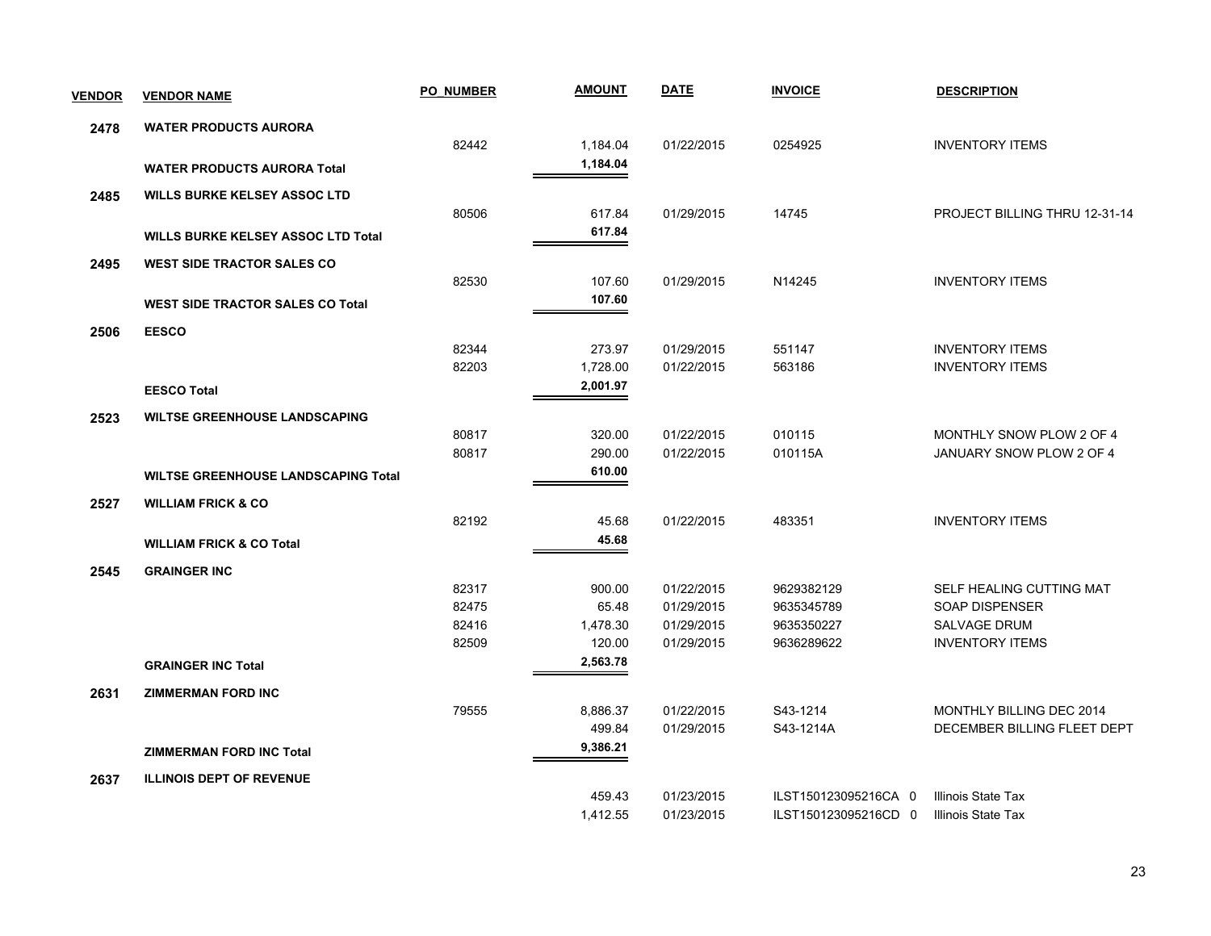| <b>VENDOR</b> | <b>VENDOR NAME</b>                         | <b>PO NUMBER</b> | <b>AMOUNT</b> | <b>DATE</b> | <b>INVOICE</b>       | <b>DESCRIPTION</b>            |
|---------------|--------------------------------------------|------------------|---------------|-------------|----------------------|-------------------------------|
| 2478          | <b>WATER PRODUCTS AURORA</b>               |                  |               |             |                      |                               |
|               |                                            | 82442            | 1,184.04      | 01/22/2015  | 0254925              | <b>INVENTORY ITEMS</b>        |
|               | <b>WATER PRODUCTS AURORA Total</b>         |                  | 1,184.04      |             |                      |                               |
| 2485          | <b>WILLS BURKE KELSEY ASSOC LTD</b>        |                  |               |             |                      |                               |
|               |                                            | 80506            | 617.84        | 01/29/2015  | 14745                | PROJECT BILLING THRU 12-31-14 |
|               | <b>WILLS BURKE KELSEY ASSOC LTD Total</b>  |                  | 617.84        |             |                      |                               |
| 2495          | <b>WEST SIDE TRACTOR SALES CO</b>          |                  |               |             |                      |                               |
|               |                                            | 82530            | 107.60        | 01/29/2015  | N14245               | <b>INVENTORY ITEMS</b>        |
|               | <b>WEST SIDE TRACTOR SALES CO Total</b>    |                  | 107.60        |             |                      |                               |
| 2506          | <b>EESCO</b>                               |                  |               |             |                      |                               |
|               |                                            | 82344            | 273.97        | 01/29/2015  | 551147               | <b>INVENTORY ITEMS</b>        |
|               |                                            | 82203            | 1,728.00      | 01/22/2015  | 563186               | <b>INVENTORY ITEMS</b>        |
|               | <b>EESCO Total</b>                         |                  | 2,001.97      |             |                      |                               |
| 2523          | <b>WILTSE GREENHOUSE LANDSCAPING</b>       |                  |               |             |                      |                               |
|               |                                            | 80817            | 320.00        | 01/22/2015  | 010115               | MONTHLY SNOW PLOW 2 OF 4      |
|               |                                            | 80817            | 290.00        | 01/22/2015  | 010115A              | JANUARY SNOW PLOW 2 OF 4      |
|               | <b>WILTSE GREENHOUSE LANDSCAPING Total</b> |                  | 610.00        |             |                      |                               |
| 2527          | <b>WILLIAM FRICK &amp; CO</b>              |                  |               |             |                      |                               |
|               |                                            | 82192            | 45.68         | 01/22/2015  | 483351               | <b>INVENTORY ITEMS</b>        |
|               | <b>WILLIAM FRICK &amp; CO Total</b>        |                  | 45.68         |             |                      |                               |
| 2545          | <b>GRAINGER INC</b>                        |                  |               |             |                      |                               |
|               |                                            | 82317            | 900.00        | 01/22/2015  | 9629382129           | SELF HEALING CUTTING MAT      |
|               |                                            | 82475            | 65.48         | 01/29/2015  | 9635345789           | SOAP DISPENSER                |
|               |                                            | 82416            | 1,478.30      | 01/29/2015  | 9635350227           | <b>SALVAGE DRUM</b>           |
|               |                                            | 82509            | 120.00        | 01/29/2015  | 9636289622           | <b>INVENTORY ITEMS</b>        |
|               | <b>GRAINGER INC Total</b>                  |                  | 2,563.78      |             |                      |                               |
| 2631          | <b>ZIMMERMAN FORD INC</b>                  |                  |               |             |                      |                               |
|               |                                            | 79555            | 8,886.37      | 01/22/2015  | S43-1214             | MONTHLY BILLING DEC 2014      |
|               |                                            |                  | 499.84        | 01/29/2015  | S43-1214A            | DECEMBER BILLING FLEET DEPT   |
|               | <b>ZIMMERMAN FORD INC Total</b>            |                  | 9,386.21      |             |                      |                               |
| 2637          | <b>ILLINOIS DEPT OF REVENUE</b>            |                  |               |             |                      |                               |
|               |                                            |                  | 459.43        | 01/23/2015  | ILST150123095216CA 0 | Illinois State Tax            |
|               |                                            |                  | 1,412.55      | 01/23/2015  | ILST150123095216CD 0 | Illinois State Tax            |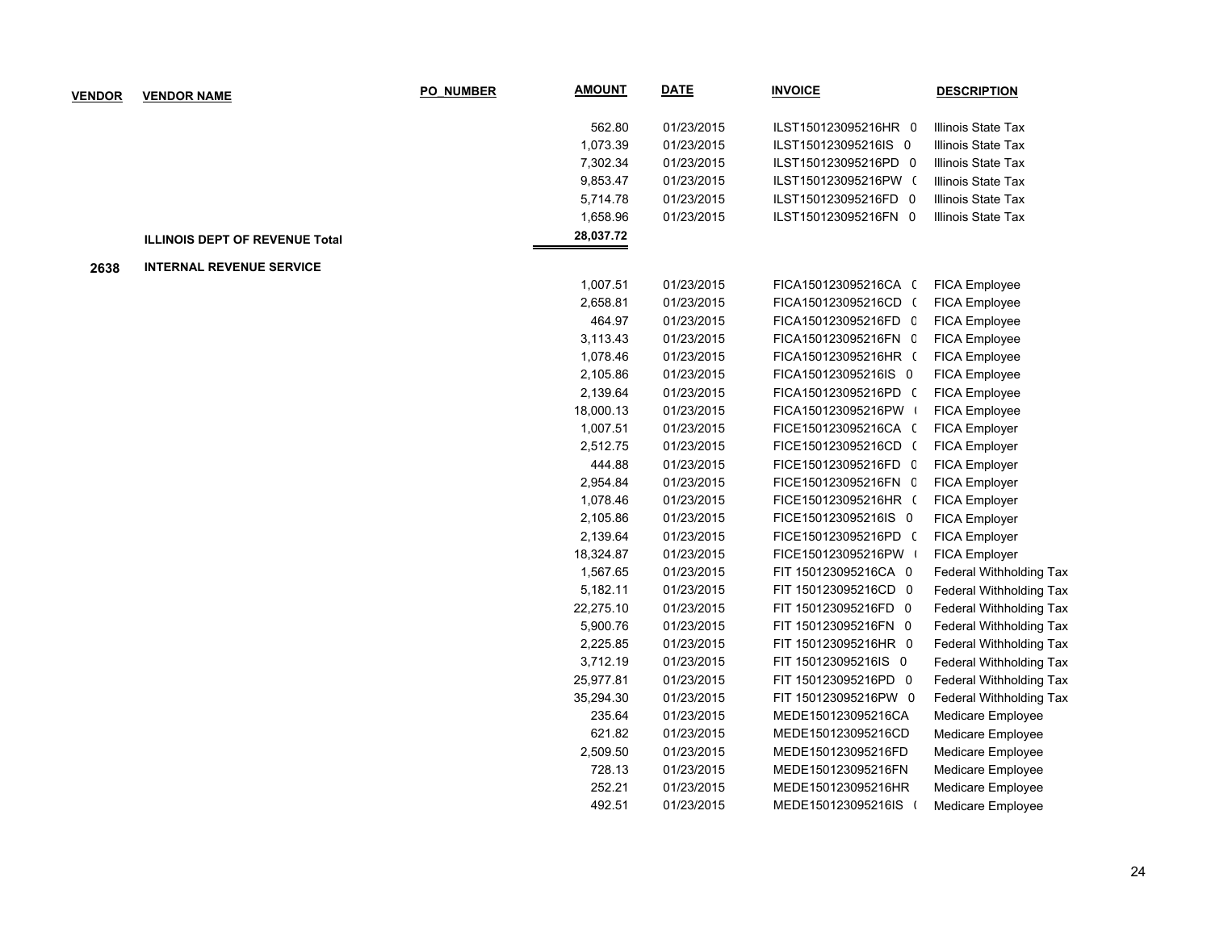| <b>VENDOR</b> | <b>VENDOR NAME</b>                    | <b>PO NUMBER</b> | <b>AMOUNT</b> | <b>DATE</b> | <b>INVOICE</b>       | <b>DESCRIPTION</b>      |
|---------------|---------------------------------------|------------------|---------------|-------------|----------------------|-------------------------|
|               |                                       |                  | 562.80        | 01/23/2015  | ILST150123095216HR 0 | Illinois State Tax      |
|               |                                       |                  | 1,073.39      | 01/23/2015  | ILST150123095216IS 0 | Illinois State Tax      |
|               |                                       |                  | 7,302.34      | 01/23/2015  | ILST150123095216PD 0 | Illinois State Tax      |
|               |                                       |                  | 9,853.47      | 01/23/2015  | ILST150123095216PW ( | Illinois State Tax      |
|               |                                       |                  | 5,714.78      | 01/23/2015  | ILST150123095216FD 0 | Illinois State Tax      |
|               |                                       |                  | 1,658.96      | 01/23/2015  | ILST150123095216FN 0 | Illinois State Tax      |
|               | <b>ILLINOIS DEPT OF REVENUE Total</b> |                  | 28,037.72     |             |                      |                         |
| 2638          | <b>INTERNAL REVENUE SERVICE</b>       |                  |               |             |                      |                         |
|               |                                       |                  | 1,007.51      | 01/23/2015  | FICA150123095216CA ( | <b>FICA Employee</b>    |
|               |                                       |                  | 2,658.81      | 01/23/2015  | FICA150123095216CD ( | FICA Employee           |
|               |                                       |                  | 464.97        | 01/23/2015  | FICA150123095216FD C | <b>FICA Employee</b>    |
|               |                                       |                  | 3,113.43      | 01/23/2015  | FICA150123095216FN C | FICA Employee           |
|               |                                       |                  | 1,078.46      | 01/23/2015  | FICA150123095216HR ( | FICA Employee           |
|               |                                       |                  | 2,105.86      | 01/23/2015  | FICA150123095216IS 0 | FICA Employee           |
|               |                                       |                  | 2,139.64      | 01/23/2015  | FICA150123095216PD ( | FICA Employee           |
|               |                                       |                  | 18,000.13     | 01/23/2015  | FICA150123095216PW   | FICA Employee           |
|               |                                       |                  | 1,007.51      | 01/23/2015  | FICE150123095216CA ( | <b>FICA Employer</b>    |
|               |                                       |                  | 2,512.75      | 01/23/2015  | FICE150123095216CD ( | FICA Employer           |
|               |                                       |                  | 444.88        | 01/23/2015  | FICE150123095216FD C | FICA Employer           |
|               |                                       |                  | 2,954.84      | 01/23/2015  | FICE150123095216FN C | FICA Employer           |
|               |                                       |                  | 1,078.46      | 01/23/2015  | FICE150123095216HR ( | FICA Employer           |
|               |                                       |                  | 2,105.86      | 01/23/2015  | FICE150123095216IS 0 | FICA Employer           |
|               |                                       |                  | 2,139.64      | 01/23/2015  | FICE150123095216PD ( | FICA Employer           |
|               |                                       |                  | 18,324.87     | 01/23/2015  | FICE150123095216PW   | FICA Employer           |
|               |                                       |                  | 1,567.65      | 01/23/2015  | FIT 150123095216CA 0 | Federal Withholding Tax |
|               |                                       |                  | 5,182.11      | 01/23/2015  | FIT 150123095216CD 0 | Federal Withholding Tax |
|               |                                       |                  | 22,275.10     | 01/23/2015  | FIT 150123095216FD 0 | Federal Withholding Tax |
|               |                                       |                  | 5,900.76      | 01/23/2015  | FIT 150123095216FN 0 | Federal Withholding Tax |
|               |                                       |                  | 2,225.85      | 01/23/2015  | FIT 150123095216HR 0 | Federal Withholding Tax |
|               |                                       |                  | 3,712.19      | 01/23/2015  | FIT 150123095216IS 0 | Federal Withholding Tax |
|               |                                       |                  | 25,977.81     | 01/23/2015  | FIT 150123095216PD 0 | Federal Withholding Tax |
|               |                                       |                  | 35,294.30     | 01/23/2015  | FIT 150123095216PW 0 | Federal Withholding Tax |
|               |                                       |                  | 235.64        | 01/23/2015  | MEDE150123095216CA   | Medicare Employee       |
|               |                                       |                  | 621.82        | 01/23/2015  | MEDE150123095216CD   | Medicare Employee       |
|               |                                       |                  | 2,509.50      | 01/23/2015  | MEDE150123095216FD   | Medicare Employee       |
|               |                                       |                  | 728.13        | 01/23/2015  | MEDE150123095216FN   | Medicare Employee       |
|               |                                       |                  | 252.21        | 01/23/2015  | MEDE150123095216HR   | Medicare Employee       |
|               |                                       |                  | 492.51        | 01/23/2015  | MEDE150123095216IS ( | Medicare Employee       |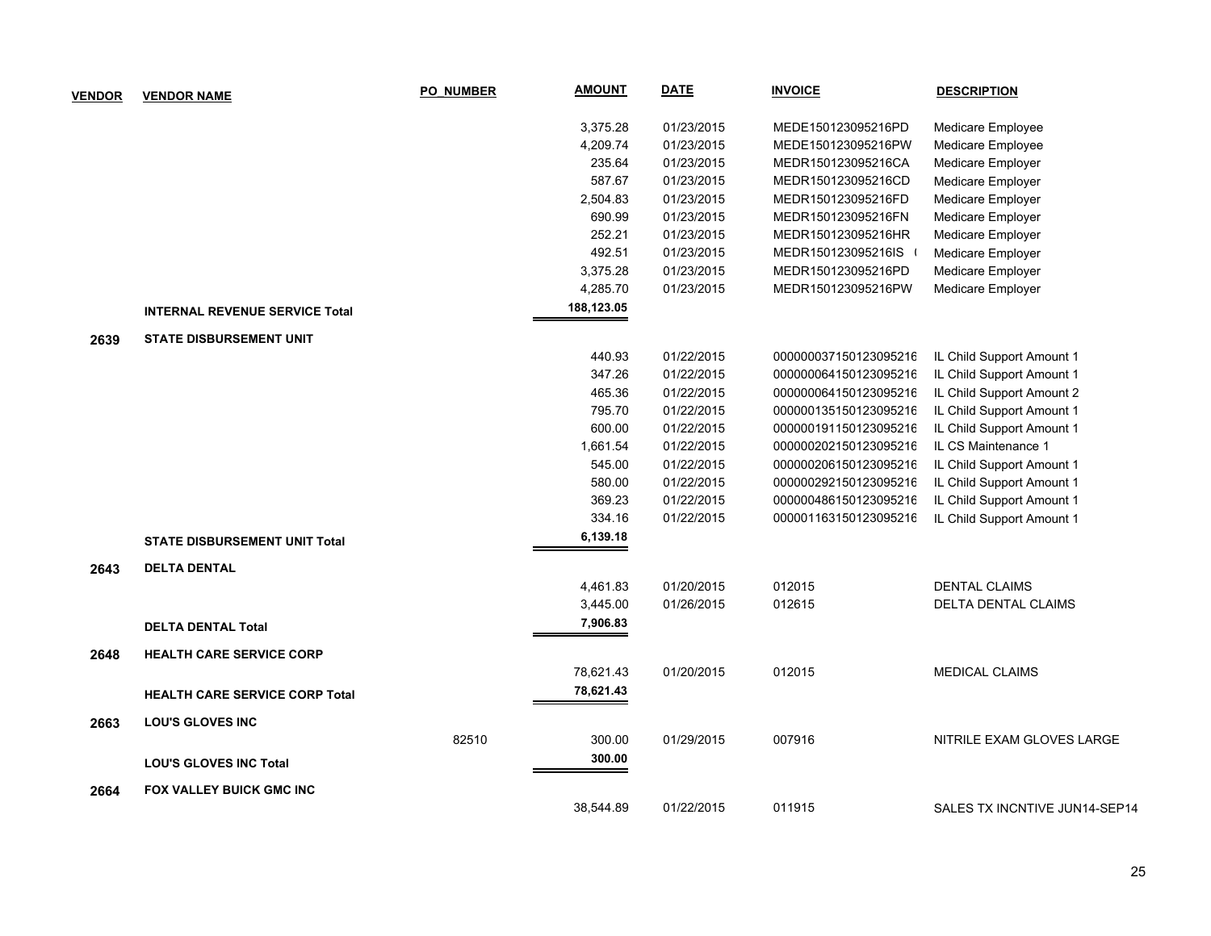| <b>VENDOR</b> | <b>VENDOR NAME</b>                    | PO NUMBER | <b>AMOUNT</b> | <b>DATE</b> | <b>INVOICE</b>        | <b>DESCRIPTION</b>            |
|---------------|---------------------------------------|-----------|---------------|-------------|-----------------------|-------------------------------|
|               |                                       |           | 3,375.28      | 01/23/2015  | MEDE150123095216PD    | Medicare Employee             |
|               |                                       |           | 4,209.74      | 01/23/2015  | MEDE150123095216PW    | Medicare Employee             |
|               |                                       |           | 235.64        | 01/23/2015  | MEDR150123095216CA    | Medicare Employer             |
|               |                                       |           | 587.67        | 01/23/2015  | MEDR150123095216CD    | Medicare Employer             |
|               |                                       |           | 2,504.83      | 01/23/2015  | MEDR150123095216FD    | Medicare Employer             |
|               |                                       |           | 690.99        | 01/23/2015  | MEDR150123095216FN    | Medicare Employer             |
|               |                                       |           | 252.21        | 01/23/2015  | MEDR150123095216HR    | Medicare Employer             |
|               |                                       |           | 492.51        | 01/23/2015  | MEDR150123095216IS    | Medicare Employer             |
|               |                                       |           | 3,375.28      | 01/23/2015  | MEDR150123095216PD    | Medicare Employer             |
|               |                                       |           | 4,285.70      | 01/23/2015  | MEDR150123095216PW    | Medicare Employer             |
|               | <b>INTERNAL REVENUE SERVICE Total</b> |           | 188,123.05    |             |                       |                               |
| 2639          | <b>STATE DISBURSEMENT UNIT</b>        |           |               |             |                       |                               |
|               |                                       |           | 440.93        | 01/22/2015  | 000000037150123095216 | IL Child Support Amount 1     |
|               |                                       |           | 347.26        | 01/22/2015  | 000000064150123095216 | IL Child Support Amount 1     |
|               |                                       |           | 465.36        | 01/22/2015  | 000000064150123095216 | IL Child Support Amount 2     |
|               |                                       |           | 795.70        | 01/22/2015  | 000000135150123095216 | IL Child Support Amount 1     |
|               |                                       |           | 600.00        | 01/22/2015  | 000000191150123095216 | IL Child Support Amount 1     |
|               |                                       |           | 1,661.54      | 01/22/2015  | 000000202150123095216 | IL CS Maintenance 1           |
|               |                                       |           | 545.00        | 01/22/2015  | 000000206150123095216 | IL Child Support Amount 1     |
|               |                                       |           | 580.00        | 01/22/2015  | 000000292150123095216 | IL Child Support Amount 1     |
|               |                                       |           | 369.23        | 01/22/2015  | 000000486150123095216 | IL Child Support Amount 1     |
|               |                                       |           | 334.16        | 01/22/2015  | 000001163150123095216 | IL Child Support Amount 1     |
|               | <b>STATE DISBURSEMENT UNIT Total</b>  |           | 6,139.18      |             |                       |                               |
| 2643          | <b>DELTA DENTAL</b>                   |           |               |             |                       |                               |
|               |                                       |           | 4,461.83      | 01/20/2015  | 012015                | <b>DENTAL CLAIMS</b>          |
|               |                                       |           | 3,445.00      | 01/26/2015  | 012615                | <b>DELTA DENTAL CLAIMS</b>    |
|               | <b>DELTA DENTAL Total</b>             |           | 7,906.83      |             |                       |                               |
| 2648          | <b>HEALTH CARE SERVICE CORP</b>       |           |               |             |                       |                               |
|               |                                       |           | 78,621.43     | 01/20/2015  | 012015                | <b>MEDICAL CLAIMS</b>         |
|               | <b>HEALTH CARE SERVICE CORP Total</b> |           | 78,621.43     |             |                       |                               |
| 2663          | <b>LOU'S GLOVES INC</b>               |           |               |             |                       |                               |
|               |                                       | 82510     | 300.00        | 01/29/2015  | 007916                | NITRILE EXAM GLOVES LARGE     |
|               | <b>LOU'S GLOVES INC Total</b>         |           | 300.00        |             |                       |                               |
| 2664          | <b>FOX VALLEY BUICK GMC INC</b>       |           |               |             |                       |                               |
|               |                                       |           | 38,544.89     | 01/22/2015  | 011915                | SALES TX INCNTIVE JUN14-SEP14 |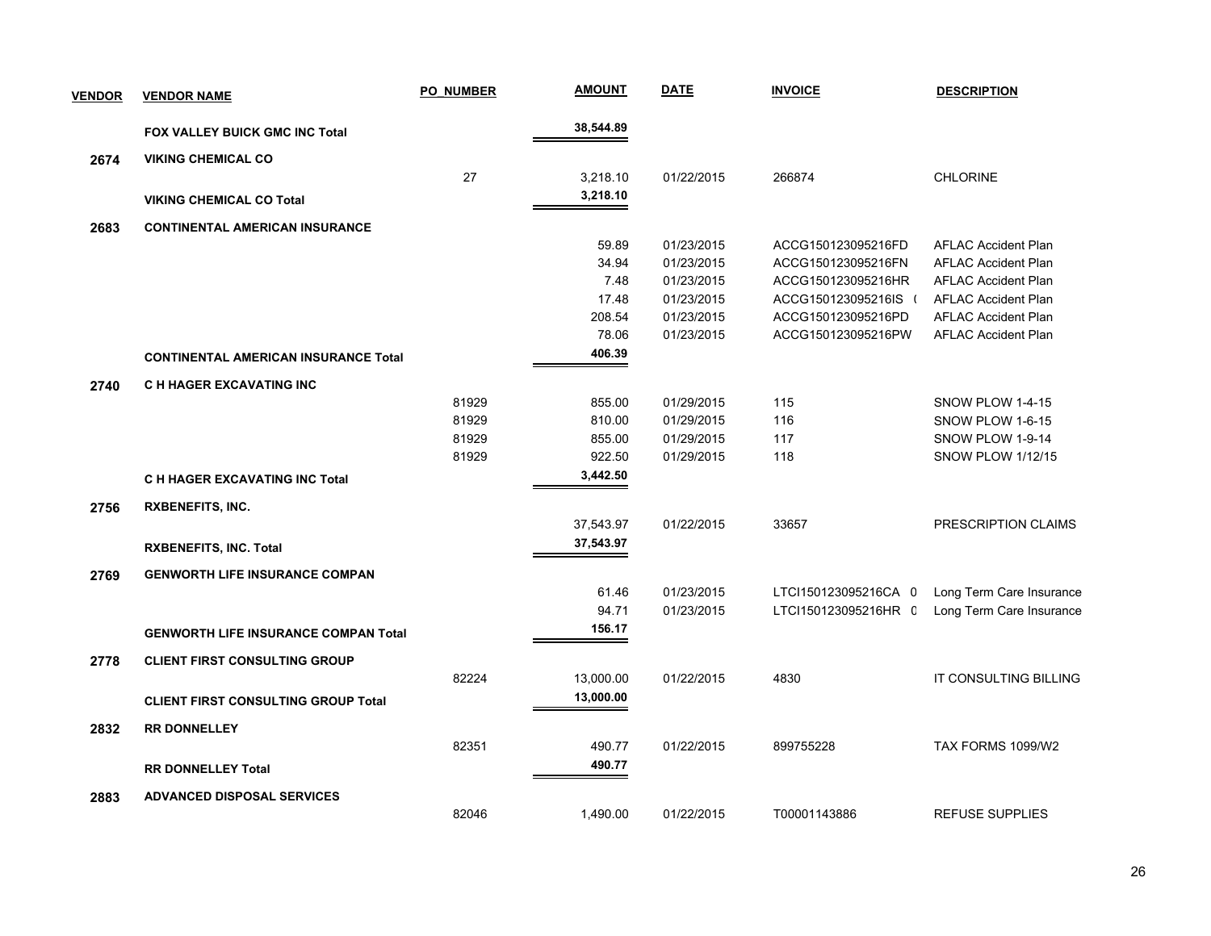| <b>VENDOR</b> | <b>VENDOR NAME</b>                          | <b>PO NUMBER</b> | <b>AMOUNT</b> | <b>DATE</b> | <b>INVOICE</b>       | <b>DESCRIPTION</b>         |
|---------------|---------------------------------------------|------------------|---------------|-------------|----------------------|----------------------------|
|               | FOX VALLEY BUICK GMC INC Total              |                  | 38,544.89     |             |                      |                            |
| 2674          | <b>VIKING CHEMICAL CO</b>                   |                  |               |             |                      |                            |
|               |                                             | 27               | 3,218.10      | 01/22/2015  | 266874               | <b>CHLORINE</b>            |
|               | <b>VIKING CHEMICAL CO Total</b>             |                  | 3,218.10      |             |                      |                            |
| 2683          | <b>CONTINENTAL AMERICAN INSURANCE</b>       |                  |               |             |                      |                            |
|               |                                             |                  | 59.89         | 01/23/2015  | ACCG150123095216FD   | <b>AFLAC Accident Plan</b> |
|               |                                             |                  | 34.94         | 01/23/2015  | ACCG150123095216FN   | <b>AFLAC Accident Plan</b> |
|               |                                             |                  | 7.48          | 01/23/2015  | ACCG150123095216HR   | <b>AFLAC Accident Plan</b> |
|               |                                             |                  | 17.48         | 01/23/2015  | ACCG150123095216IS ( | <b>AFLAC Accident Plan</b> |
|               |                                             |                  | 208.54        | 01/23/2015  | ACCG150123095216PD   | <b>AFLAC Accident Plan</b> |
|               |                                             |                  | 78.06         | 01/23/2015  | ACCG150123095216PW   | <b>AFLAC Accident Plan</b> |
|               | <b>CONTINENTAL AMERICAN INSURANCE Total</b> |                  | 406.39        |             |                      |                            |
| 2740          | C H HAGER EXCAVATING INC                    |                  |               |             |                      |                            |
|               |                                             | 81929            | 855.00        | 01/29/2015  | 115                  | SNOW PLOW 1-4-15           |
|               |                                             | 81929            | 810.00        | 01/29/2015  | 116                  | SNOW PLOW 1-6-15           |
|               |                                             | 81929            | 855.00        | 01/29/2015  | 117                  | SNOW PLOW 1-9-14           |
|               |                                             | 81929            | 922.50        | 01/29/2015  | 118                  | <b>SNOW PLOW 1/12/15</b>   |
|               | <b>C H HAGER EXCAVATING INC Total</b>       |                  | 3,442.50      |             |                      |                            |
| 2756          | <b>RXBENEFITS, INC.</b>                     |                  |               |             |                      |                            |
|               |                                             |                  | 37,543.97     | 01/22/2015  | 33657                | PRESCRIPTION CLAIMS        |
|               | <b>RXBENEFITS, INC. Total</b>               |                  | 37,543.97     |             |                      |                            |
| 2769          | <b>GENWORTH LIFE INSURANCE COMPAN</b>       |                  |               |             |                      |                            |
|               |                                             |                  | 61.46         | 01/23/2015  | LTCI150123095216CA 0 | Long Term Care Insurance   |
|               |                                             |                  | 94.71         | 01/23/2015  | LTCI150123095216HR C | Long Term Care Insurance   |
|               | <b>GENWORTH LIFE INSURANCE COMPAN Total</b> |                  | 156.17        |             |                      |                            |
| 2778          | <b>CLIENT FIRST CONSULTING GROUP</b>        |                  |               |             |                      |                            |
|               |                                             | 82224            | 13,000.00     | 01/22/2015  | 4830                 | IT CONSULTING BILLING      |
|               | <b>CLIENT FIRST CONSULTING GROUP Total</b>  |                  | 13,000.00     |             |                      |                            |
| 2832          | <b>RR DONNELLEY</b>                         |                  |               |             |                      |                            |
|               |                                             | 82351            | 490.77        | 01/22/2015  | 899755228            | TAX FORMS 1099/W2          |
|               | <b>RR DONNELLEY Total</b>                   |                  | 490.77        |             |                      |                            |
| 2883          | <b>ADVANCED DISPOSAL SERVICES</b>           |                  |               |             |                      |                            |
|               |                                             | 82046            | 1,490.00      | 01/22/2015  | T00001143886         | REFUSE SUPPLIES            |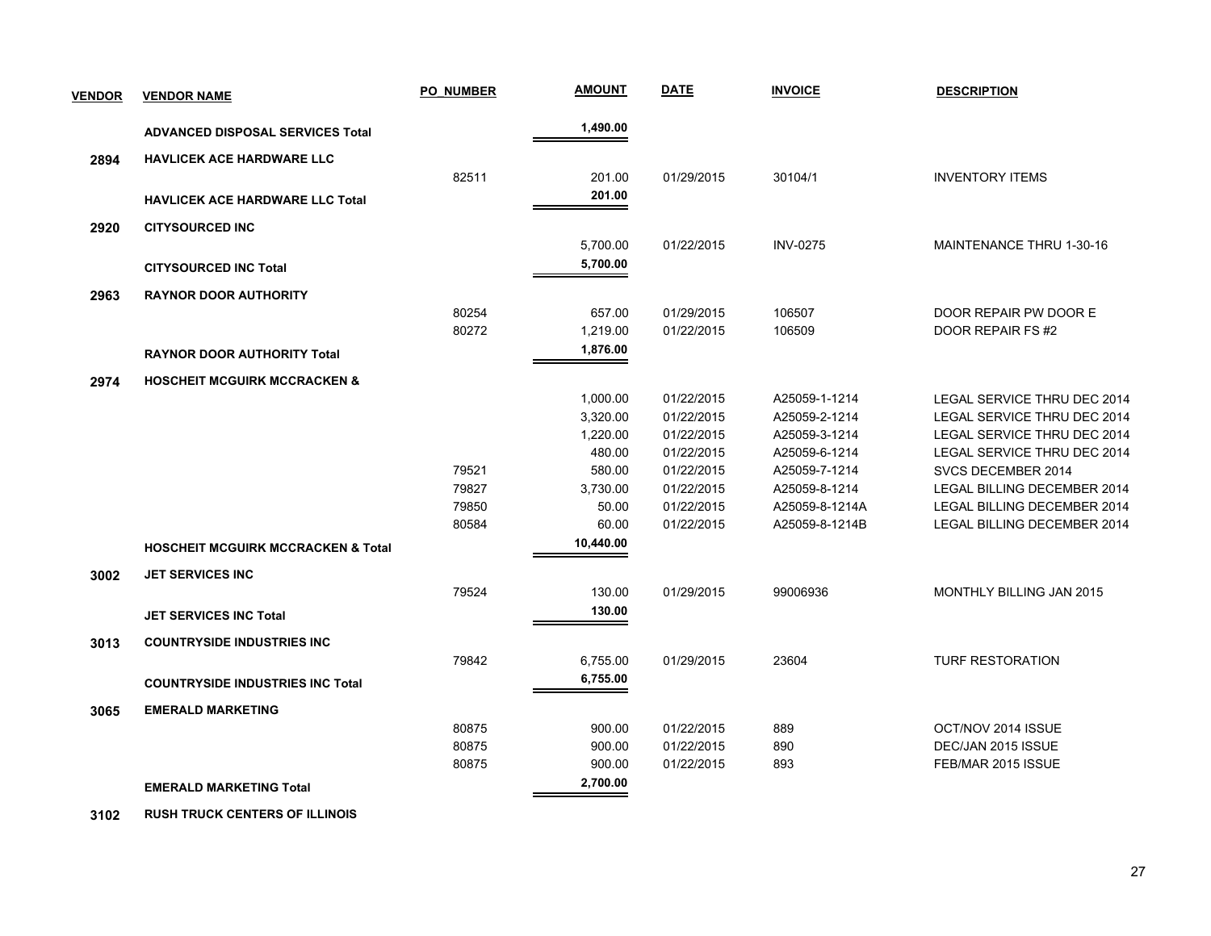| <b>VENDOR</b> | <b>VENDOR NAME</b>                            | <b>PO NUMBER</b> | <b>AMOUNT</b>        | <u>DATE</u> | <b>INVOICE</b>  | <b>DESCRIPTION</b>                 |
|---------------|-----------------------------------------------|------------------|----------------------|-------------|-----------------|------------------------------------|
|               | <b>ADVANCED DISPOSAL SERVICES Total</b>       |                  | 1,490.00             |             |                 |                                    |
| 2894          | <b>HAVLICEK ACE HARDWARE LLC</b>              |                  |                      |             |                 |                                    |
|               |                                               | 82511            | 201.00               | 01/29/2015  | 30104/1         | <b>INVENTORY ITEMS</b>             |
|               | <b>HAVLICEK ACE HARDWARE LLC Total</b>        |                  | 201.00               |             |                 |                                    |
|               |                                               |                  |                      |             |                 |                                    |
| 2920          | <b>CITYSOURCED INC</b>                        |                  |                      |             |                 |                                    |
|               |                                               |                  | 5,700.00<br>5,700.00 | 01/22/2015  | <b>INV-0275</b> | <b>MAINTENANCE THRU 1-30-16</b>    |
|               | <b>CITYSOURCED INC Total</b>                  |                  |                      |             |                 |                                    |
| 2963          | <b>RAYNOR DOOR AUTHORITY</b>                  |                  |                      |             |                 |                                    |
|               |                                               | 80254            | 657.00               | 01/29/2015  | 106507          | DOOR REPAIR PW DOOR E              |
|               |                                               | 80272            | 1,219.00             | 01/22/2015  | 106509          | DOOR REPAIR FS #2                  |
|               | <b>RAYNOR DOOR AUTHORITY Total</b>            |                  | 1,876.00             |             |                 |                                    |
| 2974          | <b>HOSCHEIT MCGUIRK MCCRACKEN &amp;</b>       |                  |                      |             |                 |                                    |
|               |                                               |                  | 1,000.00             | 01/22/2015  | A25059-1-1214   | LEGAL SERVICE THRU DEC 2014        |
|               |                                               |                  | 3,320.00             | 01/22/2015  | A25059-2-1214   | LEGAL SERVICE THRU DEC 2014        |
|               |                                               |                  | 1,220.00             | 01/22/2015  | A25059-3-1214   | LEGAL SERVICE THRU DEC 2014        |
|               |                                               |                  | 480.00               | 01/22/2015  | A25059-6-1214   | LEGAL SERVICE THRU DEC 2014        |
|               |                                               | 79521            | 580.00               | 01/22/2015  | A25059-7-1214   | SVCS DECEMBER 2014                 |
|               |                                               | 79827            | 3,730.00             | 01/22/2015  | A25059-8-1214   | <b>LEGAL BILLING DECEMBER 2014</b> |
|               |                                               | 79850            | 50.00                | 01/22/2015  | A25059-8-1214A  | LEGAL BILLING DECEMBER 2014        |
|               |                                               | 80584            | 60.00                | 01/22/2015  | A25059-8-1214B  | LEGAL BILLING DECEMBER 2014        |
|               | <b>HOSCHEIT MCGUIRK MCCRACKEN &amp; Total</b> |                  | 10,440.00            |             |                 |                                    |
| 3002          | <b>JET SERVICES INC</b>                       |                  |                      |             |                 |                                    |
|               |                                               | 79524            | 130.00               | 01/29/2015  | 99006936        | MONTHLY BILLING JAN 2015           |
|               | <b>JET SERVICES INC Total</b>                 |                  | 130.00               |             |                 |                                    |
|               |                                               |                  |                      |             |                 |                                    |
| 3013          | <b>COUNTRYSIDE INDUSTRIES INC</b>             |                  |                      |             |                 |                                    |
|               |                                               | 79842            | 6,755.00             | 01/29/2015  | 23604           | <b>TURF RESTORATION</b>            |
|               | <b>COUNTRYSIDE INDUSTRIES INC Total</b>       |                  | 6,755.00             |             |                 |                                    |
| 3065          | <b>EMERALD MARKETING</b>                      |                  |                      |             |                 |                                    |
|               |                                               | 80875            | 900.00               | 01/22/2015  | 889             | OCT/NOV 2014 ISSUE                 |
|               |                                               | 80875            | 900.00               | 01/22/2015  | 890             | DEC/JAN 2015 ISSUE                 |
|               |                                               | 80875            | 900.00               | 01/22/2015  | 893             | FEB/MAR 2015 ISSUE                 |
|               | <b>EMERALD MARKETING Total</b>                |                  | 2,700.00             |             |                 |                                    |
|               |                                               |                  |                      |             |                 |                                    |

 **3102 RUSH TRUCK CENTERS OF ILLINOIS**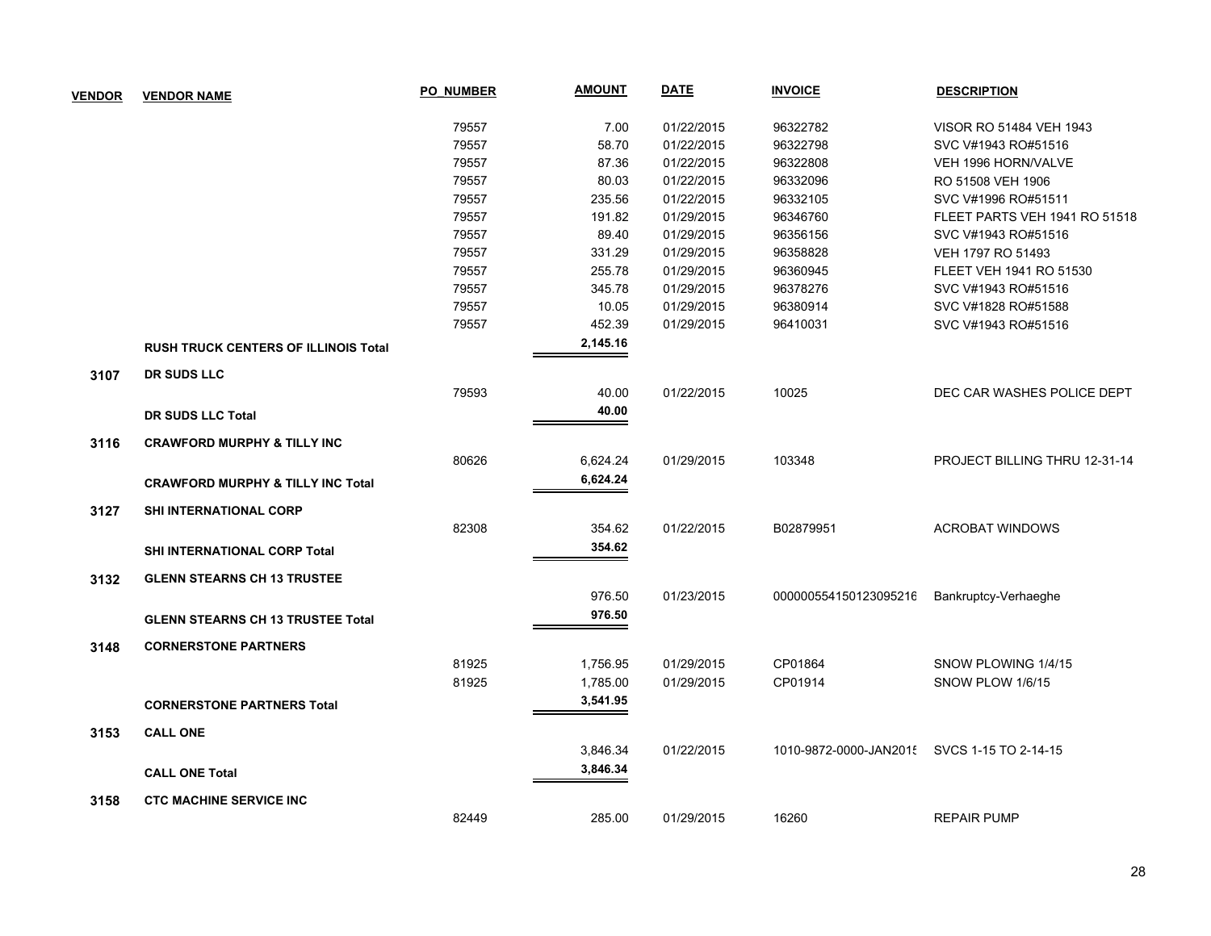| <b>VENDOR</b> | <b>VENDOR NAME</b>                           | <b>PO NUMBER</b> | <b>AMOUNT</b> | <b>DATE</b> | <b>INVOICE</b>         | <b>DESCRIPTION</b>            |
|---------------|----------------------------------------------|------------------|---------------|-------------|------------------------|-------------------------------|
|               |                                              | 79557            | 7.00          | 01/22/2015  | 96322782               | VISOR RO 51484 VEH 1943       |
|               |                                              | 79557            | 58.70         | 01/22/2015  | 96322798               | SVC V#1943 RO#51516           |
|               |                                              | 79557            | 87.36         | 01/22/2015  | 96322808               | VEH 1996 HORN/VALVE           |
|               |                                              | 79557            | 80.03         | 01/22/2015  | 96332096               | RO 51508 VEH 1906             |
|               |                                              | 79557            | 235.56        | 01/22/2015  | 96332105               | SVC V#1996 RO#51511           |
|               |                                              | 79557            | 191.82        | 01/29/2015  | 96346760               | FLEET PARTS VEH 1941 RO 51518 |
|               |                                              | 79557            | 89.40         | 01/29/2015  | 96356156               | SVC V#1943 RO#51516           |
|               |                                              | 79557            | 331.29        | 01/29/2015  | 96358828               | VEH 1797 RO 51493             |
|               |                                              | 79557            | 255.78        | 01/29/2015  | 96360945               | FLEET VEH 1941 RO 51530       |
|               |                                              | 79557            | 345.78        | 01/29/2015  | 96378276               | SVC V#1943 RO#51516           |
|               |                                              | 79557            | 10.05         | 01/29/2015  | 96380914               | SVC V#1828 RO#51588           |
|               |                                              | 79557            | 452.39        | 01/29/2015  | 96410031               | SVC V#1943 RO#51516           |
|               | <b>RUSH TRUCK CENTERS OF ILLINOIS Total</b>  |                  | 2,145.16      |             |                        |                               |
| 3107          | <b>DR SUDS LLC</b>                           |                  |               |             |                        |                               |
|               |                                              | 79593            | 40.00         | 01/22/2015  | 10025                  | DEC CAR WASHES POLICE DEPT    |
|               | DR SUDS LLC Total                            |                  | 40.00         |             |                        |                               |
| 3116          | <b>CRAWFORD MURPHY &amp; TILLY INC</b>       |                  |               |             |                        |                               |
|               |                                              | 80626            | 6,624.24      | 01/29/2015  | 103348                 | PROJECT BILLING THRU 12-31-14 |
|               | <b>CRAWFORD MURPHY &amp; TILLY INC Total</b> |                  | 6,624.24      |             |                        |                               |
| 3127          | <b>SHI INTERNATIONAL CORP</b>                |                  |               |             |                        |                               |
|               |                                              | 82308            | 354.62        | 01/22/2015  | B02879951              | <b>ACROBAT WINDOWS</b>        |
|               | SHI INTERNATIONAL CORP Total                 |                  | 354.62        |             |                        |                               |
| 3132          | <b>GLENN STEARNS CH 13 TRUSTEE</b>           |                  |               |             |                        |                               |
|               |                                              |                  | 976.50        | 01/23/2015  | 000000554150123095216  | Bankruptcy-Verhaeghe          |
|               | <b>GLENN STEARNS CH 13 TRUSTEE Total</b>     |                  | 976.50        |             |                        |                               |
| 3148          | <b>CORNERSTONE PARTNERS</b>                  |                  |               |             |                        |                               |
|               |                                              | 81925            | 1,756.95      | 01/29/2015  | CP01864                | SNOW PLOWING 1/4/15           |
|               |                                              | 81925            | 1,785.00      | 01/29/2015  | CP01914                | SNOW PLOW 1/6/15              |
|               | <b>CORNERSTONE PARTNERS Total</b>            |                  | 3,541.95      |             |                        |                               |
| 3153          | <b>CALL ONE</b>                              |                  |               |             |                        |                               |
|               |                                              |                  | 3,846.34      | 01/22/2015  | 1010-9872-0000-JAN2015 | SVCS 1-15 TO 2-14-15          |
|               | <b>CALL ONE Total</b>                        |                  | 3,846.34      |             |                        |                               |
| 3158          | <b>CTC MACHINE SERVICE INC</b>               |                  |               |             |                        |                               |
|               |                                              | 82449            | 285.00        | 01/29/2015  | 16260                  | <b>REPAIR PUMP</b>            |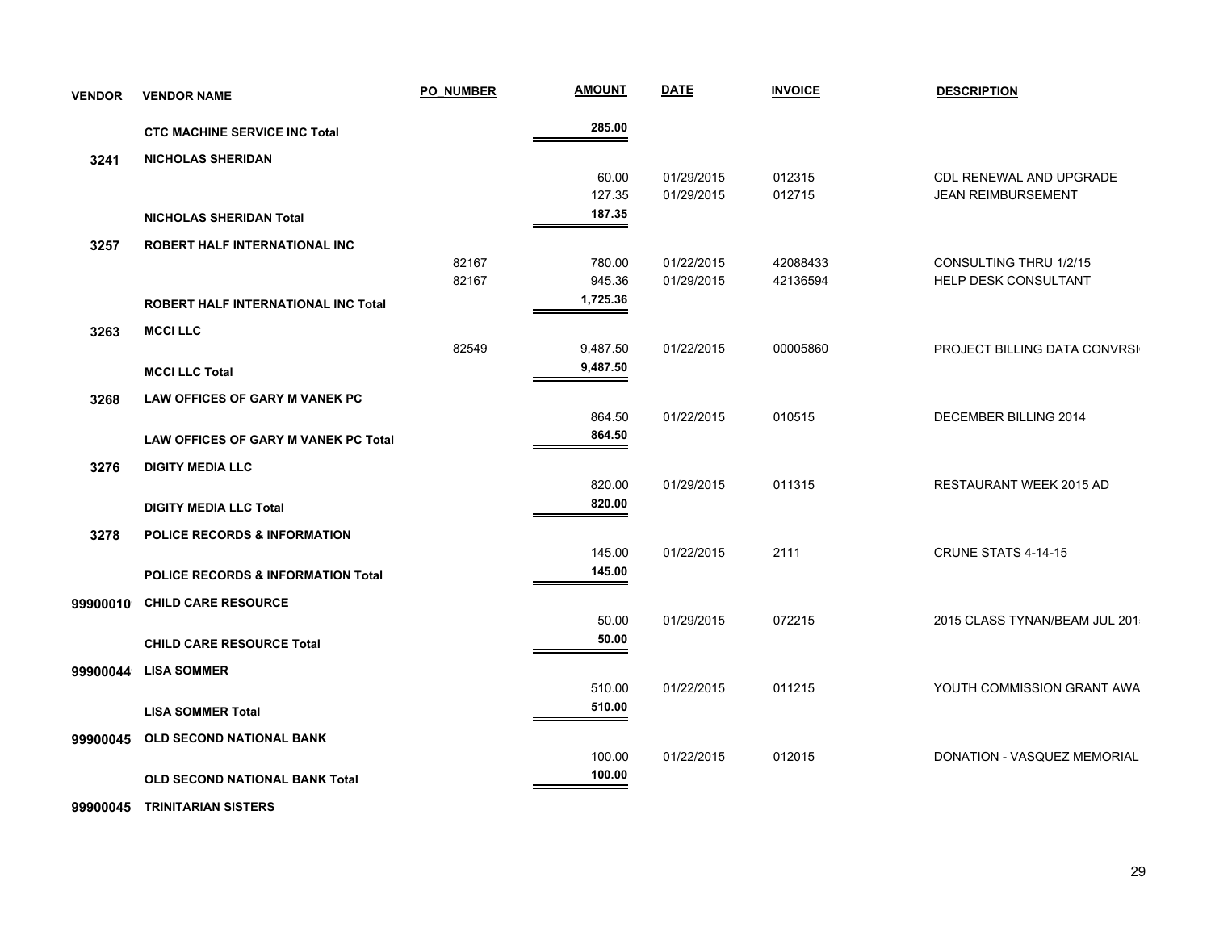| <b>VENDOR</b> | <b>VENDOR NAME</b>                          | <b>PO NUMBER</b> | <b>AMOUNT</b> | <b>DATE</b> | <b>INVOICE</b> | <b>DESCRIPTION</b>            |
|---------------|---------------------------------------------|------------------|---------------|-------------|----------------|-------------------------------|
|               | <b>CTC MACHINE SERVICE INC Total</b>        |                  | 285.00        |             |                |                               |
| 3241          | <b>NICHOLAS SHERIDAN</b>                    |                  |               |             |                |                               |
|               |                                             |                  | 60.00         | 01/29/2015  | 012315         | CDL RENEWAL AND UPGRADE       |
|               |                                             |                  | 127.35        | 01/29/2015  | 012715         | <b>JEAN REIMBURSEMENT</b>     |
|               | <b>NICHOLAS SHERIDAN Total</b>              |                  | 187.35        |             |                |                               |
| 3257          | ROBERT HALF INTERNATIONAL INC               |                  |               |             |                |                               |
|               |                                             | 82167            | 780.00        | 01/22/2015  | 42088433       | CONSULTING THRU 1/2/15        |
|               |                                             | 82167            | 945.36        | 01/29/2015  | 42136594       | HELP DESK CONSULTANT          |
|               | ROBERT HALF INTERNATIONAL INC Total         |                  | 1,725.36      |             |                |                               |
| 3263          | <b>MCCILLC</b>                              |                  |               |             |                |                               |
|               |                                             | 82549            | 9,487.50      | 01/22/2015  | 00005860       | PROJECT BILLING DATA CONVRSI  |
|               | <b>MCCI LLC Total</b>                       |                  | 9,487.50      |             |                |                               |
| 3268          | LAW OFFICES OF GARY M VANEK PC              |                  |               |             |                |                               |
|               |                                             |                  | 864.50        | 01/22/2015  | 010515         | DECEMBER BILLING 2014         |
|               | <b>LAW OFFICES OF GARY M VANEK PC Total</b> |                  | 864.50        |             |                |                               |
| 3276          | <b>DIGITY MEDIA LLC</b>                     |                  |               |             |                |                               |
|               |                                             |                  | 820.00        | 01/29/2015  | 011315         | RESTAURANT WEEK 2015 AD       |
|               | <b>DIGITY MEDIA LLC Total</b>               |                  | 820.00        |             |                |                               |
| 3278          | <b>POLICE RECORDS &amp; INFORMATION</b>     |                  |               |             |                |                               |
|               |                                             |                  | 145.00        | 01/22/2015  | 2111           | <b>CRUNE STATS 4-14-15</b>    |
|               | POLICE RECORDS & INFORMATION Total          |                  | 145.00        |             |                |                               |
| 99900010      | <b>CHILD CARE RESOURCE</b>                  |                  |               |             |                |                               |
|               |                                             |                  | 50.00         | 01/29/2015  | 072215         | 2015 CLASS TYNAN/BEAM JUL 201 |
|               | <b>CHILD CARE RESOURCE Total</b>            |                  | 50.00         |             |                |                               |
| 99900044      | <b>LISA SOMMER</b>                          |                  |               |             |                |                               |
|               |                                             |                  | 510.00        | 01/22/2015  | 011215         | YOUTH COMMISSION GRANT AWA    |
|               | <b>LISA SOMMER Total</b>                    |                  | 510.00        |             |                |                               |
| 99900045      | OLD SECOND NATIONAL BANK                    |                  |               |             |                |                               |
|               |                                             |                  | 100.00        | 01/22/2015  | 012015         | DONATION - VASQUEZ MEMORIAL   |
|               | <b>OLD SECOND NATIONAL BANK Total</b>       |                  | 100.00        |             |                |                               |
|               |                                             |                  |               |             |                |                               |

**999000451 TRINITARIAN SISTERS**